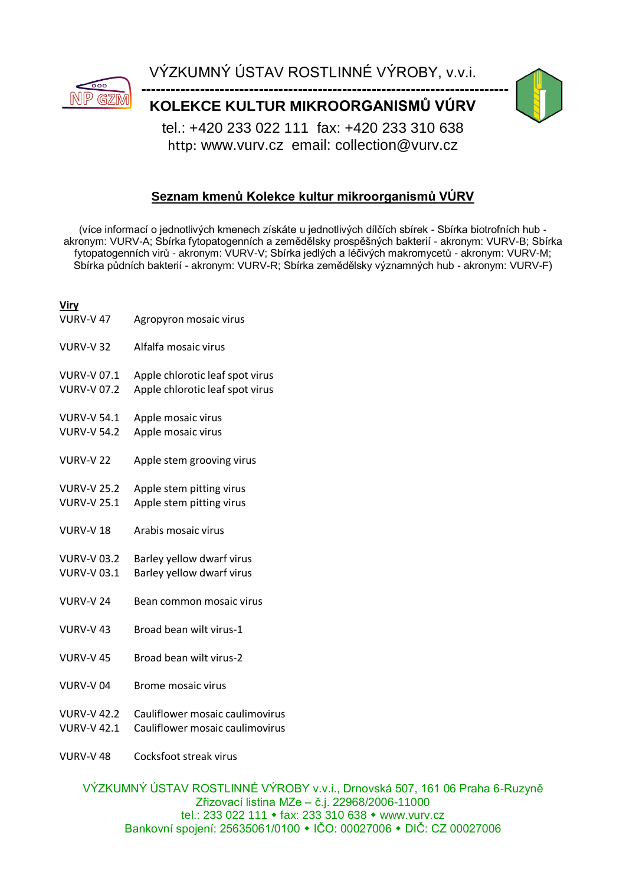

VÝZKUMNÝ ÚSTAV ROSTLINNÉ VÝROBY, v.v.i.

**-------------------------------------------------------------------------------- KOLEKCE KULTUR MIKROORGANISMŮ VÚRV**



tel.: +420 233 022 111 fax: +420 233 310 638 http: www.vurv.cz email: collection@vurv.cz

## **Seznam kmenů Kolekce kultur mikroorganismů VÚRV**

(více informací o jednotlivých kmenech získáte u jednotlivých dílčích sbírek - Sbírka biotrofních hub akronym: VURV-A; Sbírka fytopatogenních a zemědělsky prospěšných bakterií - akronym: VURV-B; Sbírka fytopatogenních virů - akronym: VURV-V; Sbírka jedlých a léčivých makromycetů - akronym: VURV-M; Sbírka půdních bakterií - akronym: VURV-R; Sbírka zemědělsky významných hub - akronym: VURV-F)

## **Viry**

- VURV-V 47 Agropyron mosaic virus
- VURV-V 32 Alfalfa mosaic virus
- VURV-V 07.1 Apple chlorotic leaf spot virus
- VURV-V 07.2 Apple chlorotic leaf spot virus
- VURV-V 54.1 Apple mosaic virus
- VURV-V 54.2 Apple mosaic virus
- VURV-V 22 Apple stem grooving virus
- VURV-V 25.2 Apple stem pitting virus
- VURV-V 25.1 Apple stem pitting virus
- VURV-V 18 Arabis mosaic virus
- VURV-V 03.2 Barley yellow dwarf virus
- VURV-V 03.1 Barley yellow dwarf virus
- VURV-V 24 Bean common mosaic virus
- VURV-V 43 Broad bean wilt virus-1
- VURV-V 45 Broad bean wilt virus-2
- VURV-V 04 Brome mosaic virus
- VURV-V 42.2 Cauliflower mosaic caulimovirus
- VURV-V 42.1 Cauliflower mosaic caulimovirus
- VURV-V 48 Cocksfoot streak virus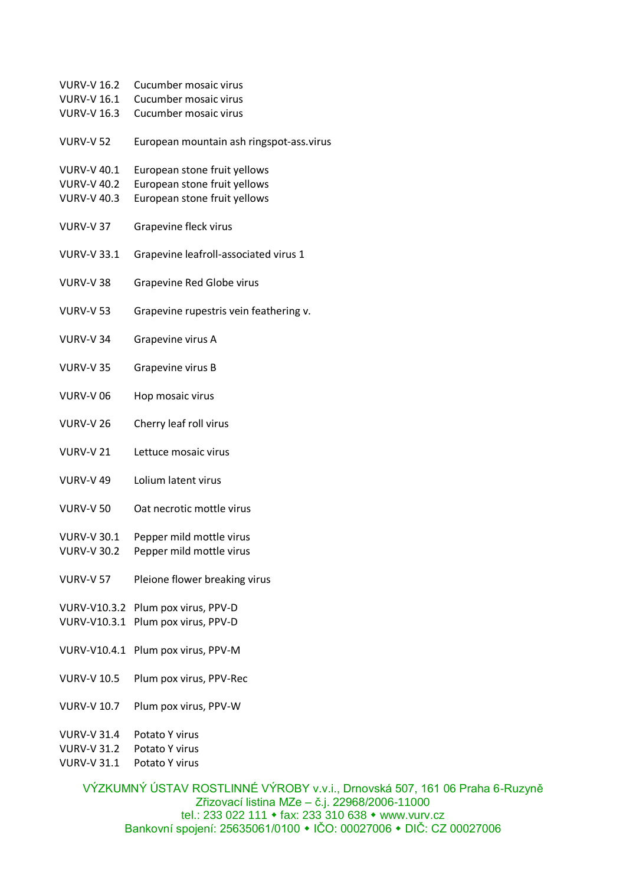| <b>VURV-V 16.2</b>                       | Cucumber mosaic virus                                        |
|------------------------------------------|--------------------------------------------------------------|
| <b>VURV-V 16.1</b>                       | Cucumber mosaic virus                                        |
| <b>VURV-V 16.3</b>                       | Cucumber mosaic virus                                        |
| <b>VURV-V 52</b>                         | European mountain ash ringspot-ass.virus                     |
| <b>VURV-V 40.1</b><br><b>VURV-V 40.2</b> | European stone fruit yellows<br>European stone fruit yellows |
|                                          |                                                              |
| <b>VURV-V 40.3</b>                       | European stone fruit yellows                                 |
| <b>VURV-V 37</b>                         | Grapevine fleck virus                                        |
| <b>VURV-V 33.1</b>                       | Grapevine leafroll-associated virus 1                        |
| <b>VURV-V38</b>                          | Grapevine Red Globe virus                                    |
| <b>VURV-V 53</b>                         | Grapevine rupestris vein feathering v.                       |
| <b>VURV-V 34</b>                         | Grapevine virus A                                            |
| <b>VURV-V35</b>                          | Grapevine virus B                                            |
| <b>VURV-V06</b>                          | Hop mosaic virus                                             |
| <b>VURV-V 26</b>                         | Cherry leaf roll virus                                       |
| <b>VURV-V21</b>                          | Lettuce mosaic virus                                         |
| <b>VURV-V 49</b>                         | Lolium latent virus                                          |
| <b>VURV-V 50</b>                         | Oat necrotic mottle virus                                    |
| <b>VURV-V 30.1</b>                       | Pepper mild mottle virus                                     |
| <b>VURV-V 30.2</b>                       | Pepper mild mottle virus                                     |
|                                          |                                                              |
| <b>VURV-V 57</b>                         | Pleione flower breaking virus                                |
| VURV-V10.3.2                             | Plum pox virus, PPV-D                                        |
| VURV-V10.3.1                             | Plum pox virus, PPV-D                                        |
|                                          |                                                              |
|                                          | VURV-V10.4.1 Plum pox virus, PPV-M                           |
| <b>VURV-V 10.5</b>                       | Plum pox virus, PPV-Rec                                      |
| <b>VURV-V 10.7</b>                       | Plum pox virus, PPV-W                                        |
| VURV-V 31.4                              | Potato Y virus                                               |
|                                          |                                                              |

VURV-V 31.2 Potato Y virus VURV-V 31.1 Potato Y virus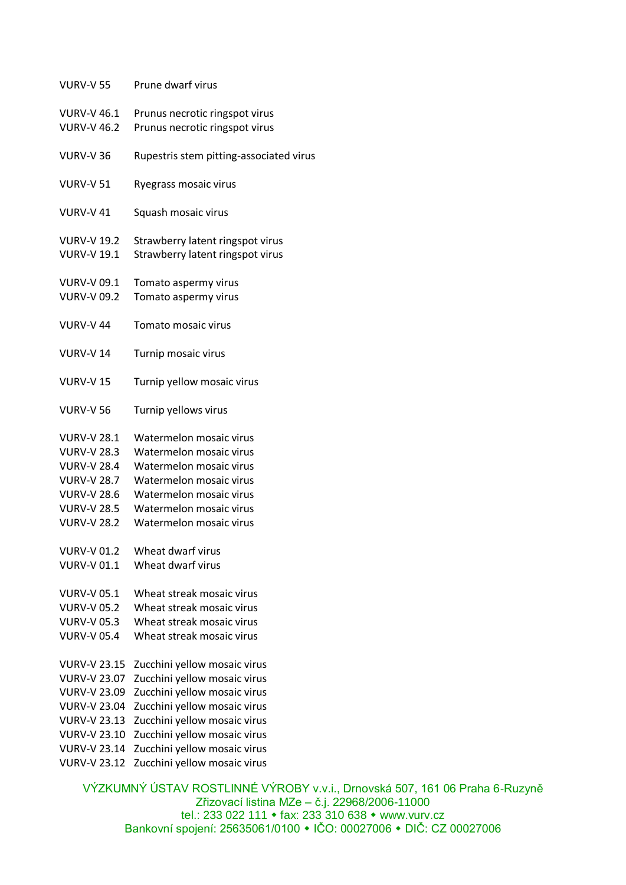| <b>VURV-V 46.1</b><br>Prunus necrotic ringspot virus<br>Prunus necrotic ringspot virus<br><b>VURV-V 46.2</b><br><b>VURV-V 36</b><br><b>VURV-V 51</b><br>Ryegrass mosaic virus<br><b>VURV-V 41</b><br>Squash mosaic virus<br><b>VURV-V 19.2</b><br>Strawberry latent ringspot virus<br>Strawberry latent ringspot virus<br><b>VURV-V 19.1</b><br><b>VURV-V 09.1</b><br>Tomato aspermy virus<br>Tomato aspermy virus<br><b>VURV-V 09.2</b><br><b>VURV-V 44</b><br>Tomato mosaic virus<br><b>VURV-V14</b><br>Turnip mosaic virus<br><b>VURV-V15</b><br>Turnip yellow mosaic virus<br><b>VURV-V 56</b><br>Turnip yellows virus<br>Watermelon mosaic virus<br><b>VURV-V 28.1</b><br><b>VURV-V 28.3</b><br>Watermelon mosaic virus<br>Watermelon mosaic virus<br><b>VURV-V 28.4</b><br>Watermelon mosaic virus<br><b>VURV-V 28.7</b><br>Watermelon mosaic virus<br><b>VURV-V 28.6</b><br>Watermelon mosaic virus<br><b>VURV-V 28.5</b><br>Watermelon mosaic virus<br><b>VURV-V 28.2</b><br><b>VURV-V 01.2</b><br>Wheat dwarf virus<br><b>VURV-V 01.1</b><br>Wheat dwarf virus<br><b>VURV-V 05.1</b><br>Wheat streak mosaic virus<br><b>VURV-V 05.2</b><br>Wheat streak mosaic virus<br>Wheat streak mosaic virus<br><b>VURV-V 05.3</b><br><b>VURV-V 05.4</b><br>Wheat streak mosaic virus<br><b>VURV-V 23.15</b><br>Zucchini yellow mosaic virus<br><b>VURV-V 23.07</b><br>Zucchini yellow mosaic virus<br>Zucchini yellow mosaic virus<br><b>VURV-V 23.09</b><br>Zucchini yellow mosaic virus<br><b>VURV-V 23.04</b><br>Zucchini yellow mosaic virus<br><b>VURV-V 23.13</b><br>Zucchini yellow mosaic virus<br><b>VURV-V 23.10</b><br>Zucchini yellow mosaic virus<br><b>VURV-V 23.14</b> | <b>VURV-V 55</b>    | Prune dwarf virus                       |
|--------------------------------------------------------------------------------------------------------------------------------------------------------------------------------------------------------------------------------------------------------------------------------------------------------------------------------------------------------------------------------------------------------------------------------------------------------------------------------------------------------------------------------------------------------------------------------------------------------------------------------------------------------------------------------------------------------------------------------------------------------------------------------------------------------------------------------------------------------------------------------------------------------------------------------------------------------------------------------------------------------------------------------------------------------------------------------------------------------------------------------------------------------------------------------------------------------------------------------------------------------------------------------------------------------------------------------------------------------------------------------------------------------------------------------------------------------------------------------------------------------------------------------------------------------------------------------------------------------------------------------------------------------------------------------------|---------------------|-----------------------------------------|
|                                                                                                                                                                                                                                                                                                                                                                                                                                                                                                                                                                                                                                                                                                                                                                                                                                                                                                                                                                                                                                                                                                                                                                                                                                                                                                                                                                                                                                                                                                                                                                                                                                                                                      |                     |                                         |
|                                                                                                                                                                                                                                                                                                                                                                                                                                                                                                                                                                                                                                                                                                                                                                                                                                                                                                                                                                                                                                                                                                                                                                                                                                                                                                                                                                                                                                                                                                                                                                                                                                                                                      |                     | Rupestris stem pitting-associated virus |
|                                                                                                                                                                                                                                                                                                                                                                                                                                                                                                                                                                                                                                                                                                                                                                                                                                                                                                                                                                                                                                                                                                                                                                                                                                                                                                                                                                                                                                                                                                                                                                                                                                                                                      |                     |                                         |
|                                                                                                                                                                                                                                                                                                                                                                                                                                                                                                                                                                                                                                                                                                                                                                                                                                                                                                                                                                                                                                                                                                                                                                                                                                                                                                                                                                                                                                                                                                                                                                                                                                                                                      |                     |                                         |
|                                                                                                                                                                                                                                                                                                                                                                                                                                                                                                                                                                                                                                                                                                                                                                                                                                                                                                                                                                                                                                                                                                                                                                                                                                                                                                                                                                                                                                                                                                                                                                                                                                                                                      |                     |                                         |
|                                                                                                                                                                                                                                                                                                                                                                                                                                                                                                                                                                                                                                                                                                                                                                                                                                                                                                                                                                                                                                                                                                                                                                                                                                                                                                                                                                                                                                                                                                                                                                                                                                                                                      |                     |                                         |
|                                                                                                                                                                                                                                                                                                                                                                                                                                                                                                                                                                                                                                                                                                                                                                                                                                                                                                                                                                                                                                                                                                                                                                                                                                                                                                                                                                                                                                                                                                                                                                                                                                                                                      |                     |                                         |
|                                                                                                                                                                                                                                                                                                                                                                                                                                                                                                                                                                                                                                                                                                                                                                                                                                                                                                                                                                                                                                                                                                                                                                                                                                                                                                                                                                                                                                                                                                                                                                                                                                                                                      |                     |                                         |
|                                                                                                                                                                                                                                                                                                                                                                                                                                                                                                                                                                                                                                                                                                                                                                                                                                                                                                                                                                                                                                                                                                                                                                                                                                                                                                                                                                                                                                                                                                                                                                                                                                                                                      |                     |                                         |
|                                                                                                                                                                                                                                                                                                                                                                                                                                                                                                                                                                                                                                                                                                                                                                                                                                                                                                                                                                                                                                                                                                                                                                                                                                                                                                                                                                                                                                                                                                                                                                                                                                                                                      |                     |                                         |
|                                                                                                                                                                                                                                                                                                                                                                                                                                                                                                                                                                                                                                                                                                                                                                                                                                                                                                                                                                                                                                                                                                                                                                                                                                                                                                                                                                                                                                                                                                                                                                                                                                                                                      |                     |                                         |
|                                                                                                                                                                                                                                                                                                                                                                                                                                                                                                                                                                                                                                                                                                                                                                                                                                                                                                                                                                                                                                                                                                                                                                                                                                                                                                                                                                                                                                                                                                                                                                                                                                                                                      |                     |                                         |
|                                                                                                                                                                                                                                                                                                                                                                                                                                                                                                                                                                                                                                                                                                                                                                                                                                                                                                                                                                                                                                                                                                                                                                                                                                                                                                                                                                                                                                                                                                                                                                                                                                                                                      |                     |                                         |
|                                                                                                                                                                                                                                                                                                                                                                                                                                                                                                                                                                                                                                                                                                                                                                                                                                                                                                                                                                                                                                                                                                                                                                                                                                                                                                                                                                                                                                                                                                                                                                                                                                                                                      | <b>VURV-V 23.12</b> | Zucchini yellow mosaic virus            |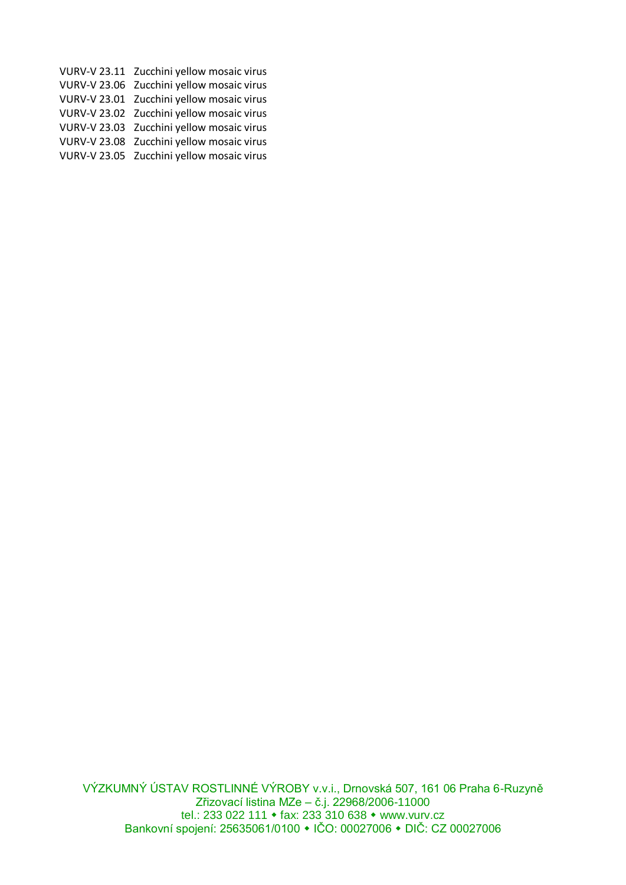| VURV-V 23.11 Zucchini yellow mosaic virus |
|-------------------------------------------|
| VURV-V 23.06 Zucchini yellow mosaic virus |
| VURV-V 23.01 Zucchini yellow mosaic virus |
| VURV-V 23.02 Zucchini yellow mosaic virus |
| VURV-V 23.03 Zucchini yellow mosaic virus |
| VURV-V 23.08 Zucchini yellow mosaic virus |
| VURV-V 23.05 Zucchini yellow mosaic virus |
|                                           |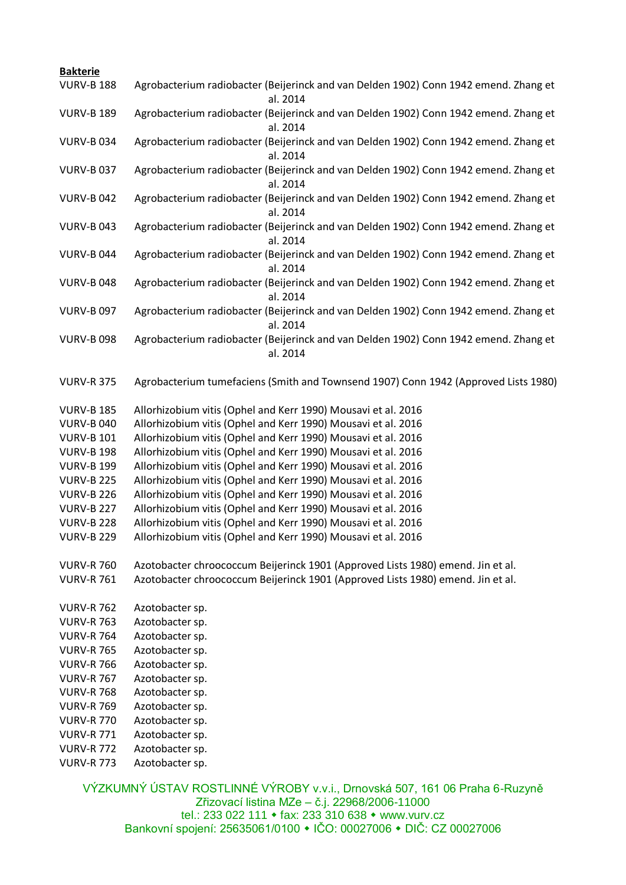| <b>Bakterie</b>   |                                                                                                  |
|-------------------|--------------------------------------------------------------------------------------------------|
| <b>VURV-B 188</b> | Agrobacterium radiobacter (Beijerinck and van Delden 1902) Conn 1942 emend. Zhang et<br>al. 2014 |
| <b>VURV-B 189</b> | Agrobacterium radiobacter (Beijerinck and van Delden 1902) Conn 1942 emend. Zhang et<br>al. 2014 |
| <b>VURV-B034</b>  | Agrobacterium radiobacter (Beijerinck and van Delden 1902) Conn 1942 emend. Zhang et<br>al. 2014 |
| <b>VURV-B037</b>  | Agrobacterium radiobacter (Beijerinck and van Delden 1902) Conn 1942 emend. Zhang et<br>al. 2014 |
| <b>VURV-B042</b>  | Agrobacterium radiobacter (Beijerinck and van Delden 1902) Conn 1942 emend. Zhang et<br>al. 2014 |
| <b>VURV-B043</b>  | Agrobacterium radiobacter (Beijerinck and van Delden 1902) Conn 1942 emend. Zhang et<br>al. 2014 |
| <b>VURV-B044</b>  | Agrobacterium radiobacter (Beijerinck and van Delden 1902) Conn 1942 emend. Zhang et<br>al. 2014 |
| <b>VURV-B 048</b> | Agrobacterium radiobacter (Beijerinck and van Delden 1902) Conn 1942 emend. Zhang et<br>al. 2014 |
| <b>VURV-B 097</b> | Agrobacterium radiobacter (Beijerinck and van Delden 1902) Conn 1942 emend. Zhang et<br>al. 2014 |
| <b>VURV-B 098</b> | Agrobacterium radiobacter (Beijerinck and van Delden 1902) Conn 1942 emend. Zhang et<br>al. 2014 |
| <b>VURV-R 375</b> | Agrobacterium tumefaciens (Smith and Townsend 1907) Conn 1942 (Approved Lists 1980)              |
| <b>VURV-B 185</b> | Allorhizobium vitis (Ophel and Kerr 1990) Mousavi et al. 2016                                    |
| <b>VURV-B 040</b> | Allorhizobium vitis (Ophel and Kerr 1990) Mousavi et al. 2016                                    |
| <b>VURV-B 101</b> | Allorhizobium vitis (Ophel and Kerr 1990) Mousavi et al. 2016                                    |
| <b>VURV-B 198</b> | Allorhizobium vitis (Ophel and Kerr 1990) Mousavi et al. 2016                                    |
| <b>VURV-B 199</b> | Allorhizobium vitis (Ophel and Kerr 1990) Mousavi et al. 2016                                    |
| <b>VURV-B 225</b> | Allorhizobium vitis (Ophel and Kerr 1990) Mousavi et al. 2016                                    |
| <b>VURV-B 226</b> | Allorhizobium vitis (Ophel and Kerr 1990) Mousavi et al. 2016                                    |
| <b>VURV-B 227</b> | Allorhizobium vitis (Ophel and Kerr 1990) Mousavi et al. 2016                                    |
| <b>VURV-B 228</b> | Allorhizobium vitis (Ophel and Kerr 1990) Mousavi et al. 2016                                    |
| <b>VURV-B 229</b> | Allorhizobium vitis (Ophel and Kerr 1990) Mousavi et al. 2016                                    |
| <b>VURV-R 760</b> | Azotobacter chroococcum Beijerinck 1901 (Approved Lists 1980) emend. Jin et al.                  |
| <b>VURV-R 761</b> | Azotobacter chroococcum Beijerinck 1901 (Approved Lists 1980) emend. Jin et al.                  |
| <b>VURV-R 762</b> | Azotobacter sp.                                                                                  |
| <b>VURV-R 763</b> | Azotobacter sp.                                                                                  |
| <b>VURV-R 764</b> | Azotobacter sp.                                                                                  |
| <b>VURV-R 765</b> | Azotobacter sp.                                                                                  |
| <b>VURV-R 766</b> | Azotobacter sp.                                                                                  |
| <b>VURV-R 767</b> | Azotobacter sp.                                                                                  |
| <b>VURV-R 768</b> | Azotobacter sp.                                                                                  |
| <b>VURV-R 769</b> | Azotobacter sp.                                                                                  |
| <b>VURV-R 770</b> | Azotobacter sp.                                                                                  |
| <b>VURV-R 771</b> | Azotobacter sp.                                                                                  |
| <b>VURV-R 772</b> | Azotobacter sp.                                                                                  |
| <b>VURV-R 773</b> | Azotobacter sp.                                                                                  |
|                   |                                                                                                  |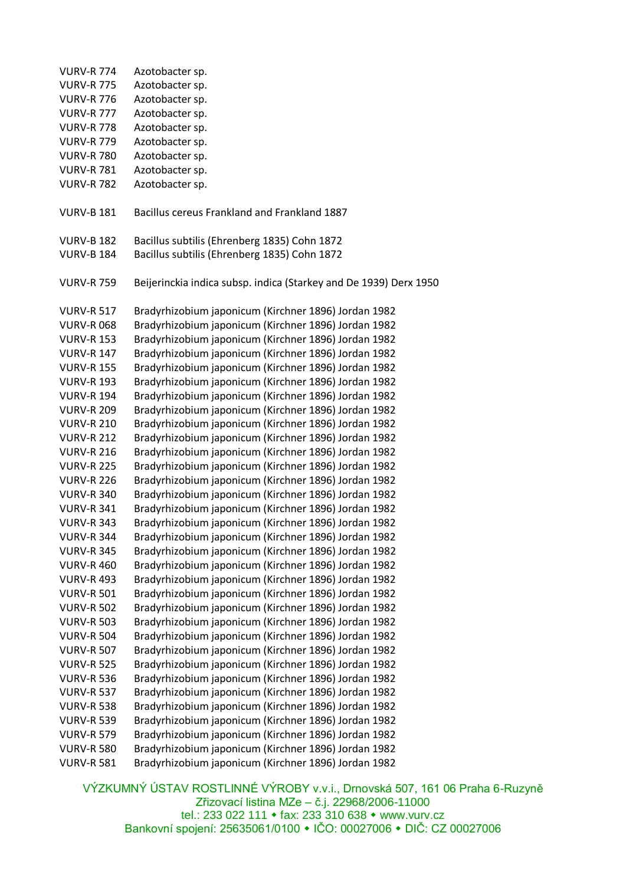| <b>VURV-R 774</b> | Azotobacter sp.                                                   |
|-------------------|-------------------------------------------------------------------|
| <b>VURV-R 775</b> | Azotobacter sp.                                                   |
| <b>VURV-R 776</b> | Azotobacter sp.                                                   |
| <b>VURV-R 777</b> | Azotobacter sp.                                                   |
| <b>VURV-R 778</b> | Azotobacter sp.                                                   |
| <b>VURV-R 779</b> | Azotobacter sp.                                                   |
| <b>VURV-R 780</b> | Azotobacter sp.                                                   |
| <b>VURV-R 781</b> | Azotobacter sp.                                                   |
| <b>VURV-R 782</b> | Azotobacter sp.                                                   |
|                   |                                                                   |
| <b>VURV-B 181</b> | Bacillus cereus Frankland and Frankland 1887                      |
| <b>VURV-B 182</b> | Bacillus subtilis (Ehrenberg 1835) Cohn 1872                      |
| <b>VURV-B 184</b> | Bacillus subtilis (Ehrenberg 1835) Cohn 1872                      |
|                   |                                                                   |
| <b>VURV-R 759</b> | Beijerinckia indica subsp. indica (Starkey and De 1939) Derx 1950 |
| <b>VURV-R 517</b> | Bradyrhizobium japonicum (Kirchner 1896) Jordan 1982              |
| <b>VURV-R068</b>  | Bradyrhizobium japonicum (Kirchner 1896) Jordan 1982              |
| <b>VURV-R 153</b> | Bradyrhizobium japonicum (Kirchner 1896) Jordan 1982              |
| <b>VURV-R 147</b> | Bradyrhizobium japonicum (Kirchner 1896) Jordan 1982              |
| <b>VURV-R 155</b> | Bradyrhizobium japonicum (Kirchner 1896) Jordan 1982              |
| <b>VURV-R 193</b> | Bradyrhizobium japonicum (Kirchner 1896) Jordan 1982              |
| <b>VURV-R 194</b> | Bradyrhizobium japonicum (Kirchner 1896) Jordan 1982              |
| <b>VURV-R 209</b> | Bradyrhizobium japonicum (Kirchner 1896) Jordan 1982              |
| <b>VURV-R 210</b> | Bradyrhizobium japonicum (Kirchner 1896) Jordan 1982              |
| <b>VURV-R 212</b> | Bradyrhizobium japonicum (Kirchner 1896) Jordan 1982              |
| <b>VURV-R 216</b> | Bradyrhizobium japonicum (Kirchner 1896) Jordan 1982              |
| <b>VURV-R 225</b> | Bradyrhizobium japonicum (Kirchner 1896) Jordan 1982              |
| <b>VURV-R 226</b> | Bradyrhizobium japonicum (Kirchner 1896) Jordan 1982              |
| <b>VURV-R 340</b> | Bradyrhizobium japonicum (Kirchner 1896) Jordan 1982              |
| <b>VURV-R 341</b> | Bradyrhizobium japonicum (Kirchner 1896) Jordan 1982              |
| <b>VURV-R 343</b> | Bradyrhizobium japonicum (Kirchner 1896) Jordan 1982              |
| <b>VURV-R 344</b> | Bradyrhizobium japonicum (Kirchner 1896) Jordan 1982              |
| <b>VURV-R 345</b> | Bradyrhizobium japonicum (Kirchner 1896) Jordan 1982              |
| <b>VURV-R 460</b> | Bradyrhizobium japonicum (Kirchner 1896) Jordan 1982              |
| <b>VURV-R 493</b> | Bradyrhizobium japonicum (Kirchner 1896) Jordan 1982              |
| <b>VURV-R 501</b> | Bradyrhizobium japonicum (Kirchner 1896) Jordan 1982              |
| <b>VURV-R 502</b> | Bradyrhizobium japonicum (Kirchner 1896) Jordan 1982              |
| <b>VURV-R 503</b> | Bradyrhizobium japonicum (Kirchner 1896) Jordan 1982              |
| <b>VURV-R 504</b> | Bradyrhizobium japonicum (Kirchner 1896) Jordan 1982              |
| <b>VURV-R 507</b> | Bradyrhizobium japonicum (Kirchner 1896) Jordan 1982              |
| <b>VURV-R 525</b> | Bradyrhizobium japonicum (Kirchner 1896) Jordan 1982              |
| <b>VURV-R 536</b> | Bradyrhizobium japonicum (Kirchner 1896) Jordan 1982              |
| <b>VURV-R 537</b> | Bradyrhizobium japonicum (Kirchner 1896) Jordan 1982              |
| <b>VURV-R 538</b> | Bradyrhizobium japonicum (Kirchner 1896) Jordan 1982              |
| <b>VURV-R 539</b> | Bradyrhizobium japonicum (Kirchner 1896) Jordan 1982              |
| <b>VURV-R 579</b> | Bradyrhizobium japonicum (Kirchner 1896) Jordan 1982              |
| <b>VURV-R 580</b> | Bradyrhizobium japonicum (Kirchner 1896) Jordan 1982              |
| <b>VURV-R 581</b> | Bradyrhizobium japonicum (Kirchner 1896) Jordan 1982              |
|                   |                                                                   |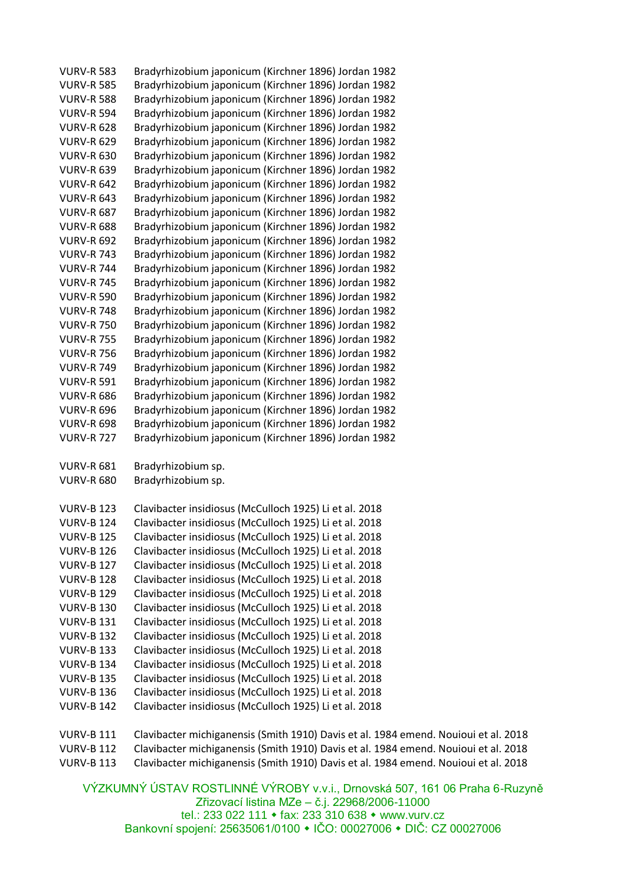| <b>VURV-R 583</b> | Bradyrhizobium japonicum (Kirchner 1896) Jordan 1982 |
|-------------------|------------------------------------------------------|
| <b>VURV-R 585</b> | Bradyrhizobium japonicum (Kirchner 1896) Jordan 1982 |
| <b>VURV-R 588</b> | Bradyrhizobium japonicum (Kirchner 1896) Jordan 1982 |
| <b>VURV-R 594</b> | Bradyrhizobium japonicum (Kirchner 1896) Jordan 1982 |
| <b>VURV-R 628</b> | Bradyrhizobium japonicum (Kirchner 1896) Jordan 1982 |
| <b>VURV-R 629</b> | Bradyrhizobium japonicum (Kirchner 1896) Jordan 1982 |
| <b>VURV-R 630</b> | Bradyrhizobium japonicum (Kirchner 1896) Jordan 1982 |
| <b>VURV-R 639</b> | Bradyrhizobium japonicum (Kirchner 1896) Jordan 1982 |
| <b>VURV-R 642</b> | Bradyrhizobium japonicum (Kirchner 1896) Jordan 1982 |
| <b>VURV-R 643</b> | Bradyrhizobium japonicum (Kirchner 1896) Jordan 1982 |
| <b>VURV-R 687</b> | Bradyrhizobium japonicum (Kirchner 1896) Jordan 1982 |
| <b>VURV-R 688</b> | Bradyrhizobium japonicum (Kirchner 1896) Jordan 1982 |
| <b>VURV-R 692</b> | Bradyrhizobium japonicum (Kirchner 1896) Jordan 1982 |
| <b>VURV-R 743</b> | Bradyrhizobium japonicum (Kirchner 1896) Jordan 1982 |
| <b>VURV-R 744</b> | Bradyrhizobium japonicum (Kirchner 1896) Jordan 1982 |
| <b>VURV-R 745</b> | Bradyrhizobium japonicum (Kirchner 1896) Jordan 1982 |
| <b>VURV-R 590</b> | Bradyrhizobium japonicum (Kirchner 1896) Jordan 1982 |
| <b>VURV-R 748</b> | Bradyrhizobium japonicum (Kirchner 1896) Jordan 1982 |
| <b>VURV-R 750</b> | Bradyrhizobium japonicum (Kirchner 1896) Jordan 1982 |
| <b>VURV-R 755</b> | Bradyrhizobium japonicum (Kirchner 1896) Jordan 1982 |
| <b>VURV-R 756</b> | Bradyrhizobium japonicum (Kirchner 1896) Jordan 1982 |
| <b>VURV-R 749</b> | Bradyrhizobium japonicum (Kirchner 1896) Jordan 1982 |
| <b>VURV-R 591</b> | Bradyrhizobium japonicum (Kirchner 1896) Jordan 1982 |
| <b>VURV-R 686</b> | Bradyrhizobium japonicum (Kirchner 1896) Jordan 1982 |
| <b>VURV-R 696</b> | Bradyrhizobium japonicum (Kirchner 1896) Jordan 1982 |
| <b>VURV-R 698</b> | Bradyrhizobium japonicum (Kirchner 1896) Jordan 1982 |
| <b>VURV-R 727</b> | Bradyrhizobium japonicum (Kirchner 1896) Jordan 1982 |
|                   |                                                      |

VURV-R 681 Bradyrhizobium sp.

VURV-R 680 Bradyrhizobium sp.

| <b>VURV-B 123</b> | Clavibacter insidiosus (McCulloch 1925) Li et al. 2018 |
|-------------------|--------------------------------------------------------|
| <b>VURV-B 124</b> | Clavibacter insidiosus (McCulloch 1925) Li et al. 2018 |
| <b>VURV-B 125</b> | Clavibacter insidiosus (McCulloch 1925) Li et al. 2018 |
| <b>VURV-B 126</b> | Clavibacter insidiosus (McCulloch 1925) Li et al. 2018 |
| <b>VURV-B 127</b> | Clavibacter insidiosus (McCulloch 1925) Li et al. 2018 |
| <b>VURV-B 128</b> | Clavibacter insidiosus (McCulloch 1925) Li et al. 2018 |
| <b>VURV-B 129</b> | Clavibacter insidiosus (McCulloch 1925) Li et al. 2018 |
| <b>VURV-B 130</b> | Clavibacter insidiosus (McCulloch 1925) Li et al. 2018 |
| <b>VURV-B 131</b> | Clavibacter insidiosus (McCulloch 1925) Li et al. 2018 |
| <b>VURV-B 132</b> | Clavibacter insidiosus (McCulloch 1925) Li et al. 2018 |
| <b>VURV-B 133</b> | Clavibacter insidiosus (McCulloch 1925) Li et al. 2018 |
| <b>VURV-B 134</b> | Clavibacter insidiosus (McCulloch 1925) Li et al. 2018 |
| <b>VURV-B 135</b> | Clavibacter insidiosus (McCulloch 1925) Li et al. 2018 |
| <b>VURV-B 136</b> | Clavibacter insidiosus (McCulloch 1925) Li et al. 2018 |
| <b>VURV-B 142</b> | Clavibacter insidiosus (McCulloch 1925) Li et al. 2018 |

VURV-B 111 Clavibacter michiganensis (Smith 1910) Davis et al. 1984 emend. Nouioui et al. 2018 VURV-B 112 Clavibacter michiganensis (Smith 1910) Davis et al. 1984 emend. Nouioui et al. 2018

VURV-B 113 Clavibacter michiganensis (Smith 1910) Davis et al. 1984 emend. Nouioui et al. 2018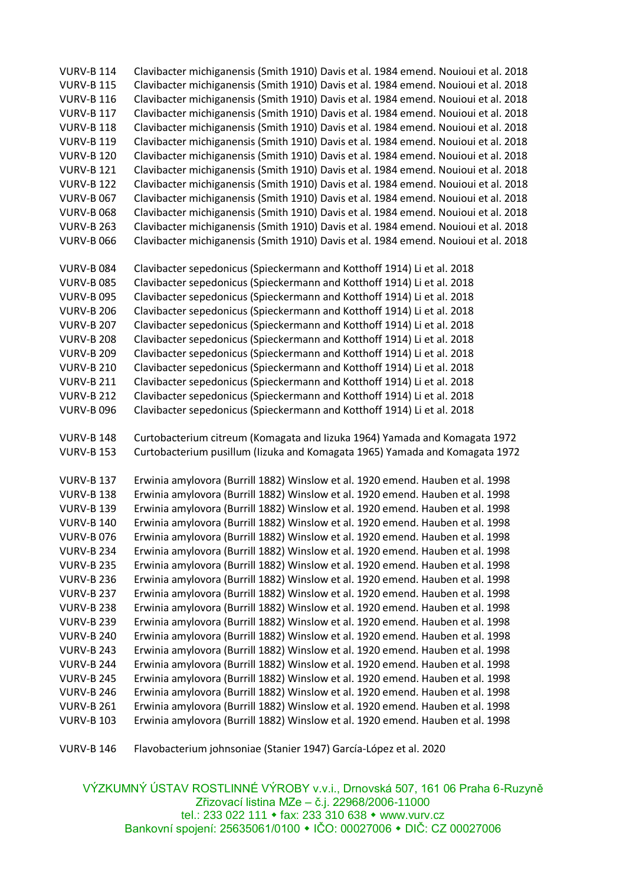VURV-B 114 Clavibacter michiganensis (Smith 1910) Davis et al. 1984 emend. Nouioui et al. 2018 VURV-B 115 Clavibacter michiganensis (Smith 1910) Davis et al. 1984 emend. Nouioui et al. 2018 VURV-B 116 Clavibacter michiganensis (Smith 1910) Davis et al. 1984 emend. Nouioui et al. 2018 VURV-B 117 Clavibacter michiganensis (Smith 1910) Davis et al. 1984 emend. Nouioui et al. 2018 VURV-B 118 Clavibacter michiganensis (Smith 1910) Davis et al. 1984 emend. Nouioui et al. 2018 VURV-B 119 Clavibacter michiganensis (Smith 1910) Davis et al. 1984 emend. Nouioui et al. 2018 VURV-B 120 Clavibacter michiganensis (Smith 1910) Davis et al. 1984 emend. Nouioui et al. 2018 VURV-B 121 Clavibacter michiganensis (Smith 1910) Davis et al. 1984 emend. Nouioui et al. 2018 VURV-B 122 Clavibacter michiganensis (Smith 1910) Davis et al. 1984 emend. Nouioui et al. 2018 VURV-B 067 Clavibacter michiganensis (Smith 1910) Davis et al. 1984 emend. Nouioui et al. 2018 VURV-B 068 Clavibacter michiganensis (Smith 1910) Davis et al. 1984 emend. Nouioui et al. 2018 VURV-B 263 Clavibacter michiganensis (Smith 1910) Davis et al. 1984 emend. Nouioui et al. 2018 VURV-B 066 Clavibacter michiganensis (Smith 1910) Davis et al. 1984 emend. Nouioui et al. 2018 VURV-B 084 Clavibacter sepedonicus (Spieckermann and Kotthoff 1914) Li et al. 2018 VURV-B 085 Clavibacter sepedonicus (Spieckermann and Kotthoff 1914) Li et al. 2018 VURV-B 095 Clavibacter sepedonicus (Spieckermann and Kotthoff 1914) Li et al. 2018 VURV-B 206 Clavibacter sepedonicus (Spieckermann and Kotthoff 1914) Li et al. 2018 VURV-B 207 Clavibacter sepedonicus (Spieckermann and Kotthoff 1914) Li et al. 2018 VURV-B 208 Clavibacter sepedonicus (Spieckermann and Kotthoff 1914) Li et al. 2018 VURV-B 209 Clavibacter sepedonicus (Spieckermann and Kotthoff 1914) Li et al. 2018 VURV-B 210 Clavibacter sepedonicus (Spieckermann and Kotthoff 1914) Li et al. 2018 VURV-B 211 Clavibacter sepedonicus (Spieckermann and Kotthoff 1914) Li et al. 2018 VURV-B 212 Clavibacter sepedonicus (Spieckermann and Kotthoff 1914) Li et al. 2018 VURV-B 096 Clavibacter sepedonicus (Spieckermann and Kotthoff 1914) Li et al. 2018 VURV-B 148 Curtobacterium citreum (Komagata and Iizuka 1964) Yamada and Komagata 1972 VURV-B 153 Curtobacterium pusillum (Iizuka and Komagata 1965) Yamada and Komagata 1972 VURV-B 137 Erwinia amylovora (Burrill 1882) Winslow et al. 1920 emend. Hauben et al. 1998 VURV-B 138 Erwinia amylovora (Burrill 1882) Winslow et al. 1920 emend. Hauben et al. 1998 VURV-B 139 Erwinia amylovora (Burrill 1882) Winslow et al. 1920 emend. Hauben et al. 1998 VURV-B 140 Erwinia amylovora (Burrill 1882) Winslow et al. 1920 emend. Hauben et al. 1998 VURV-B 076 Erwinia amylovora (Burrill 1882) Winslow et al. 1920 emend. Hauben et al. 1998 VURV-B 234 Erwinia amylovora (Burrill 1882) Winslow et al. 1920 emend. Hauben et al. 1998 VURV-B 235 Erwinia amylovora (Burrill 1882) Winslow et al. 1920 emend. Hauben et al. 1998 VURV-B 236 Erwinia amylovora (Burrill 1882) Winslow et al. 1920 emend. Hauben et al. 1998 VURV-B 237 Erwinia amylovora (Burrill 1882) Winslow et al. 1920 emend. Hauben et al. 1998 VURV-B 238 Erwinia amylovora (Burrill 1882) Winslow et al. 1920 emend. Hauben et al. 1998 VURV-B 239 Erwinia amylovora (Burrill 1882) Winslow et al. 1920 emend. Hauben et al. 1998 VURV-B 240 Erwinia amylovora (Burrill 1882) Winslow et al. 1920 emend. Hauben et al. 1998 VURV-B 243 Erwinia amylovora (Burrill 1882) Winslow et al. 1920 emend. Hauben et al. 1998 VURV-B 244 Erwinia amylovora (Burrill 1882) Winslow et al. 1920 emend. Hauben et al. 1998 VURV-B 245 Erwinia amylovora (Burrill 1882) Winslow et al. 1920 emend. Hauben et al. 1998 VURV-B 246 Erwinia amylovora (Burrill 1882) Winslow et al. 1920 emend. Hauben et al. 1998 VURV-B 261 Erwinia amylovora (Burrill 1882) Winslow et al. 1920 emend. Hauben et al. 1998 VURV-B 103 Erwinia amylovora (Burrill 1882) Winslow et al. 1920 emend. Hauben et al. 1998

VURV-B 146 Flavobacterium johnsoniae (Stanier 1947) García-López et al. 2020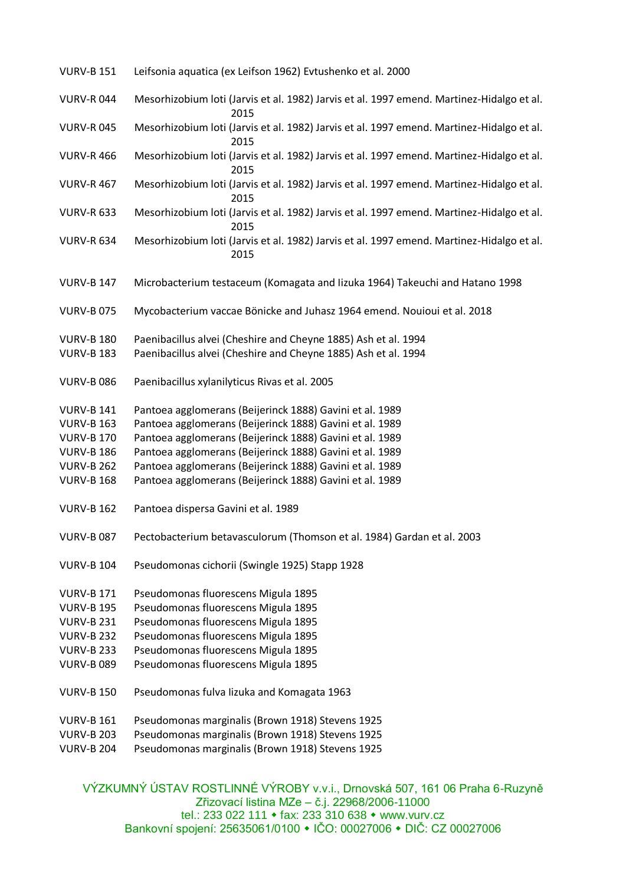| <b>VURV-B 151</b>                      | Leifsonia aquatica (ex Leifson 1962) Evtushenko et al. 2000                                                                      |
|----------------------------------------|----------------------------------------------------------------------------------------------------------------------------------|
| <b>VURV-R044</b>                       | Mesorhizobium loti (Jarvis et al. 1982) Jarvis et al. 1997 emend. Martinez-Hidalgo et al.<br>2015                                |
| <b>VURV-R045</b>                       | Mesorhizobium loti (Jarvis et al. 1982) Jarvis et al. 1997 emend. Martinez-Hidalgo et al.<br>2015                                |
| <b>VURV-R 466</b>                      | Mesorhizobium loti (Jarvis et al. 1982) Jarvis et al. 1997 emend. Martinez-Hidalgo et al.<br>2015                                |
| <b>VURV-R 467</b>                      | Mesorhizobium loti (Jarvis et al. 1982) Jarvis et al. 1997 emend. Martinez-Hidalgo et al.<br>2015                                |
| <b>VURV-R 633</b>                      | Mesorhizobium loti (Jarvis et al. 1982) Jarvis et al. 1997 emend. Martinez-Hidalgo et al.<br>2015                                |
| <b>VURV-R 634</b>                      | Mesorhizobium loti (Jarvis et al. 1982) Jarvis et al. 1997 emend. Martinez-Hidalgo et al.<br>2015                                |
| <b>VURV-B 147</b>                      | Microbacterium testaceum (Komagata and lizuka 1964) Takeuchi and Hatano 1998                                                     |
| <b>VURV-B075</b>                       | Mycobacterium vaccae Bönicke and Juhasz 1964 emend. Nouioui et al. 2018                                                          |
| <b>VURV-B 180</b><br><b>VURV-B 183</b> | Paenibacillus alvei (Cheshire and Cheyne 1885) Ash et al. 1994<br>Paenibacillus alvei (Cheshire and Cheyne 1885) Ash et al. 1994 |
| <b>VURV-B 086</b>                      | Paenibacillus xylanilyticus Rivas et al. 2005                                                                                    |
| <b>VURV-B 141</b>                      | Pantoea agglomerans (Beijerinck 1888) Gavini et al. 1989                                                                         |
| <b>VURV-B 163</b>                      | Pantoea agglomerans (Beijerinck 1888) Gavini et al. 1989                                                                         |
| <b>VURV-B 170</b>                      | Pantoea agglomerans (Beijerinck 1888) Gavini et al. 1989                                                                         |
| <b>VURV-B 186</b>                      | Pantoea agglomerans (Beijerinck 1888) Gavini et al. 1989                                                                         |
| <b>VURV-B 262</b>                      | Pantoea agglomerans (Beijerinck 1888) Gavini et al. 1989                                                                         |
| <b>VURV-B 168</b>                      | Pantoea agglomerans (Beijerinck 1888) Gavini et al. 1989                                                                         |
| <b>VURV-B 162</b>                      | Pantoea dispersa Gavini et al. 1989                                                                                              |
| <b>VURV-B 087</b>                      | Pectobacterium betavasculorum (Thomson et al. 1984) Gardan et al. 2003                                                           |
| <b>VURV-B 104</b>                      | Pseudomonas cichorii (Swingle 1925) Stapp 1928                                                                                   |
| <b>VURV-B 171</b>                      | Pseudomonas fluorescens Migula 1895                                                                                              |
| <b>VURV-B 195</b>                      | Pseudomonas fluorescens Migula 1895                                                                                              |
| <b>VURV-B 231</b>                      | Pseudomonas fluorescens Migula 1895                                                                                              |
| <b>VURV-B 232</b>                      | Pseudomonas fluorescens Migula 1895                                                                                              |
| <b>VURV-B 233</b>                      | Pseudomonas fluorescens Migula 1895                                                                                              |
| <b>VURV-B 089</b>                      | Pseudomonas fluorescens Migula 1895                                                                                              |
| <b>VURV-B 150</b>                      | Pseudomonas fulva lizuka and Komagata 1963                                                                                       |
| <b>VURV-B 161</b>                      | Pseudomonas marginalis (Brown 1918) Stevens 1925                                                                                 |
| <b>VURV-B 203</b>                      | Pseudomonas marginalis (Brown 1918) Stevens 1925                                                                                 |
| <b>VURV-B 204</b>                      | Pseudomonas marginalis (Brown 1918) Stevens 1925                                                                                 |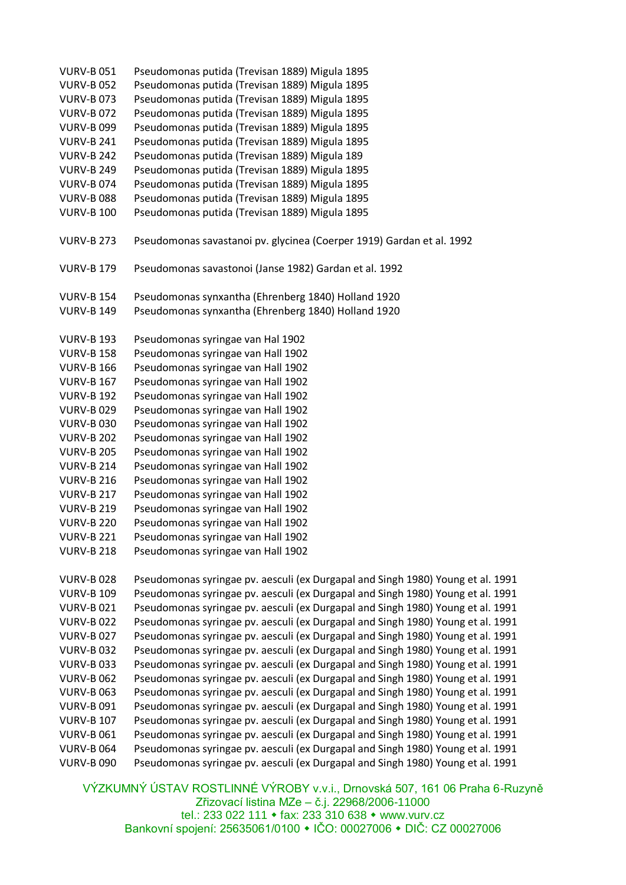| <b>VURV-B 051</b> | Pseudomonas putida (Trevisan 1889) Migula 1895                                  |
|-------------------|---------------------------------------------------------------------------------|
| <b>VURV-B 052</b> | Pseudomonas putida (Trevisan 1889) Migula 1895                                  |
| <b>VURV-B073</b>  | Pseudomonas putida (Trevisan 1889) Migula 1895                                  |
| <b>VURV-B072</b>  | Pseudomonas putida (Trevisan 1889) Migula 1895                                  |
|                   | Pseudomonas putida (Trevisan 1889) Migula 1895                                  |
| <b>VURV-B 099</b> |                                                                                 |
| <b>VURV-B 241</b> | Pseudomonas putida (Trevisan 1889) Migula 1895                                  |
| <b>VURV-B 242</b> | Pseudomonas putida (Trevisan 1889) Migula 189                                   |
| <b>VURV-B 249</b> | Pseudomonas putida (Trevisan 1889) Migula 1895                                  |
| <b>VURV-B074</b>  | Pseudomonas putida (Trevisan 1889) Migula 1895                                  |
| <b>VURV-B088</b>  | Pseudomonas putida (Trevisan 1889) Migula 1895                                  |
| <b>VURV-B 100</b> | Pseudomonas putida (Trevisan 1889) Migula 1895                                  |
| <b>VURV-B 273</b> | Pseudomonas savastanoi pv. glycinea (Coerper 1919) Gardan et al. 1992           |
| <b>VURV-B 179</b> | Pseudomonas savastonoi (Janse 1982) Gardan et al. 1992                          |
| <b>VURV-B 154</b> | Pseudomonas synxantha (Ehrenberg 1840) Holland 1920                             |
| <b>VURV-B 149</b> | Pseudomonas synxantha (Ehrenberg 1840) Holland 1920                             |
|                   |                                                                                 |
| <b>VURV-B 193</b> | Pseudomonas syringae van Hal 1902                                               |
| <b>VURV-B 158</b> | Pseudomonas syringae van Hall 1902                                              |
| <b>VURV-B 166</b> | Pseudomonas syringae van Hall 1902                                              |
| <b>VURV-B 167</b> | Pseudomonas syringae van Hall 1902                                              |
| <b>VURV-B 192</b> | Pseudomonas syringae van Hall 1902                                              |
| <b>VURV-B029</b>  | Pseudomonas syringae van Hall 1902                                              |
| <b>VURV-B030</b>  | Pseudomonas syringae van Hall 1902                                              |
| <b>VURV-B 202</b> | Pseudomonas syringae van Hall 1902                                              |
| <b>VURV-B 205</b> | Pseudomonas syringae van Hall 1902                                              |
| <b>VURV-B 214</b> | Pseudomonas syringae van Hall 1902                                              |
| <b>VURV-B 216</b> | Pseudomonas syringae van Hall 1902                                              |
| <b>VURV-B 217</b> | Pseudomonas syringae van Hall 1902                                              |
| <b>VURV-B 219</b> | Pseudomonas syringae van Hall 1902                                              |
| <b>VURV-B 220</b> | Pseudomonas syringae van Hall 1902                                              |
| <b>VURV-B 221</b> | Pseudomonas syringae van Hall 1902                                              |
| <b>VURV-B 218</b> | Pseudomonas syringae van Hall 1902                                              |
|                   |                                                                                 |
| <b>VURV-B028</b>  | Pseudomonas syringae pv. aesculi (ex Durgapal and Singh 1980) Young et al. 1991 |
| <b>VURV-B 109</b> | Pseudomonas syringae pv. aesculi (ex Durgapal and Singh 1980) Young et al. 1991 |
| <b>VURV-B021</b>  | Pseudomonas syringae pv. aesculi (ex Durgapal and Singh 1980) Young et al. 1991 |
| <b>VURV-B022</b>  | Pseudomonas syringae pv. aesculi (ex Durgapal and Singh 1980) Young et al. 1991 |
| <b>VURV-B027</b>  | Pseudomonas syringae pv. aesculi (ex Durgapal and Singh 1980) Young et al. 1991 |
| <b>VURV-B032</b>  | Pseudomonas syringae pv. aesculi (ex Durgapal and Singh 1980) Young et al. 1991 |
| <b>VURV-B033</b>  | Pseudomonas syringae pv. aesculi (ex Durgapal and Singh 1980) Young et al. 1991 |
| <b>VURV-B 062</b> | Pseudomonas syringae pv. aesculi (ex Durgapal and Singh 1980) Young et al. 1991 |
| <b>VURV-B 063</b> | Pseudomonas syringae pv. aesculi (ex Durgapal and Singh 1980) Young et al. 1991 |
| <b>VURV-B 091</b> | Pseudomonas syringae pv. aesculi (ex Durgapal and Singh 1980) Young et al. 1991 |
| <b>VURV-B 107</b> | Pseudomonas syringae pv. aesculi (ex Durgapal and Singh 1980) Young et al. 1991 |
| <b>VURV-B 061</b> | Pseudomonas syringae pv. aesculi (ex Durgapal and Singh 1980) Young et al. 1991 |
| <b>VURV-B 064</b> | Pseudomonas syringae pv. aesculi (ex Durgapal and Singh 1980) Young et al. 1991 |
|                   |                                                                                 |
| <b>VURV-B 090</b> | Pseudomonas syringae pv. aesculi (ex Durgapal and Singh 1980) Young et al. 1991 |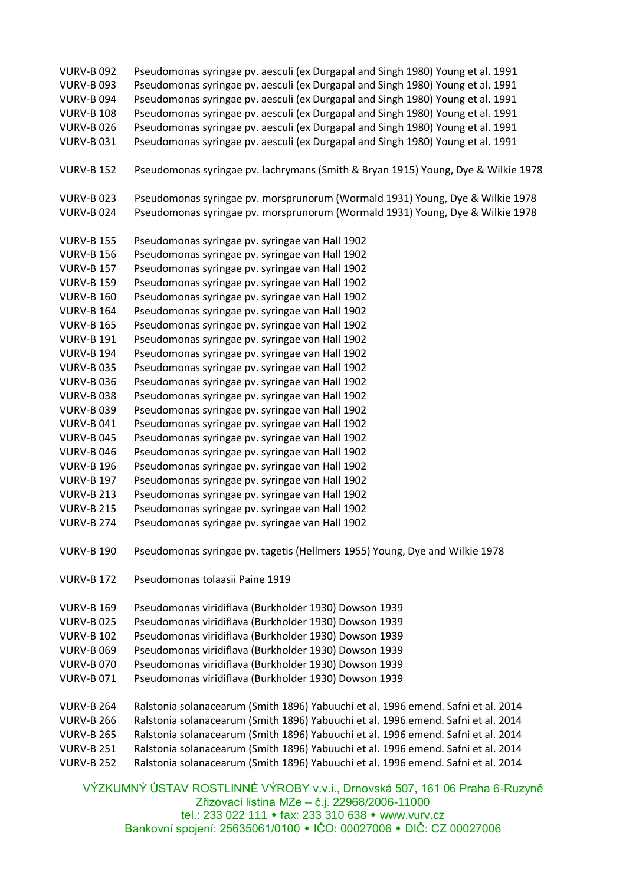VÝZKUMNÝ ÚSTAV ROSTLINNÉ VÝROBY v.v.i., Drnovská 507, 161 06 Praha 6-Ruzyně VURV-B 092 Pseudomonas syringae pv. aesculi (ex Durgapal and Singh 1980) Young et al. 1991 VURV-B 093 Pseudomonas syringae pv. aesculi (ex Durgapal and Singh 1980) Young et al. 1991 VURV-B 094 Pseudomonas syringae pv. aesculi (ex Durgapal and Singh 1980) Young et al. 1991 VURV-B 108 Pseudomonas syringae pv. aesculi (ex Durgapal and Singh 1980) Young et al. 1991 VURV-B 026 Pseudomonas syringae pv. aesculi (ex Durgapal and Singh 1980) Young et al. 1991 VURV-B 031 Pseudomonas syringae pv. aesculi (ex Durgapal and Singh 1980) Young et al. 1991 VURV-B 152 Pseudomonas syringae pv. lachrymans (Smith & Bryan 1915) Young, Dye & Wilkie 1978 VURV-B 023 Pseudomonas syringae pv. morsprunorum (Wormald 1931) Young, Dye & Wilkie 1978 VURV-B 024 Pseudomonas syringae pv. morsprunorum (Wormald 1931) Young, Dye & Wilkie 1978 VURV-B 155 Pseudomonas syringae pv. syringae van Hall 1902 VURV-B 156 Pseudomonas syringae pv. syringae van Hall 1902 VURV-B 157 Pseudomonas syringae pv. syringae van Hall 1902 VURV-B 159 Pseudomonas syringae pv. syringae van Hall 1902 VURV-B 160 Pseudomonas syringae pv. syringae van Hall 1902 VURV-B 164 Pseudomonas syringae pv. syringae van Hall 1902 VURV-B 165 Pseudomonas syringae pv. syringae van Hall 1902 VURV-B 191 Pseudomonas syringae pv. syringae van Hall 1902 VURV-B 194 Pseudomonas syringae pv. syringae van Hall 1902 VURV-B 035 Pseudomonas syringae pv. syringae van Hall 1902 VURV-B 036 Pseudomonas syringae pv. syringae van Hall 1902 VURV-B 038 Pseudomonas syringae pv. syringae van Hall 1902 VURV-B 039 Pseudomonas syringae pv. syringae van Hall 1902 VURV-B 041 Pseudomonas syringae pv. syringae van Hall 1902 VURV-B 045 Pseudomonas syringae pv. syringae van Hall 1902 VURV-B 046 Pseudomonas syringae pv. syringae van Hall 1902 VURV-B 196 Pseudomonas syringae pv. syringae van Hall 1902 VURV-B 197 Pseudomonas syringae pv. syringae van Hall 1902 VURV-B 213 Pseudomonas syringae pv. syringae van Hall 1902 VURV-B 215 Pseudomonas syringae pv. syringae van Hall 1902 VURV-B 274 Pseudomonas syringae pv. syringae van Hall 1902 VURV-B 190 Pseudomonas syringae pv. tagetis (Hellmers 1955) Young, Dye and Wilkie 1978 VURV-B 172 Pseudomonas tolaasii Paine 1919 VURV-B 169 Pseudomonas viridiflava (Burkholder 1930) Dowson 1939 VURV-B 025 Pseudomonas viridiflava (Burkholder 1930) Dowson 1939 VURV-B 102 Pseudomonas viridiflava (Burkholder 1930) Dowson 1939 VURV-B 069 Pseudomonas viridiflava (Burkholder 1930) Dowson 1939 VURV-B 070 Pseudomonas viridiflava (Burkholder 1930) Dowson 1939 VURV-B 071 Pseudomonas viridiflava (Burkholder 1930) Dowson 1939 VURV-B 264 Ralstonia solanacearum (Smith 1896) Yabuuchi et al. 1996 emend. Safni et al. 2014 VURV-B 266 Ralstonia solanacearum (Smith 1896) Yabuuchi et al. 1996 emend. Safni et al. 2014 VURV-B 265 Ralstonia solanacearum (Smith 1896) Yabuuchi et al. 1996 emend. Safni et al. 2014 VURV-B 251 Ralstonia solanacearum (Smith 1896) Yabuuchi et al. 1996 emend. Safni et al. 2014 VURV-B 252 Ralstonia solanacearum (Smith 1896) Yabuuchi et al. 1996 emend. Safni et al. 2014

Zřizovací listina MZe – č.j. 22968/2006-11000 tel.: 233 022 111 • fax: 233 310 638 • www.vurv.cz Bankovní spojení: 25635061/0100 • IČO: 00027006 • DIČ: CZ 00027006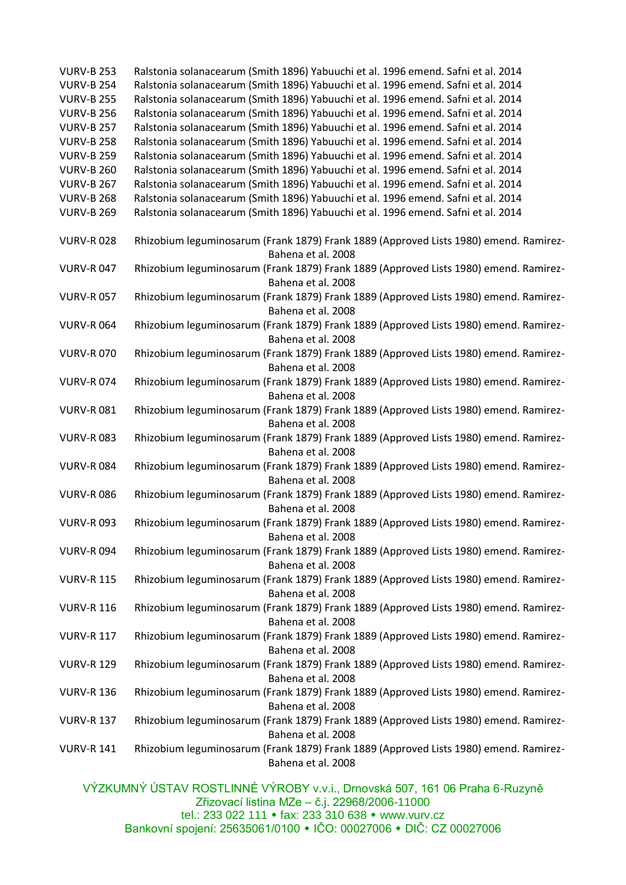| <b>VURV-B 253</b> | Ralstonia solanacearum (Smith 1896) Yabuuchi et al. 1996 emend. Safni et al. 2014     |
|-------------------|---------------------------------------------------------------------------------------|
| <b>VURV-B 254</b> | Ralstonia solanacearum (Smith 1896) Yabuuchi et al. 1996 emend. Safni et al. 2014     |
| <b>VURV-B 255</b> | Ralstonia solanacearum (Smith 1896) Yabuuchi et al. 1996 emend. Safni et al. 2014     |
| <b>VURV-B 256</b> | Ralstonia solanacearum (Smith 1896) Yabuuchi et al. 1996 emend. Safni et al. 2014     |
| <b>VURV-B 257</b> | Ralstonia solanacearum (Smith 1896) Yabuuchi et al. 1996 emend. Safni et al. 2014     |
| <b>VURV-B 258</b> | Ralstonia solanacearum (Smith 1896) Yabuuchi et al. 1996 emend. Safni et al. 2014     |
| <b>VURV-B 259</b> | Ralstonia solanacearum (Smith 1896) Yabuuchi et al. 1996 emend. Safni et al. 2014     |
| <b>VURV-B 260</b> | Ralstonia solanacearum (Smith 1896) Yabuuchi et al. 1996 emend. Safni et al. 2014     |
| <b>VURV-B 267</b> | Ralstonia solanacearum (Smith 1896) Yabuuchi et al. 1996 emend. Safni et al. 2014     |
| <b>VURV-B 268</b> | Ralstonia solanacearum (Smith 1896) Yabuuchi et al. 1996 emend. Safni et al. 2014     |
| <b>VURV-B 269</b> | Ralstonia solanacearum (Smith 1896) Yabuuchi et al. 1996 emend. Safni et al. 2014     |
|                   |                                                                                       |
| <b>VURV-R028</b>  | Rhizobium leguminosarum (Frank 1879) Frank 1889 (Approved Lists 1980) emend. Ramirez- |
|                   | Bahena et al. 2008                                                                    |
| <b>VURV-R047</b>  | Rhizobium leguminosarum (Frank 1879) Frank 1889 (Approved Lists 1980) emend. Ramirez- |
|                   | Bahena et al. 2008                                                                    |
| <b>VURV-R057</b>  | Rhizobium leguminosarum (Frank 1879) Frank 1889 (Approved Lists 1980) emend. Ramirez- |
|                   | Bahena et al. 2008                                                                    |
| <b>VURV-R064</b>  | Rhizobium leguminosarum (Frank 1879) Frank 1889 (Approved Lists 1980) emend. Ramirez- |
|                   | Bahena et al. 2008                                                                    |
| <b>VURV-R070</b>  | Rhizobium leguminosarum (Frank 1879) Frank 1889 (Approved Lists 1980) emend. Ramirez- |
|                   | Bahena et al. 2008                                                                    |
|                   |                                                                                       |
| <b>VURV-R074</b>  | Rhizobium leguminosarum (Frank 1879) Frank 1889 (Approved Lists 1980) emend. Ramirez- |
|                   | Bahena et al. 2008                                                                    |
| <b>VURV-R081</b>  | Rhizobium leguminosarum (Frank 1879) Frank 1889 (Approved Lists 1980) emend. Ramirez- |
|                   | Bahena et al. 2008                                                                    |
| <b>VURV-R083</b>  | Rhizobium leguminosarum (Frank 1879) Frank 1889 (Approved Lists 1980) emend. Ramirez- |
|                   | Bahena et al. 2008                                                                    |
| <b>VURV-R084</b>  | Rhizobium leguminosarum (Frank 1879) Frank 1889 (Approved Lists 1980) emend. Ramirez- |
|                   | Bahena et al. 2008                                                                    |
| <b>VURV-R086</b>  | Rhizobium leguminosarum (Frank 1879) Frank 1889 (Approved Lists 1980) emend. Ramirez- |
|                   | Bahena et al. 2008                                                                    |
| <b>VURV-R093</b>  | Rhizobium leguminosarum (Frank 1879) Frank 1889 (Approved Lists 1980) emend. Ramirez- |
|                   | Bahena et al. 2008                                                                    |
| <b>VURV-R094</b>  | Rhizobium leguminosarum (Frank 1879) Frank 1889 (Approved Lists 1980) emend. Ramirez- |
|                   | Bahena et al. 2008                                                                    |
| <b>VURV-R 115</b> | Rhizobium leguminosarum (Frank 1879) Frank 1889 (Approved Lists 1980) emend. Ramirez- |
|                   | Bahena et al. 2008                                                                    |
| <b>VURV-R 116</b> | Rhizobium leguminosarum (Frank 1879) Frank 1889 (Approved Lists 1980) emend. Ramirez- |
|                   | Bahena et al. 2008                                                                    |
| <b>VURV-R 117</b> | Rhizobium leguminosarum (Frank 1879) Frank 1889 (Approved Lists 1980) emend. Ramirez- |
|                   | Bahena et al. 2008                                                                    |
| <b>VURV-R 129</b> | Rhizobium leguminosarum (Frank 1879) Frank 1889 (Approved Lists 1980) emend. Ramirez- |
|                   | Bahena et al. 2008                                                                    |
| <b>VURV-R 136</b> | Rhizobium leguminosarum (Frank 1879) Frank 1889 (Approved Lists 1980) emend. Ramirez- |
|                   | Bahena et al. 2008                                                                    |
| <b>VURV-R 137</b> | Rhizobium leguminosarum (Frank 1879) Frank 1889 (Approved Lists 1980) emend. Ramirez- |
|                   | Bahena et al. 2008                                                                    |
| <b>VURV-R 141</b> | Rhizobium leguminosarum (Frank 1879) Frank 1889 (Approved Lists 1980) emend. Ramirez- |
|                   | Bahena et al. 2008                                                                    |
|                   |                                                                                       |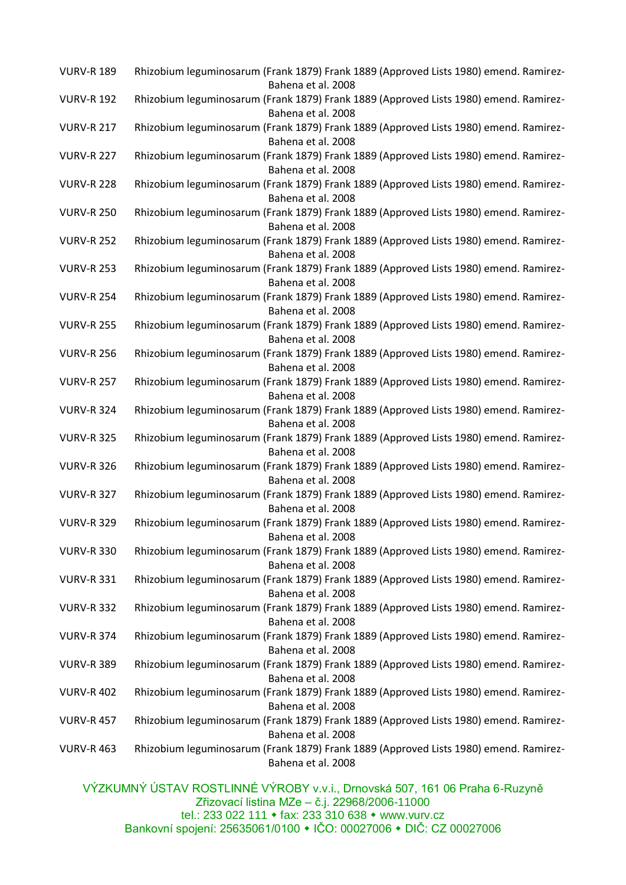| <b>VURV-R 189</b> | Rhizobium leguminosarum (Frank 1879) Frank 1889 (Approved Lists 1980) emend. Ramirez-<br>Bahena et al. 2008 |
|-------------------|-------------------------------------------------------------------------------------------------------------|
| <b>VURV-R 192</b> | Rhizobium leguminosarum (Frank 1879) Frank 1889 (Approved Lists 1980) emend. Ramirez-<br>Bahena et al. 2008 |
| <b>VURV-R 217</b> | Rhizobium leguminosarum (Frank 1879) Frank 1889 (Approved Lists 1980) emend. Ramirez-<br>Bahena et al. 2008 |
| <b>VURV-R 227</b> | Rhizobium leguminosarum (Frank 1879) Frank 1889 (Approved Lists 1980) emend. Ramirez-<br>Bahena et al. 2008 |
| <b>VURV-R 228</b> | Rhizobium leguminosarum (Frank 1879) Frank 1889 (Approved Lists 1980) emend. Ramirez-<br>Bahena et al. 2008 |
| <b>VURV-R 250</b> | Rhizobium leguminosarum (Frank 1879) Frank 1889 (Approved Lists 1980) emend. Ramirez-<br>Bahena et al. 2008 |
| <b>VURV-R 252</b> | Rhizobium leguminosarum (Frank 1879) Frank 1889 (Approved Lists 1980) emend. Ramirez-<br>Bahena et al. 2008 |
| <b>VURV-R 253</b> | Rhizobium leguminosarum (Frank 1879) Frank 1889 (Approved Lists 1980) emend. Ramirez-<br>Bahena et al. 2008 |
| <b>VURV-R 254</b> | Rhizobium leguminosarum (Frank 1879) Frank 1889 (Approved Lists 1980) emend. Ramirez-<br>Bahena et al. 2008 |
| <b>VURV-R 255</b> | Rhizobium leguminosarum (Frank 1879) Frank 1889 (Approved Lists 1980) emend. Ramirez-<br>Bahena et al. 2008 |
| <b>VURV-R 256</b> | Rhizobium leguminosarum (Frank 1879) Frank 1889 (Approved Lists 1980) emend. Ramirez-<br>Bahena et al. 2008 |
| <b>VURV-R 257</b> | Rhizobium leguminosarum (Frank 1879) Frank 1889 (Approved Lists 1980) emend. Ramirez-<br>Bahena et al. 2008 |
| <b>VURV-R 324</b> | Rhizobium leguminosarum (Frank 1879) Frank 1889 (Approved Lists 1980) emend. Ramirez-<br>Bahena et al. 2008 |
| <b>VURV-R 325</b> | Rhizobium leguminosarum (Frank 1879) Frank 1889 (Approved Lists 1980) emend. Ramirez-<br>Bahena et al. 2008 |
| <b>VURV-R 326</b> | Rhizobium leguminosarum (Frank 1879) Frank 1889 (Approved Lists 1980) emend. Ramirez-<br>Bahena et al. 2008 |
| <b>VURV-R 327</b> | Rhizobium leguminosarum (Frank 1879) Frank 1889 (Approved Lists 1980) emend. Ramirez-<br>Bahena et al. 2008 |
| <b>VURV-R 329</b> | Rhizobium leguminosarum (Frank 1879) Frank 1889 (Approved Lists 1980) emend. Ramirez-<br>Bahena et al. 2008 |
| <b>VURV-R 330</b> | Rhizobium leguminosarum (Frank 1879) Frank 1889 (Approved Lists 1980) emend. Ramirez-<br>Bahena et al. 2008 |
| <b>VURV-R 331</b> | Rhizobium leguminosarum (Frank 1879) Frank 1889 (Approved Lists 1980) emend. Ramirez-<br>Bahena et al. 2008 |
| <b>VURV-R 332</b> | Rhizobium leguminosarum (Frank 1879) Frank 1889 (Approved Lists 1980) emend. Ramirez-<br>Bahena et al. 2008 |
| <b>VURV-R 374</b> | Rhizobium leguminosarum (Frank 1879) Frank 1889 (Approved Lists 1980) emend. Ramirez-<br>Bahena et al. 2008 |
| <b>VURV-R 389</b> | Rhizobium leguminosarum (Frank 1879) Frank 1889 (Approved Lists 1980) emend. Ramirez-<br>Bahena et al. 2008 |
| <b>VURV-R 402</b> | Rhizobium leguminosarum (Frank 1879) Frank 1889 (Approved Lists 1980) emend. Ramirez-<br>Bahena et al. 2008 |
| <b>VURV-R 457</b> | Rhizobium leguminosarum (Frank 1879) Frank 1889 (Approved Lists 1980) emend. Ramirez-<br>Bahena et al. 2008 |
| <b>VURV-R 463</b> | Rhizobium leguminosarum (Frank 1879) Frank 1889 (Approved Lists 1980) emend. Ramirez-<br>Bahena et al. 2008 |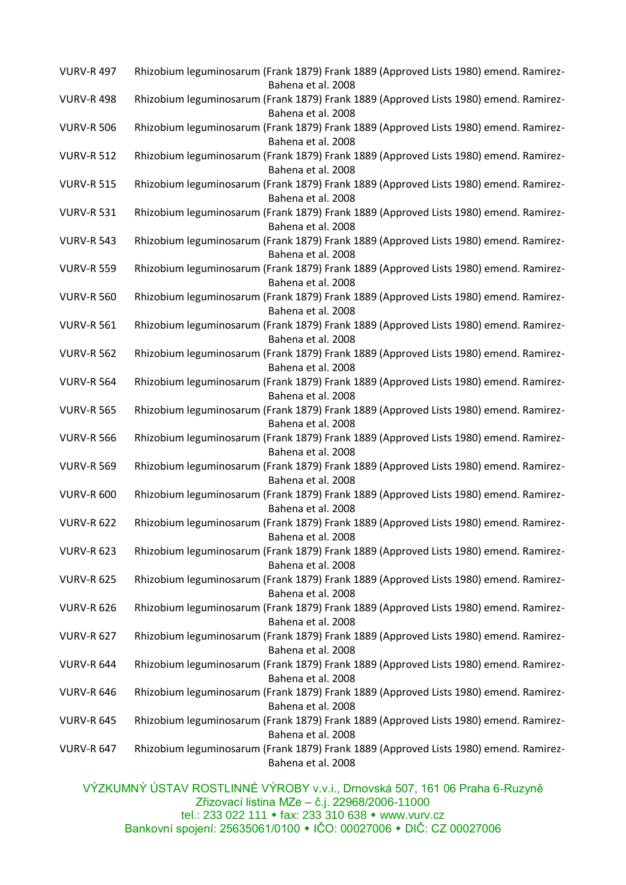| <b>VURV-R 497</b> | Rhizobium leguminosarum (Frank 1879) Frank 1889 (Approved Lists 1980) emend. Ramirez-<br>Bahena et al. 2008 |
|-------------------|-------------------------------------------------------------------------------------------------------------|
| <b>VURV-R 498</b> | Rhizobium leguminosarum (Frank 1879) Frank 1889 (Approved Lists 1980) emend. Ramirez-<br>Bahena et al. 2008 |
| <b>VURV-R 506</b> | Rhizobium leguminosarum (Frank 1879) Frank 1889 (Approved Lists 1980) emend. Ramirez-<br>Bahena et al. 2008 |
| <b>VURV-R 512</b> | Rhizobium leguminosarum (Frank 1879) Frank 1889 (Approved Lists 1980) emend. Ramirez-<br>Bahena et al. 2008 |
| <b>VURV-R 515</b> | Rhizobium leguminosarum (Frank 1879) Frank 1889 (Approved Lists 1980) emend. Ramirez-<br>Bahena et al. 2008 |
| <b>VURV-R 531</b> | Rhizobium leguminosarum (Frank 1879) Frank 1889 (Approved Lists 1980) emend. Ramirez-<br>Bahena et al. 2008 |
| <b>VURV-R 543</b> | Rhizobium leguminosarum (Frank 1879) Frank 1889 (Approved Lists 1980) emend. Ramirez-<br>Bahena et al. 2008 |
| <b>VURV-R 559</b> | Rhizobium leguminosarum (Frank 1879) Frank 1889 (Approved Lists 1980) emend. Ramirez-<br>Bahena et al. 2008 |
| <b>VURV-R 560</b> | Rhizobium leguminosarum (Frank 1879) Frank 1889 (Approved Lists 1980) emend. Ramirez-<br>Bahena et al. 2008 |
| <b>VURV-R 561</b> | Rhizobium leguminosarum (Frank 1879) Frank 1889 (Approved Lists 1980) emend. Ramirez-<br>Bahena et al. 2008 |
| <b>VURV-R 562</b> | Rhizobium leguminosarum (Frank 1879) Frank 1889 (Approved Lists 1980) emend. Ramirez-<br>Bahena et al. 2008 |
| <b>VURV-R 564</b> | Rhizobium leguminosarum (Frank 1879) Frank 1889 (Approved Lists 1980) emend. Ramirez-<br>Bahena et al. 2008 |
| <b>VURV-R 565</b> | Rhizobium leguminosarum (Frank 1879) Frank 1889 (Approved Lists 1980) emend. Ramirez-<br>Bahena et al. 2008 |
| <b>VURV-R 566</b> | Rhizobium leguminosarum (Frank 1879) Frank 1889 (Approved Lists 1980) emend. Ramirez-<br>Bahena et al. 2008 |
| <b>VURV-R 569</b> | Rhizobium leguminosarum (Frank 1879) Frank 1889 (Approved Lists 1980) emend. Ramirez-<br>Bahena et al. 2008 |
| <b>VURV-R 600</b> | Rhizobium leguminosarum (Frank 1879) Frank 1889 (Approved Lists 1980) emend. Ramirez-<br>Bahena et al. 2008 |
| <b>VURV-R 622</b> | Rhizobium leguminosarum (Frank 1879) Frank 1889 (Approved Lists 1980) emend. Ramirez-<br>Bahena et al. 2008 |
| <b>VURV-R 623</b> | Rhizobium leguminosarum (Frank 1879) Frank 1889 (Approved Lists 1980) emend. Ramirez-<br>Bahena et al. 2008 |
| <b>VURV-R 625</b> | Rhizobium leguminosarum (Frank 1879) Frank 1889 (Approved Lists 1980) emend. Ramirez-<br>Bahena et al. 2008 |
| <b>VURV-R 626</b> | Rhizobium leguminosarum (Frank 1879) Frank 1889 (Approved Lists 1980) emend. Ramirez-<br>Bahena et al. 2008 |
| <b>VURV-R 627</b> | Rhizobium leguminosarum (Frank 1879) Frank 1889 (Approved Lists 1980) emend. Ramirez-<br>Bahena et al. 2008 |
| <b>VURV-R 644</b> | Rhizobium leguminosarum (Frank 1879) Frank 1889 (Approved Lists 1980) emend. Ramirez-<br>Bahena et al. 2008 |
| <b>VURV-R 646</b> | Rhizobium leguminosarum (Frank 1879) Frank 1889 (Approved Lists 1980) emend. Ramirez-<br>Bahena et al. 2008 |
| <b>VURV-R 645</b> | Rhizobium leguminosarum (Frank 1879) Frank 1889 (Approved Lists 1980) emend. Ramirez-<br>Bahena et al. 2008 |
| <b>VURV-R 647</b> | Rhizobium leguminosarum (Frank 1879) Frank 1889 (Approved Lists 1980) emend. Ramirez-<br>Bahena et al. 2008 |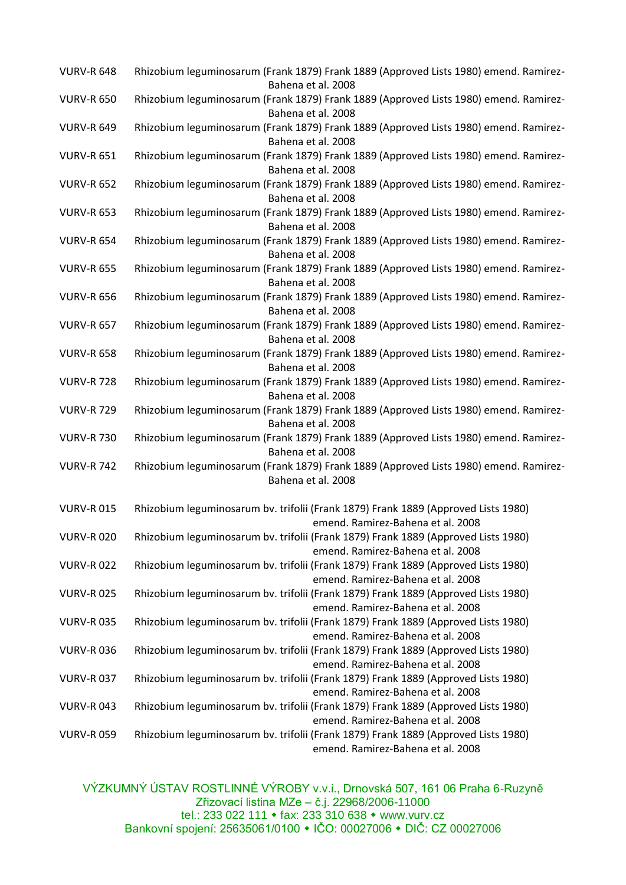| <b>VURV-R 648</b> | Rhizobium leguminosarum (Frank 1879) Frank 1889 (Approved Lists 1980) emend. Ramirez-<br>Bahena et al. 2008             |
|-------------------|-------------------------------------------------------------------------------------------------------------------------|
| <b>VURV-R 650</b> | Rhizobium leguminosarum (Frank 1879) Frank 1889 (Approved Lists 1980) emend. Ramirez-<br>Bahena et al. 2008             |
| <b>VURV-R 649</b> | Rhizobium leguminosarum (Frank 1879) Frank 1889 (Approved Lists 1980) emend. Ramirez-<br>Bahena et al. 2008             |
| <b>VURV-R 651</b> | Rhizobium leguminosarum (Frank 1879) Frank 1889 (Approved Lists 1980) emend. Ramirez-<br>Bahena et al. 2008             |
| <b>VURV-R 652</b> | Rhizobium leguminosarum (Frank 1879) Frank 1889 (Approved Lists 1980) emend. Ramirez-<br>Bahena et al. 2008             |
| <b>VURV-R 653</b> | Rhizobium leguminosarum (Frank 1879) Frank 1889 (Approved Lists 1980) emend. Ramirez-<br>Bahena et al. 2008             |
| <b>VURV-R 654</b> | Rhizobium leguminosarum (Frank 1879) Frank 1889 (Approved Lists 1980) emend. Ramirez-<br>Bahena et al. 2008             |
| <b>VURV-R 655</b> | Rhizobium leguminosarum (Frank 1879) Frank 1889 (Approved Lists 1980) emend. Ramirez-<br>Bahena et al. 2008             |
| <b>VURV-R 656</b> | Rhizobium leguminosarum (Frank 1879) Frank 1889 (Approved Lists 1980) emend. Ramirez-<br>Bahena et al. 2008             |
| <b>VURV-R 657</b> | Rhizobium leguminosarum (Frank 1879) Frank 1889 (Approved Lists 1980) emend. Ramirez-<br>Bahena et al. 2008             |
| <b>VURV-R 658</b> | Rhizobium leguminosarum (Frank 1879) Frank 1889 (Approved Lists 1980) emend. Ramirez-<br>Bahena et al. 2008             |
| <b>VURV-R 728</b> | Rhizobium leguminosarum (Frank 1879) Frank 1889 (Approved Lists 1980) emend. Ramirez-<br>Bahena et al. 2008             |
| <b>VURV-R 729</b> | Rhizobium leguminosarum (Frank 1879) Frank 1889 (Approved Lists 1980) emend. Ramirez-<br>Bahena et al. 2008             |
| <b>VURV-R 730</b> | Rhizobium leguminosarum (Frank 1879) Frank 1889 (Approved Lists 1980) emend. Ramirez-<br>Bahena et al. 2008             |
| <b>VURV-R 742</b> | Rhizobium leguminosarum (Frank 1879) Frank 1889 (Approved Lists 1980) emend. Ramirez-<br>Bahena et al. 2008             |
| <b>VURV-R015</b>  | Rhizobium leguminosarum bv. trifolii (Frank 1879) Frank 1889 (Approved Lists 1980)<br>emend. Ramirez-Bahena et al. 2008 |
| <b>VURV-R020</b>  | Rhizobium leguminosarum bv. trifolii (Frank 1879) Frank 1889 (Approved Lists 1980)<br>emend. Ramirez-Bahena et al. 2008 |
| <b>VURV-R022</b>  | Rhizobium leguminosarum bv. trifolii (Frank 1879) Frank 1889 (Approved Lists 1980)<br>emend. Ramirez-Bahena et al. 2008 |
| <b>VURV-R025</b>  | Rhizobium leguminosarum bv. trifolii (Frank 1879) Frank 1889 (Approved Lists 1980)<br>emend. Ramirez-Bahena et al. 2008 |
| <b>VURV-R035</b>  | Rhizobium leguminosarum bv. trifolii (Frank 1879) Frank 1889 (Approved Lists 1980)<br>emend. Ramirez-Bahena et al. 2008 |
| <b>VURV-R036</b>  | Rhizobium leguminosarum bv. trifolii (Frank 1879) Frank 1889 (Approved Lists 1980)<br>emend. Ramirez-Bahena et al. 2008 |
| <b>VURV-R037</b>  | Rhizobium leguminosarum bv. trifolii (Frank 1879) Frank 1889 (Approved Lists 1980)<br>emend. Ramirez-Bahena et al. 2008 |
| <b>VURV-R043</b>  | Rhizobium leguminosarum bv. trifolii (Frank 1879) Frank 1889 (Approved Lists 1980)<br>emend. Ramirez-Bahena et al. 2008 |
| <b>VURV-R059</b>  | Rhizobium leguminosarum bv. trifolii (Frank 1879) Frank 1889 (Approved Lists 1980)<br>emend. Ramirez-Bahena et al. 2008 |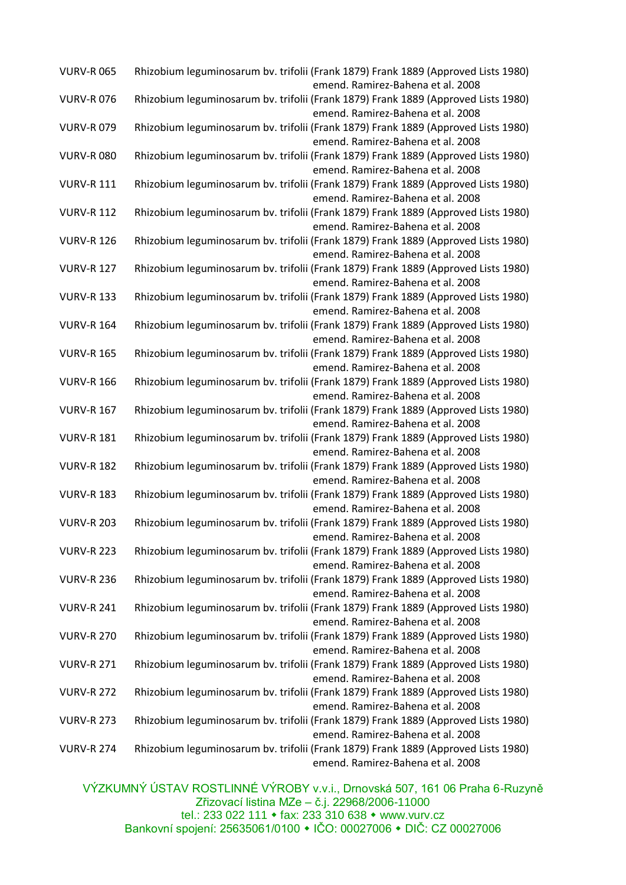| <b>VURV-R065</b>  | Rhizobium leguminosarum bv. trifolii (Frank 1879) Frank 1889 (Approved Lists 1980)<br>emend. Ramirez-Bahena et al. 2008 |
|-------------------|-------------------------------------------------------------------------------------------------------------------------|
| <b>VURV-R076</b>  | Rhizobium leguminosarum bv. trifolii (Frank 1879) Frank 1889 (Approved Lists 1980)                                      |
|                   | emend. Ramirez-Bahena et al. 2008                                                                                       |
| <b>VURV-R079</b>  | Rhizobium leguminosarum bv. trifolii (Frank 1879) Frank 1889 (Approved Lists 1980)<br>emend. Ramirez-Bahena et al. 2008 |
| <b>VURV-R080</b>  | Rhizobium leguminosarum bv. trifolii (Frank 1879) Frank 1889 (Approved Lists 1980)                                      |
|                   | emend. Ramirez-Bahena et al. 2008                                                                                       |
| <b>VURV-R 111</b> | Rhizobium leguminosarum bv. trifolii (Frank 1879) Frank 1889 (Approved Lists 1980)                                      |
|                   | emend. Ramirez-Bahena et al. 2008                                                                                       |
| <b>VURV-R 112</b> | Rhizobium leguminosarum bv. trifolii (Frank 1879) Frank 1889 (Approved Lists 1980)                                      |
|                   | emend. Ramirez-Bahena et al. 2008                                                                                       |
| <b>VURV-R 126</b> | Rhizobium leguminosarum bv. trifolii (Frank 1879) Frank 1889 (Approved Lists 1980)                                      |
|                   | emend. Ramirez-Bahena et al. 2008                                                                                       |
| <b>VURV-R 127</b> | Rhizobium leguminosarum bv. trifolii (Frank 1879) Frank 1889 (Approved Lists 1980)                                      |
|                   | emend. Ramirez-Bahena et al. 2008                                                                                       |
| <b>VURV-R 133</b> | Rhizobium leguminosarum bv. trifolii (Frank 1879) Frank 1889 (Approved Lists 1980)                                      |
|                   | emend. Ramirez-Bahena et al. 2008                                                                                       |
| <b>VURV-R 164</b> | Rhizobium leguminosarum bv. trifolii (Frank 1879) Frank 1889 (Approved Lists 1980)                                      |
|                   | emend. Ramirez-Bahena et al. 2008                                                                                       |
| <b>VURV-R 165</b> | Rhizobium leguminosarum bv. trifolii (Frank 1879) Frank 1889 (Approved Lists 1980)                                      |
|                   | emend. Ramirez-Bahena et al. 2008                                                                                       |
| <b>VURV-R 166</b> | Rhizobium leguminosarum bv. trifolii (Frank 1879) Frank 1889 (Approved Lists 1980)                                      |
|                   | emend. Ramirez-Bahena et al. 2008                                                                                       |
| <b>VURV-R 167</b> | Rhizobium leguminosarum bv. trifolii (Frank 1879) Frank 1889 (Approved Lists 1980)                                      |
|                   | emend. Ramirez-Bahena et al. 2008                                                                                       |
| <b>VURV-R 181</b> | Rhizobium leguminosarum bv. trifolii (Frank 1879) Frank 1889 (Approved Lists 1980)                                      |
|                   | emend. Ramirez-Bahena et al. 2008                                                                                       |
| <b>VURV-R 182</b> | Rhizobium leguminosarum bv. trifolii (Frank 1879) Frank 1889 (Approved Lists 1980)                                      |
|                   | emend. Ramirez-Bahena et al. 2008                                                                                       |
| <b>VURV-R 183</b> | Rhizobium leguminosarum bv. trifolii (Frank 1879) Frank 1889 (Approved Lists 1980)                                      |
|                   | emend. Ramirez-Bahena et al. 2008                                                                                       |
| <b>VURV-R 203</b> | Rhizobium leguminosarum bv. trifolii (Frank 1879) Frank 1889 (Approved Lists 1980)                                      |
|                   | emend. Ramirez-Bahena et al. 2008                                                                                       |
| <b>VURV-R 223</b> | Rhizobium leguminosarum bv. trifolii (Frank 1879) Frank 1889 (Approved Lists 1980)                                      |
|                   | emend. Ramirez-Bahena et al. 2008                                                                                       |
| <b>VURV-R 236</b> | Rhizobium leguminosarum bv. trifolii (Frank 1879) Frank 1889 (Approved Lists 1980)                                      |
|                   | emend. Ramirez-Bahena et al. 2008                                                                                       |
| <b>VURV-R 241</b> | Rhizobium leguminosarum bv. trifolii (Frank 1879) Frank 1889 (Approved Lists 1980)                                      |
|                   | emend. Ramirez-Bahena et al. 2008                                                                                       |
| <b>VURV-R 270</b> | Rhizobium leguminosarum bv. trifolii (Frank 1879) Frank 1889 (Approved Lists 1980)                                      |
|                   | emend. Ramirez-Bahena et al. 2008                                                                                       |
| <b>VURV-R 271</b> | Rhizobium leguminosarum bv. trifolii (Frank 1879) Frank 1889 (Approved Lists 1980)                                      |
|                   | emend. Ramirez-Bahena et al. 2008                                                                                       |
| <b>VURV-R 272</b> | Rhizobium leguminosarum bv. trifolii (Frank 1879) Frank 1889 (Approved Lists 1980)                                      |
|                   | emend. Ramirez-Bahena et al. 2008                                                                                       |
| <b>VURV-R 273</b> | Rhizobium leguminosarum bv. trifolii (Frank 1879) Frank 1889 (Approved Lists 1980)                                      |
|                   | emend. Ramirez-Bahena et al. 2008                                                                                       |
| <b>VURV-R 274</b> | Rhizobium leguminosarum bv. trifolii (Frank 1879) Frank 1889 (Approved Lists 1980)<br>emend. Ramirez-Bahena et al. 2008 |
|                   |                                                                                                                         |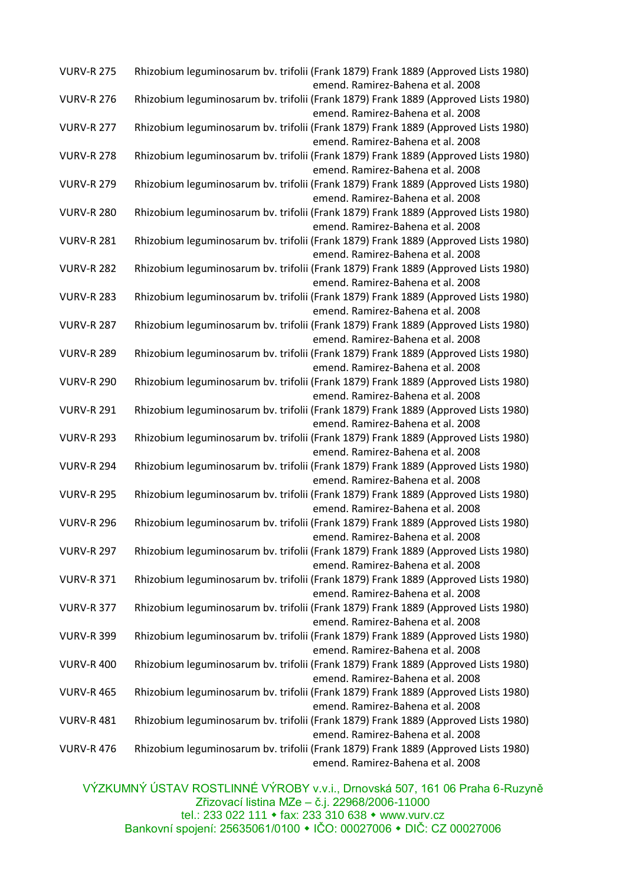| <b>VURV-R 275</b> | Rhizobium leguminosarum bv. trifolii (Frank 1879) Frank 1889 (Approved Lists 1980)<br>emend. Ramirez-Bahena et al. 2008 |
|-------------------|-------------------------------------------------------------------------------------------------------------------------|
| <b>VURV-R 276</b> | Rhizobium leguminosarum bv. trifolii (Frank 1879) Frank 1889 (Approved Lists 1980)                                      |
|                   | emend. Ramirez-Bahena et al. 2008                                                                                       |
| <b>VURV-R 277</b> | Rhizobium leguminosarum bv. trifolii (Frank 1879) Frank 1889 (Approved Lists 1980)<br>emend. Ramirez-Bahena et al. 2008 |
| <b>VURV-R 278</b> | Rhizobium leguminosarum bv. trifolii (Frank 1879) Frank 1889 (Approved Lists 1980)                                      |
|                   | emend. Ramirez-Bahena et al. 2008                                                                                       |
| <b>VURV-R 279</b> | Rhizobium leguminosarum bv. trifolii (Frank 1879) Frank 1889 (Approved Lists 1980)                                      |
|                   | emend. Ramirez-Bahena et al. 2008                                                                                       |
| <b>VURV-R 280</b> | Rhizobium leguminosarum bv. trifolii (Frank 1879) Frank 1889 (Approved Lists 1980)                                      |
|                   | emend. Ramirez-Bahena et al. 2008                                                                                       |
| <b>VURV-R 281</b> | Rhizobium leguminosarum bv. trifolii (Frank 1879) Frank 1889 (Approved Lists 1980)                                      |
|                   | emend. Ramirez-Bahena et al. 2008                                                                                       |
| <b>VURV-R 282</b> | Rhizobium leguminosarum bv. trifolii (Frank 1879) Frank 1889 (Approved Lists 1980)                                      |
|                   | emend. Ramirez-Bahena et al. 2008                                                                                       |
| <b>VURV-R 283</b> | Rhizobium leguminosarum bv. trifolii (Frank 1879) Frank 1889 (Approved Lists 1980)                                      |
|                   | emend. Ramirez-Bahena et al. 2008                                                                                       |
| <b>VURV-R 287</b> | Rhizobium leguminosarum bv. trifolii (Frank 1879) Frank 1889 (Approved Lists 1980)                                      |
|                   | emend. Ramirez-Bahena et al. 2008                                                                                       |
|                   |                                                                                                                         |
| <b>VURV-R 289</b> | Rhizobium leguminosarum bv. trifolii (Frank 1879) Frank 1889 (Approved Lists 1980)                                      |
|                   | emend. Ramirez-Bahena et al. 2008                                                                                       |
| <b>VURV-R 290</b> | Rhizobium leguminosarum bv. trifolii (Frank 1879) Frank 1889 (Approved Lists 1980)                                      |
|                   | emend. Ramirez-Bahena et al. 2008                                                                                       |
| <b>VURV-R 291</b> | Rhizobium leguminosarum bv. trifolii (Frank 1879) Frank 1889 (Approved Lists 1980)                                      |
|                   | emend. Ramirez-Bahena et al. 2008                                                                                       |
| <b>VURV-R 293</b> | Rhizobium leguminosarum bv. trifolii (Frank 1879) Frank 1889 (Approved Lists 1980)                                      |
|                   | emend. Ramirez-Bahena et al. 2008                                                                                       |
| <b>VURV-R 294</b> | Rhizobium leguminosarum bv. trifolii (Frank 1879) Frank 1889 (Approved Lists 1980)                                      |
| <b>VURV-R 295</b> | emend. Ramirez-Bahena et al. 2008<br>Rhizobium leguminosarum bv. trifolii (Frank 1879) Frank 1889 (Approved Lists 1980) |
|                   | emend. Ramirez-Bahena et al. 2008                                                                                       |
| <b>VURV-R 296</b> | Rhizobium leguminosarum bv. trifolii (Frank 1879) Frank 1889 (Approved Lists 1980)                                      |
|                   | emend. Ramirez-Bahena et al. 2008                                                                                       |
| <b>VURV-R 297</b> | Rhizobium leguminosarum bv. trifolii (Frank 1879) Frank 1889 (Approved Lists 1980)                                      |
|                   | emend. Ramirez-Bahena et al. 2008                                                                                       |
| <b>VURV-R 371</b> | Rhizobium leguminosarum bv. trifolii (Frank 1879) Frank 1889 (Approved Lists 1980)                                      |
|                   | emend. Ramirez-Bahena et al. 2008                                                                                       |
| <b>VURV-R 377</b> | Rhizobium leguminosarum bv. trifolii (Frank 1879) Frank 1889 (Approved Lists 1980)                                      |
|                   | emend. Ramirez-Bahena et al. 2008                                                                                       |
| <b>VURV-R 399</b> | Rhizobium leguminosarum bv. trifolii (Frank 1879) Frank 1889 (Approved Lists 1980)                                      |
|                   | emend. Ramirez-Bahena et al. 2008                                                                                       |
| <b>VURV-R 400</b> | Rhizobium leguminosarum bv. trifolii (Frank 1879) Frank 1889 (Approved Lists 1980)                                      |
|                   | emend. Ramirez-Bahena et al. 2008                                                                                       |
| <b>VURV-R 465</b> | Rhizobium leguminosarum bv. trifolii (Frank 1879) Frank 1889 (Approved Lists 1980)                                      |
|                   | emend. Ramirez-Bahena et al. 2008                                                                                       |
| <b>VURV-R 481</b> | Rhizobium leguminosarum bv. trifolii (Frank 1879) Frank 1889 (Approved Lists 1980)                                      |
|                   | emend. Ramirez-Bahena et al. 2008                                                                                       |
| <b>VURV-R 476</b> | Rhizobium leguminosarum bv. trifolii (Frank 1879) Frank 1889 (Approved Lists 1980)                                      |
|                   | emend. Ramirez-Bahena et al. 2008                                                                                       |
|                   |                                                                                                                         |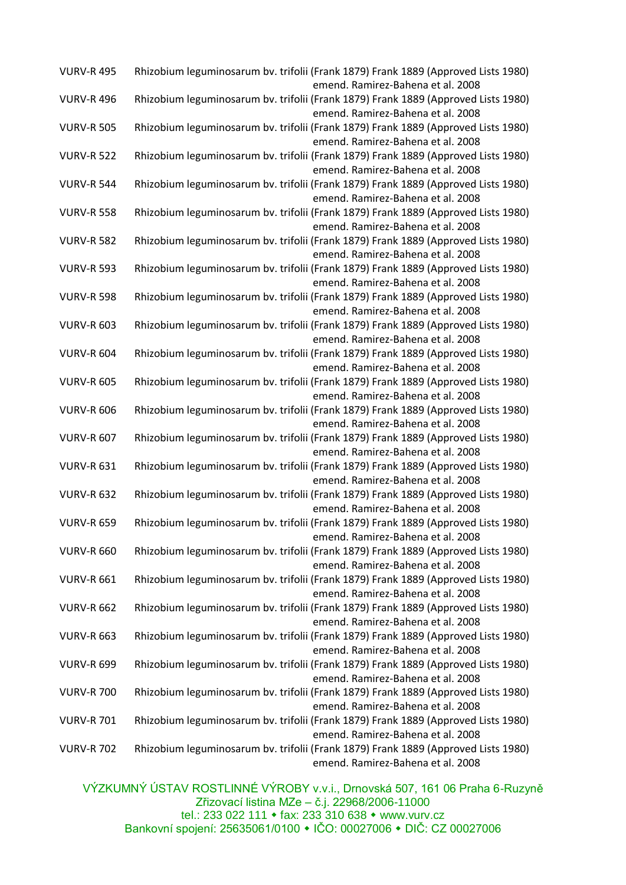| <b>VURV-R 495</b> | Rhizobium leguminosarum bv. trifolii (Frank 1879) Frank 1889 (Approved Lists 1980)<br>emend. Ramirez-Bahena et al. 2008 |
|-------------------|-------------------------------------------------------------------------------------------------------------------------|
| <b>VURV-R 496</b> | Rhizobium leguminosarum bv. trifolii (Frank 1879) Frank 1889 (Approved Lists 1980)                                      |
|                   | emend. Ramirez-Bahena et al. 2008                                                                                       |
| <b>VURV-R 505</b> | Rhizobium leguminosarum bv. trifolii (Frank 1879) Frank 1889 (Approved Lists 1980)<br>emend. Ramirez-Bahena et al. 2008 |
| <b>VURV-R 522</b> | Rhizobium leguminosarum bv. trifolii (Frank 1879) Frank 1889 (Approved Lists 1980)<br>emend. Ramirez-Bahena et al. 2008 |
| <b>VURV-R 544</b> | Rhizobium leguminosarum bv. trifolii (Frank 1879) Frank 1889 (Approved Lists 1980)                                      |
|                   | emend. Ramirez-Bahena et al. 2008                                                                                       |
| <b>VURV-R 558</b> | Rhizobium leguminosarum bv. trifolii (Frank 1879) Frank 1889 (Approved Lists 1980)                                      |
|                   | emend. Ramirez-Bahena et al. 2008                                                                                       |
| <b>VURV-R 582</b> | Rhizobium leguminosarum bv. trifolii (Frank 1879) Frank 1889 (Approved Lists 1980)                                      |
|                   | emend. Ramirez-Bahena et al. 2008                                                                                       |
| <b>VURV-R 593</b> | Rhizobium leguminosarum bv. trifolii (Frank 1879) Frank 1889 (Approved Lists 1980)                                      |
|                   | emend. Ramirez-Bahena et al. 2008                                                                                       |
| <b>VURV-R 598</b> | Rhizobium leguminosarum bv. trifolii (Frank 1879) Frank 1889 (Approved Lists 1980)                                      |
|                   | emend. Ramirez-Bahena et al. 2008                                                                                       |
| <b>VURV-R 603</b> | Rhizobium leguminosarum bv. trifolii (Frank 1879) Frank 1889 (Approved Lists 1980)                                      |
|                   | emend. Ramirez-Bahena et al. 2008                                                                                       |
| <b>VURV-R 604</b> | Rhizobium leguminosarum bv. trifolii (Frank 1879) Frank 1889 (Approved Lists 1980)                                      |
|                   | emend. Ramirez-Bahena et al. 2008                                                                                       |
| <b>VURV-R 605</b> | Rhizobium leguminosarum bv. trifolii (Frank 1879) Frank 1889 (Approved Lists 1980)                                      |
|                   | emend. Ramirez-Bahena et al. 2008                                                                                       |
| <b>VURV-R 606</b> | Rhizobium leguminosarum bv. trifolii (Frank 1879) Frank 1889 (Approved Lists 1980)                                      |
|                   | emend. Ramirez-Bahena et al. 2008                                                                                       |
| <b>VURV-R 607</b> | Rhizobium leguminosarum bv. trifolii (Frank 1879) Frank 1889 (Approved Lists 1980)                                      |
|                   | emend. Ramirez-Bahena et al. 2008                                                                                       |
| <b>VURV-R 631</b> | Rhizobium leguminosarum bv. trifolii (Frank 1879) Frank 1889 (Approved Lists 1980)                                      |
|                   | emend. Ramirez-Bahena et al. 2008                                                                                       |
| <b>VURV-R 632</b> | Rhizobium leguminosarum bv. trifolii (Frank 1879) Frank 1889 (Approved Lists 1980)                                      |
|                   | emend. Ramirez-Bahena et al. 2008                                                                                       |
| <b>VURV-R 659</b> | Rhizobium leguminosarum bv. trifolii (Frank 1879) Frank 1889 (Approved Lists 1980)                                      |
|                   | emend. Ramirez-Bahena et al. 2008                                                                                       |
| <b>VURV-R 660</b> | Rhizobium leguminosarum bv. trifolii (Frank 1879) Frank 1889 (Approved Lists 1980)                                      |
|                   | emend. Ramirez-Bahena et al. 2008                                                                                       |
| <b>VURV-R 661</b> | Rhizobium leguminosarum bv. trifolii (Frank 1879) Frank 1889 (Approved Lists 1980)                                      |
|                   | emend. Ramirez-Bahena et al. 2008                                                                                       |
| <b>VURV-R 662</b> | Rhizobium leguminosarum bv. trifolii (Frank 1879) Frank 1889 (Approved Lists 1980)                                      |
|                   | emend. Ramirez-Bahena et al. 2008                                                                                       |
| <b>VURV-R 663</b> | Rhizobium leguminosarum bv. trifolii (Frank 1879) Frank 1889 (Approved Lists 1980)                                      |
|                   | emend. Ramirez-Bahena et al. 2008                                                                                       |
| <b>VURV-R 699</b> | Rhizobium leguminosarum bv. trifolii (Frank 1879) Frank 1889 (Approved Lists 1980)                                      |
|                   | emend. Ramirez-Bahena et al. 2008                                                                                       |
| <b>VURV-R 700</b> | Rhizobium leguminosarum bv. trifolii (Frank 1879) Frank 1889 (Approved Lists 1980)                                      |
|                   | emend. Ramirez-Bahena et al. 2008                                                                                       |
| <b>VURV-R 701</b> | Rhizobium leguminosarum bv. trifolii (Frank 1879) Frank 1889 (Approved Lists 1980)                                      |
|                   | emend. Ramirez-Bahena et al. 2008                                                                                       |
| <b>VURV-R 702</b> | Rhizobium leguminosarum bv. trifolii (Frank 1879) Frank 1889 (Approved Lists 1980)<br>emend. Ramirez-Bahena et al. 2008 |
|                   |                                                                                                                         |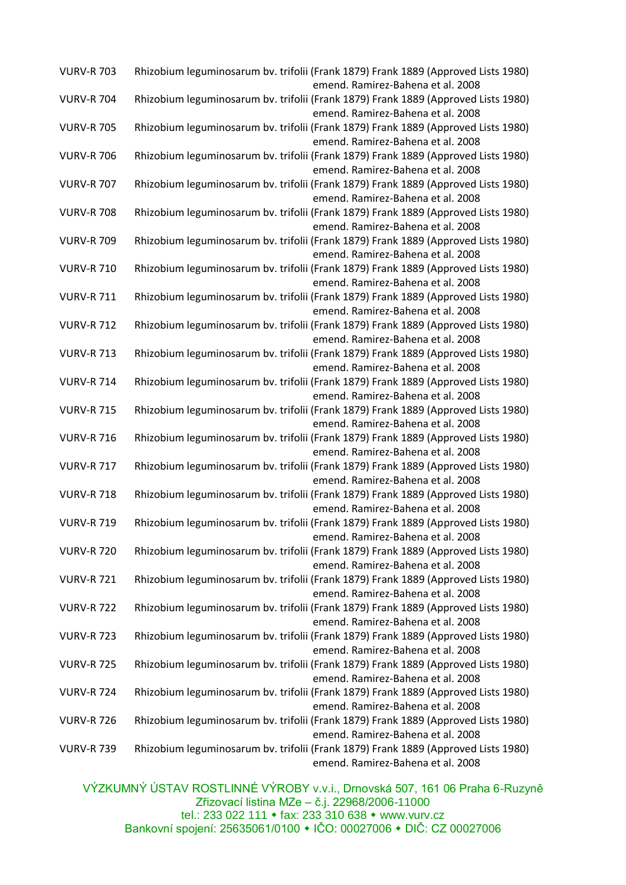| <b>VURV-R 703</b> | Rhizobium leguminosarum bv. trifolii (Frank 1879) Frank 1889 (Approved Lists 1980)<br>emend. Ramirez-Bahena et al. 2008 |
|-------------------|-------------------------------------------------------------------------------------------------------------------------|
| <b>VURV-R 704</b> | Rhizobium leguminosarum bv. trifolii (Frank 1879) Frank 1889 (Approved Lists 1980)<br>emend. Ramirez-Bahena et al. 2008 |
| <b>VURV-R 705</b> | Rhizobium leguminosarum bv. trifolii (Frank 1879) Frank 1889 (Approved Lists 1980)<br>emend. Ramirez-Bahena et al. 2008 |
| <b>VURV-R 706</b> | Rhizobium leguminosarum bv. trifolii (Frank 1879) Frank 1889 (Approved Lists 1980)<br>emend. Ramirez-Bahena et al. 2008 |
| <b>VURV-R 707</b> | Rhizobium leguminosarum bv. trifolii (Frank 1879) Frank 1889 (Approved Lists 1980)<br>emend. Ramirez-Bahena et al. 2008 |
| <b>VURV-R 708</b> | Rhizobium leguminosarum bv. trifolii (Frank 1879) Frank 1889 (Approved Lists 1980)<br>emend. Ramirez-Bahena et al. 2008 |
| <b>VURV-R 709</b> | Rhizobium leguminosarum bv. trifolii (Frank 1879) Frank 1889 (Approved Lists 1980)<br>emend. Ramirez-Bahena et al. 2008 |
| <b>VURV-R 710</b> | Rhizobium leguminosarum bv. trifolii (Frank 1879) Frank 1889 (Approved Lists 1980)<br>emend. Ramirez-Bahena et al. 2008 |
| <b>VURV-R 711</b> | Rhizobium leguminosarum bv. trifolii (Frank 1879) Frank 1889 (Approved Lists 1980)<br>emend. Ramirez-Bahena et al. 2008 |
| <b>VURV-R 712</b> | Rhizobium leguminosarum bv. trifolii (Frank 1879) Frank 1889 (Approved Lists 1980)<br>emend. Ramirez-Bahena et al. 2008 |
| <b>VURV-R 713</b> | Rhizobium leguminosarum bv. trifolii (Frank 1879) Frank 1889 (Approved Lists 1980)<br>emend. Ramirez-Bahena et al. 2008 |
| <b>VURV-R 714</b> | Rhizobium leguminosarum bv. trifolii (Frank 1879) Frank 1889 (Approved Lists 1980)<br>emend. Ramirez-Bahena et al. 2008 |
| <b>VURV-R 715</b> | Rhizobium leguminosarum bv. trifolii (Frank 1879) Frank 1889 (Approved Lists 1980)<br>emend. Ramirez-Bahena et al. 2008 |
| <b>VURV-R 716</b> | Rhizobium leguminosarum bv. trifolii (Frank 1879) Frank 1889 (Approved Lists 1980)<br>emend. Ramirez-Bahena et al. 2008 |
| <b>VURV-R 717</b> | Rhizobium leguminosarum bv. trifolii (Frank 1879) Frank 1889 (Approved Lists 1980)<br>emend. Ramirez-Bahena et al. 2008 |
| <b>VURV-R 718</b> | Rhizobium leguminosarum bv. trifolii (Frank 1879) Frank 1889 (Approved Lists 1980)<br>emend. Ramirez-Bahena et al. 2008 |
| <b>VURV-R 719</b> | Rhizobium leguminosarum bv. trifolii (Frank 1879) Frank 1889 (Approved Lists 1980)<br>emend. Ramirez-Bahena et al. 2008 |
| <b>VURV-R 720</b> | Rhizobium leguminosarum bv. trifolii (Frank 1879) Frank 1889 (Approved Lists 1980)<br>emend. Ramirez-Bahena et al. 2008 |
| <b>VURV-R 721</b> | Rhizobium leguminosarum bv. trifolii (Frank 1879) Frank 1889 (Approved Lists 1980)<br>emend. Ramirez-Bahena et al. 2008 |
| <b>VURV-R 722</b> | Rhizobium leguminosarum bv. trifolii (Frank 1879) Frank 1889 (Approved Lists 1980)<br>emend. Ramirez-Bahena et al. 2008 |
| <b>VURV-R 723</b> | Rhizobium leguminosarum bv. trifolii (Frank 1879) Frank 1889 (Approved Lists 1980)<br>emend. Ramirez-Bahena et al. 2008 |
| <b>VURV-R 725</b> | Rhizobium leguminosarum bv. trifolii (Frank 1879) Frank 1889 (Approved Lists 1980)<br>emend. Ramirez-Bahena et al. 2008 |
| <b>VURV-R 724</b> | Rhizobium leguminosarum bv. trifolii (Frank 1879) Frank 1889 (Approved Lists 1980)<br>emend. Ramirez-Bahena et al. 2008 |
| <b>VURV-R 726</b> | Rhizobium leguminosarum bv. trifolii (Frank 1879) Frank 1889 (Approved Lists 1980)<br>emend. Ramirez-Bahena et al. 2008 |
| <b>VURV-R 739</b> | Rhizobium leguminosarum bv. trifolii (Frank 1879) Frank 1889 (Approved Lists 1980)<br>emend. Ramirez-Bahena et al. 2008 |
|                   |                                                                                                                         |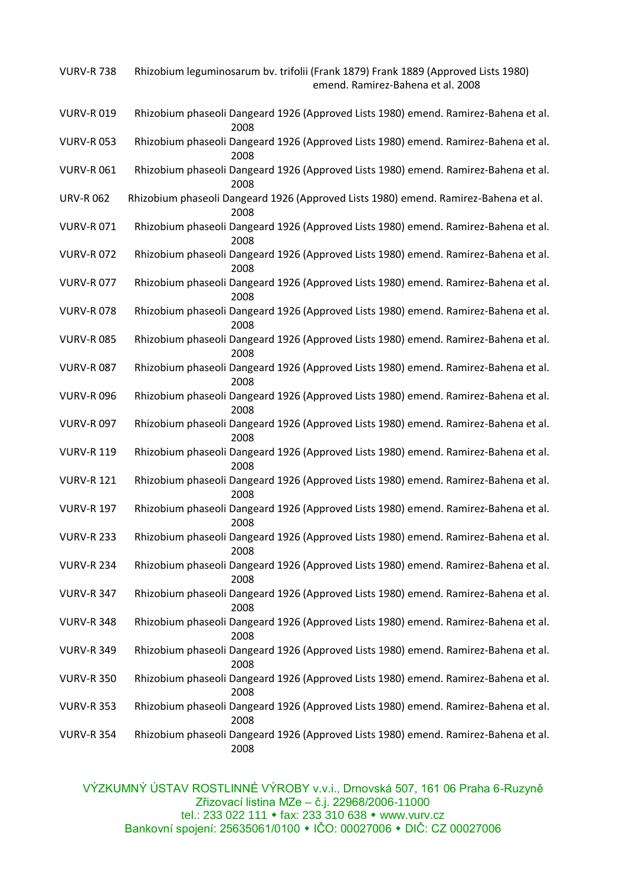| <b>VURV-R 738</b> | Rhizobium leguminosarum bv. trifolii (Frank 1879) Frank 1889 (Approved Lists 1980)<br>emend. Ramirez-Bahena et al. 2008 |
|-------------------|-------------------------------------------------------------------------------------------------------------------------|
| <b>VURV-R019</b>  | Rhizobium phaseoli Dangeard 1926 (Approved Lists 1980) emend. Ramirez-Bahena et al.<br>2008                             |
| <b>VURV-R053</b>  | Rhizobium phaseoli Dangeard 1926 (Approved Lists 1980) emend. Ramirez-Bahena et al.<br>2008                             |
| <b>VURV-R061</b>  | Rhizobium phaseoli Dangeard 1926 (Approved Lists 1980) emend. Ramirez-Bahena et al.<br>2008                             |
| <b>URV-R062</b>   | Rhizobium phaseoli Dangeard 1926 (Approved Lists 1980) emend. Ramirez-Bahena et al.<br>2008                             |
| <b>VURV-R071</b>  | Rhizobium phaseoli Dangeard 1926 (Approved Lists 1980) emend. Ramirez-Bahena et al.<br>2008                             |
| <b>VURV-R072</b>  | Rhizobium phaseoli Dangeard 1926 (Approved Lists 1980) emend. Ramirez-Bahena et al.<br>2008                             |
| <b>VURV-R077</b>  | Rhizobium phaseoli Dangeard 1926 (Approved Lists 1980) emend. Ramirez-Bahena et al.<br>2008                             |
| <b>VURV-R078</b>  | Rhizobium phaseoli Dangeard 1926 (Approved Lists 1980) emend. Ramirez-Bahena et al.<br>2008                             |
| <b>VURV-R085</b>  | Rhizobium phaseoli Dangeard 1926 (Approved Lists 1980) emend. Ramirez-Bahena et al.<br>2008                             |
| <b>VURV-R087</b>  | Rhizobium phaseoli Dangeard 1926 (Approved Lists 1980) emend. Ramirez-Bahena et al.<br>2008                             |
| <b>VURV-R096</b>  | Rhizobium phaseoli Dangeard 1926 (Approved Lists 1980) emend. Ramirez-Bahena et al.<br>2008                             |
| <b>VURV-R097</b>  | Rhizobium phaseoli Dangeard 1926 (Approved Lists 1980) emend. Ramirez-Bahena et al.<br>2008                             |
| <b>VURV-R 119</b> | Rhizobium phaseoli Dangeard 1926 (Approved Lists 1980) emend. Ramirez-Bahena et al.<br>2008                             |
| <b>VURV-R 121</b> | Rhizobium phaseoli Dangeard 1926 (Approved Lists 1980) emend. Ramirez-Bahena et al.<br>2008                             |
| <b>VURV-R 197</b> | Rhizobium phaseoli Dangeard 1926 (Approved Lists 1980) emend. Ramirez-Bahena et al.<br>2008                             |
| <b>VURV-R 233</b> | Rhizobium phaseoli Dangeard 1926 (Approved Lists 1980) emend. Ramirez-Bahena et al.<br>2008                             |
| <b>VURV-R 234</b> | Rhizobium phaseoli Dangeard 1926 (Approved Lists 1980) emend. Ramirez-Bahena et al.<br>2008                             |
| <b>VURV-R 347</b> | Rhizobium phaseoli Dangeard 1926 (Approved Lists 1980) emend. Ramirez-Bahena et al.<br>2008                             |
| <b>VURV-R 348</b> | Rhizobium phaseoli Dangeard 1926 (Approved Lists 1980) emend. Ramirez-Bahena et al.<br>2008                             |
| <b>VURV-R 349</b> | Rhizobium phaseoli Dangeard 1926 (Approved Lists 1980) emend. Ramirez-Bahena et al.<br>2008                             |
| <b>VURV-R 350</b> | Rhizobium phaseoli Dangeard 1926 (Approved Lists 1980) emend. Ramirez-Bahena et al.<br>2008                             |
| <b>VURV-R 353</b> | Rhizobium phaseoli Dangeard 1926 (Approved Lists 1980) emend. Ramirez-Bahena et al.<br>2008                             |
| <b>VURV-R 354</b> | Rhizobium phaseoli Dangeard 1926 (Approved Lists 1980) emend. Ramirez-Bahena et al.<br>2008                             |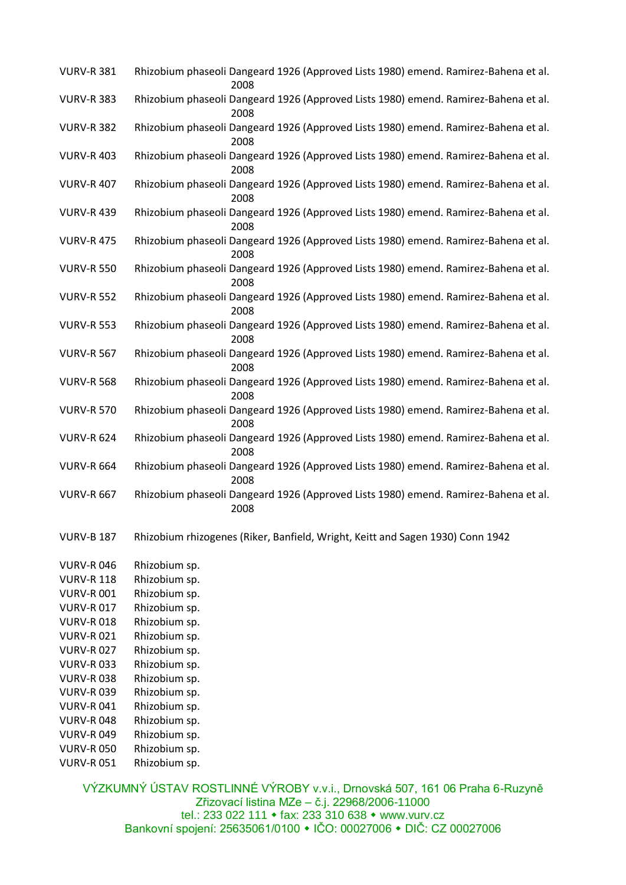| <b>VURV-R 381</b> | Rhizobium phaseoli Dangeard 1926 (Approved Lists 1980) emend. Ramirez-Bahena et al. | 2008 |  |  |  |
|-------------------|-------------------------------------------------------------------------------------|------|--|--|--|
| <b>VURV-R 383</b> | Rhizobium phaseoli Dangeard 1926 (Approved Lists 1980) emend. Ramirez-Bahena et al. | 2008 |  |  |  |
| <b>VURV-R 382</b> | Rhizobium phaseoli Dangeard 1926 (Approved Lists 1980) emend. Ramirez-Bahena et al. | 2008 |  |  |  |
| <b>VURV-R 403</b> | Rhizobium phaseoli Dangeard 1926 (Approved Lists 1980) emend. Ramirez-Bahena et al. | 2008 |  |  |  |
| VURV-R 407        | Rhizobium phaseoli Dangeard 1926 (Approved Lists 1980) emend. Ramirez-Bahena et al. | 2008 |  |  |  |
| <b>VURV-R 439</b> | Rhizobium phaseoli Dangeard 1926 (Approved Lists 1980) emend. Ramirez-Bahena et al. | 2008 |  |  |  |
| <b>VURV-R 475</b> | Rhizobium phaseoli Dangeard 1926 (Approved Lists 1980) emend. Ramirez-Bahena et al. | 2008 |  |  |  |
| <b>VURV-R 550</b> | Rhizobium phaseoli Dangeard 1926 (Approved Lists 1980) emend. Ramirez-Bahena et al. | 2008 |  |  |  |
| <b>VURV-R 552</b> | Rhizobium phaseoli Dangeard 1926 (Approved Lists 1980) emend. Ramirez-Bahena et al. | 2008 |  |  |  |
| <b>VURV-R 553</b> | Rhizobium phaseoli Dangeard 1926 (Approved Lists 1980) emend. Ramirez-Bahena et al. | 2008 |  |  |  |
| <b>VURV-R 567</b> | Rhizobium phaseoli Dangeard 1926 (Approved Lists 1980) emend. Ramirez-Bahena et al. | 2008 |  |  |  |
| <b>VURV-R 568</b> | Rhizobium phaseoli Dangeard 1926 (Approved Lists 1980) emend. Ramirez-Bahena et al. | 2008 |  |  |  |
| <b>VURV-R 570</b> | Rhizobium phaseoli Dangeard 1926 (Approved Lists 1980) emend. Ramirez-Bahena et al. | 2008 |  |  |  |
| <b>VURV-R 624</b> | Rhizobium phaseoli Dangeard 1926 (Approved Lists 1980) emend. Ramirez-Bahena et al. | 2008 |  |  |  |
| <b>VURV-R 664</b> | Rhizobium phaseoli Dangeard 1926 (Approved Lists 1980) emend. Ramirez-Bahena et al. | 2008 |  |  |  |
| <b>VURV-R 667</b> | Rhizobium phaseoli Dangeard 1926 (Approved Lists 1980) emend. Ramirez-Bahena et al. | 2008 |  |  |  |
| <b>VURV-B 187</b> | Rhizobium rhizogenes (Riker, Banfield, Wright, Keitt and Sagen 1930) Conn 1942      |      |  |  |  |
| <b>VURV-R046</b>  | Rhizobium sp.                                                                       |      |  |  |  |
| <b>VURV-R 118</b> | Rhizobium sp.                                                                       |      |  |  |  |
|                   |                                                                                     |      |  |  |  |

- VURV-R 001 Rhizobium sp.
- VURV-R 017 Rhizobium sp.
- VURV-R 018 Rhizobium sp.
- VURV-R 021 Rhizobium sp.
- VURV-R 027 Rhizobium sp.
- VURV-R 033 Rhizobium sp.
- VURV-R 038 Rhizobium sp.
- VURV-R 039 Rhizobium sp.
- VURV-R 041 Rhizobium sp.
- VURV-R 048 Rhizobium sp.
- VURV-R 049 Rhizobium sp.
- VURV-R 050 Rhizobium sp.
- VURV-R 051 Rhizobium sp.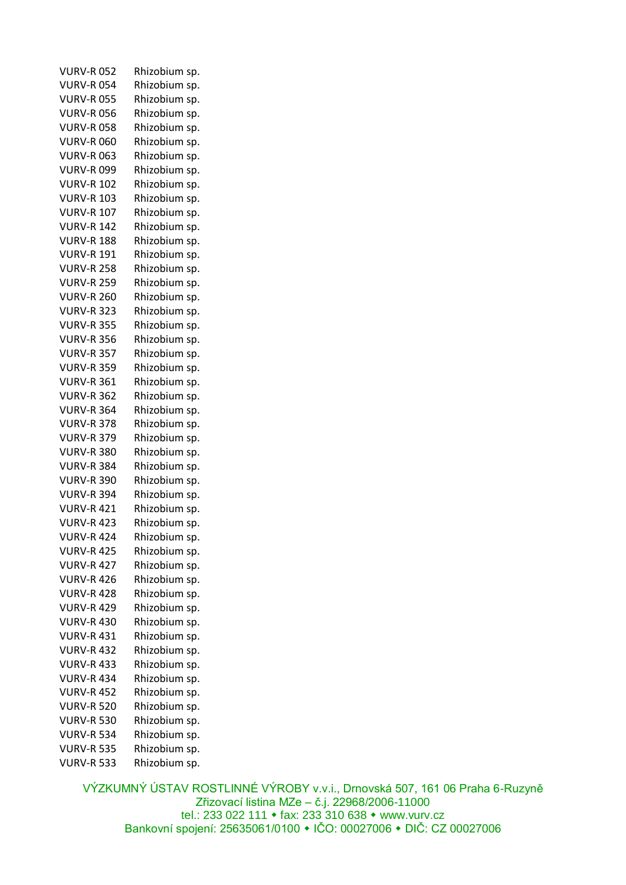| <b>VURV-R052</b>                       | Rhizobium sp. |
|----------------------------------------|---------------|
| <b>VURV-R054</b>                       | Rhizobium sp. |
| <b>VURV-R055</b>                       | Rhizobium sp. |
| <b>VURV-R056</b>                       | Rhizobium sp. |
| <b>VURV-R058</b>                       | Rhizobium sp. |
| <b>VURV-R060</b>                       | Rhizobium sp. |
| <b>VURV-R063</b>                       | Rhizobium sp. |
| <b>VURV-R099</b>                       | Rhizobium sp. |
| <b>VURV-R 102</b>                      | Rhizobium sp. |
| <b>VURV-R 103</b>                      | Rhizobium sp. |
| <b>VURV-R 107</b>                      | Rhizobium sp. |
| <b>VURV-R 142</b>                      | Rhizobium sp. |
| <b>VURV-R 188</b>                      | Rhizobium sp. |
| <b>VURV-R 191</b>                      | Rhizobium sp. |
| <b>VURV-R 258</b>                      | Rhizobium sp. |
| <b>VURV-R 259</b>                      | Rhizobium sp. |
| <b>VURV-R 260</b>                      | Rhizobium sp. |
| <b>VURV-R 323</b>                      | Rhizobium sp. |
| <b>VURV-R 355</b>                      | Rhizobium sp. |
| <b>VURV-R 356</b>                      | Rhizobium sp. |
| <b>VURV-R 357</b>                      | Rhizobium sp. |
| <b>VURV-R 359</b>                      | Rhizobium sp. |
| <b>VURV-R 361</b>                      | Rhizobium sp. |
| <b>VURV-R 362</b>                      | Rhizobium sp. |
| <b>VURV-R 364</b>                      | Rhizobium sp. |
| <b>VURV-R 378</b>                      | Rhizobium sp. |
| <b>VURV-R 379</b>                      | Rhizobium sp. |
| <b>VURV-R 380</b>                      |               |
| <b>VURV-R 384</b>                      | Rhizobium sp. |
|                                        | Rhizobium sp. |
| <b>VURV-R 390</b><br><b>VURV-R 394</b> | Rhizobium sp. |
|                                        | Rhizobium sp. |
| <b>VURV-R 421</b>                      | Rhizobium sp. |
| <b>VURV-R 423</b>                      | Rhizobium sp. |
| <b>VURV-R 424</b>                      | Rhizobium sp. |
| <b>VURV-R 425</b>                      | Rhizobium sp. |
| <b>VURV-R 427</b>                      | Rhizobium sp. |
| <b>VURV-R 426</b>                      | Rhizobium sp. |
| <b>VURV-R 428</b>                      | Rhizobium sp. |
| <b>VURV-R 429</b>                      | Rhizobium sp. |
| <b>VURV-R 430</b>                      | Rhizobium sp. |
| <b>VURV-R 431</b>                      | Rhizobium sp. |
| <b>VURV-R 432</b>                      | Rhizobium sp. |
| <b>VURV-R 433</b>                      | Rhizobium sp. |
| <b>VURV-R 434</b>                      | Rhizobium sp. |
| <b>VURV-R 452</b>                      | Rhizobium sp. |
| <b>VURV-R 520</b>                      | Rhizobium sp. |
| <b>VURV-R 530</b>                      | Rhizobium sp. |
| <b>VURV-R 534</b>                      | Rhizobium sp. |
| <b>VURV-R 535</b>                      | Rhizobium sp. |
| <b>VURV-R 533</b>                      | Rhizobium sp. |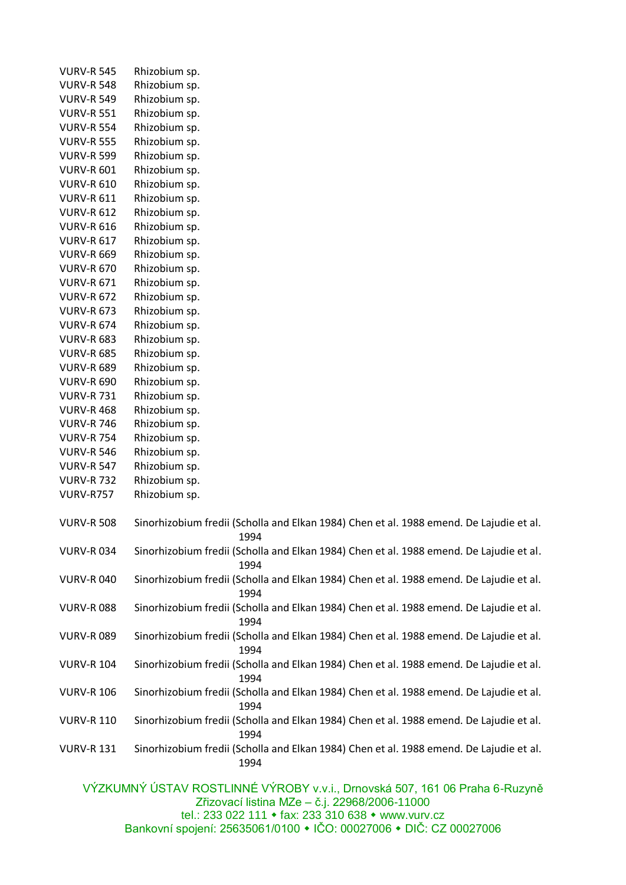| <b>VURV-R 545</b> | Rhizobium sp.                                                                                                                |
|-------------------|------------------------------------------------------------------------------------------------------------------------------|
| <b>VURV-R 548</b> | Rhizobium sp.                                                                                                                |
| <b>VURV-R 549</b> | Rhizobium sp.                                                                                                                |
| <b>VURV-R 551</b> | Rhizobium sp.                                                                                                                |
| <b>VURV-R 554</b> | Rhizobium sp.                                                                                                                |
| <b>VURV-R 555</b> | Rhizobium sp.                                                                                                                |
| <b>VURV-R 599</b> | Rhizobium sp.                                                                                                                |
| <b>VURV-R 601</b> | Rhizobium sp.                                                                                                                |
| <b>VURV-R 610</b> | Rhizobium sp.                                                                                                                |
| <b>VURV-R 611</b> | Rhizobium sp.                                                                                                                |
| <b>VURV-R 612</b> | Rhizobium sp.                                                                                                                |
| <b>VURV-R 616</b> | Rhizobium sp.                                                                                                                |
| <b>VURV-R 617</b> | Rhizobium sp.                                                                                                                |
| <b>VURV-R 669</b> | Rhizobium sp.                                                                                                                |
| <b>VURV-R 670</b> | Rhizobium sp.                                                                                                                |
| <b>VURV-R 671</b> | Rhizobium sp.                                                                                                                |
| <b>VURV-R 672</b> | Rhizobium sp.                                                                                                                |
| <b>VURV-R 673</b> | Rhizobium sp.                                                                                                                |
| <b>VURV-R 674</b> | Rhizobium sp.                                                                                                                |
| <b>VURV-R 683</b> | Rhizobium sp.                                                                                                                |
| <b>VURV-R 685</b> | Rhizobium sp.                                                                                                                |
| <b>VURV-R 689</b> | Rhizobium sp.                                                                                                                |
| <b>VURV-R 690</b> | Rhizobium sp.                                                                                                                |
| <b>VURV-R 731</b> | Rhizobium sp.                                                                                                                |
| <b>VURV-R 468</b> | Rhizobium sp.                                                                                                                |
| <b>VURV-R 746</b> | Rhizobium sp.                                                                                                                |
| <b>VURV-R 754</b> | Rhizobium sp.                                                                                                                |
| <b>VURV-R 546</b> | Rhizobium sp.                                                                                                                |
| <b>VURV-R 547</b> | Rhizobium sp.                                                                                                                |
| <b>VURV-R732</b>  | Rhizobium sp.                                                                                                                |
| <b>VURV-R757</b>  | Rhizobium sp.                                                                                                                |
|                   |                                                                                                                              |
| <b>VURV-R 508</b> | Sinorhizobium fredii (Scholla and Elkan 1984) Chen et al. 1988 emend. De Lajudie et al.<br>1994                              |
| <b>VURV-R034</b>  | Sinorhizobium fredii (Scholla and Elkan 1984) Chen et al. 1988 emend. De Lajudie et al.<br>1994                              |
| <b>VURV-R 040</b> | Sinorhizobium fredii (Scholla and Elkan 1984) Chen et al. 1988 emend. De Lajudie et al.<br>1994                              |
| <b>VURV-R088</b>  | Sinorhizobium fredii (Scholla and Elkan 1984) Chen et al. 1988 emend. De Lajudie et al.                                      |
| <b>VURV-R089</b>  | 1994<br>Sinorhizobium fredii (Scholla and Elkan 1984) Chen et al. 1988 emend. De Lajudie et al.                              |
| <b>VURV-R 104</b> | 1994<br>Sinorhizobium fredii (Scholla and Elkan 1984) Chen et al. 1988 emend. De Lajudie et al.                              |
| <b>VURV-R 106</b> | 1994<br>Sinorhizobium fredii (Scholla and Elkan 1984) Chen et al. 1988 emend. De Lajudie et al.<br>1994                      |
| <b>VURV-R 110</b> | Sinorhizobium fredii (Scholla and Elkan 1984) Chen et al. 1988 emend. De Lajudie et al.<br>1994                              |
| <b>VURV-R 131</b> | Sinorhizobium fredii (Scholla and Elkan 1984) Chen et al. 1988 emend. De Lajudie et al.<br>1994                              |
|                   |                                                                                                                              |
|                   | VÝZKUMNÝ ÚSTAV ROSTLINNÉ VÝROBY v.v.i., Drnovská 507, 161 06 Praha 6-Ruzyně<br>Zřizovací listina MZe – č.j. 22968/2006-11000 |

tel.: 233 022 111 fax: 233 310 638 www.vurv.cz

Bankovní spojení: 25635061/0100 IČO: 00027006 DIČ: CZ 00027006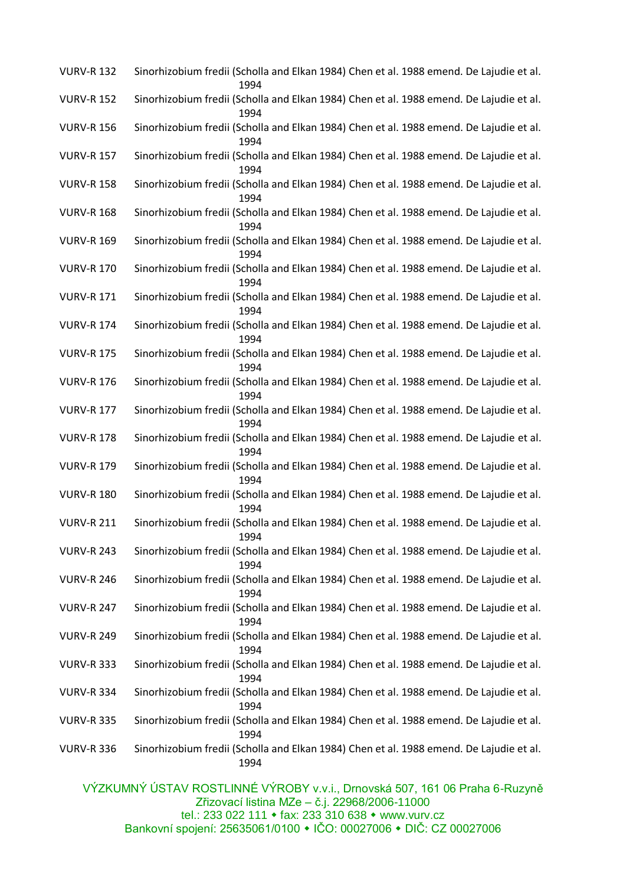| <b>VURV-R 132</b> | Sinorhizobium fredii (Scholla and Elkan 1984) Chen et al. 1988 emend. De Lajudie et al.<br>1994 |
|-------------------|-------------------------------------------------------------------------------------------------|
| <b>VURV-R 152</b> | Sinorhizobium fredii (Scholla and Elkan 1984) Chen et al. 1988 emend. De Lajudie et al.<br>1994 |
| <b>VURV-R 156</b> | Sinorhizobium fredii (Scholla and Elkan 1984) Chen et al. 1988 emend. De Lajudie et al.<br>1994 |
| <b>VURV-R 157</b> | Sinorhizobium fredii (Scholla and Elkan 1984) Chen et al. 1988 emend. De Lajudie et al.<br>1994 |
| <b>VURV-R 158</b> | Sinorhizobium fredii (Scholla and Elkan 1984) Chen et al. 1988 emend. De Lajudie et al.<br>1994 |
| <b>VURV-R 168</b> | Sinorhizobium fredii (Scholla and Elkan 1984) Chen et al. 1988 emend. De Lajudie et al.<br>1994 |
| <b>VURV-R 169</b> | Sinorhizobium fredii (Scholla and Elkan 1984) Chen et al. 1988 emend. De Lajudie et al.<br>1994 |
| <b>VURV-R 170</b> | Sinorhizobium fredii (Scholla and Elkan 1984) Chen et al. 1988 emend. De Lajudie et al.<br>1994 |
| <b>VURV-R 171</b> | Sinorhizobium fredii (Scholla and Elkan 1984) Chen et al. 1988 emend. De Lajudie et al.<br>1994 |
| <b>VURV-R 174</b> | Sinorhizobium fredii (Scholla and Elkan 1984) Chen et al. 1988 emend. De Lajudie et al.<br>1994 |
| <b>VURV-R 175</b> | Sinorhizobium fredii (Scholla and Elkan 1984) Chen et al. 1988 emend. De Lajudie et al.<br>1994 |
| <b>VURV-R 176</b> | Sinorhizobium fredii (Scholla and Elkan 1984) Chen et al. 1988 emend. De Lajudie et al.<br>1994 |
| <b>VURV-R 177</b> | Sinorhizobium fredii (Scholla and Elkan 1984) Chen et al. 1988 emend. De Lajudie et al.<br>1994 |
| <b>VURV-R 178</b> | Sinorhizobium fredii (Scholla and Elkan 1984) Chen et al. 1988 emend. De Lajudie et al.<br>1994 |
| <b>VURV-R 179</b> | Sinorhizobium fredii (Scholla and Elkan 1984) Chen et al. 1988 emend. De Lajudie et al.<br>1994 |
| <b>VURV-R 180</b> | Sinorhizobium fredii (Scholla and Elkan 1984) Chen et al. 1988 emend. De Lajudie et al.<br>1994 |
| <b>VURV-R 211</b> | Sinorhizobium fredii (Scholla and Elkan 1984) Chen et al. 1988 emend. De Lajudie et al.<br>1994 |
| <b>VURV-R 243</b> | Sinorhizobium fredii (Scholla and Elkan 1984) Chen et al. 1988 emend. De Lajudie et al.<br>1994 |
| <b>VURV-R 246</b> | Sinorhizobium fredii (Scholla and Elkan 1984) Chen et al. 1988 emend. De Lajudie et al.<br>1994 |
| <b>VURV-R 247</b> | Sinorhizobium fredii (Scholla and Elkan 1984) Chen et al. 1988 emend. De Lajudie et al.<br>1994 |
| <b>VURV-R 249</b> | Sinorhizobium fredii (Scholla and Elkan 1984) Chen et al. 1988 emend. De Lajudie et al.<br>1994 |
| <b>VURV-R 333</b> | Sinorhizobium fredii (Scholla and Elkan 1984) Chen et al. 1988 emend. De Lajudie et al.<br>1994 |
| <b>VURV-R 334</b> | Sinorhizobium fredii (Scholla and Elkan 1984) Chen et al. 1988 emend. De Lajudie et al.<br>1994 |
| <b>VURV-R 335</b> | Sinorhizobium fredii (Scholla and Elkan 1984) Chen et al. 1988 emend. De Lajudie et al.<br>1994 |
| <b>VURV-R 336</b> | Sinorhizobium fredii (Scholla and Elkan 1984) Chen et al. 1988 emend. De Lajudie et al.<br>1994 |
|                   | $\overrightarrow{N}$ zki IMNÝ LICTAV DOCTI IMNÉ VÝDODY $\overrightarrow{W}$ Domovské E07 404    |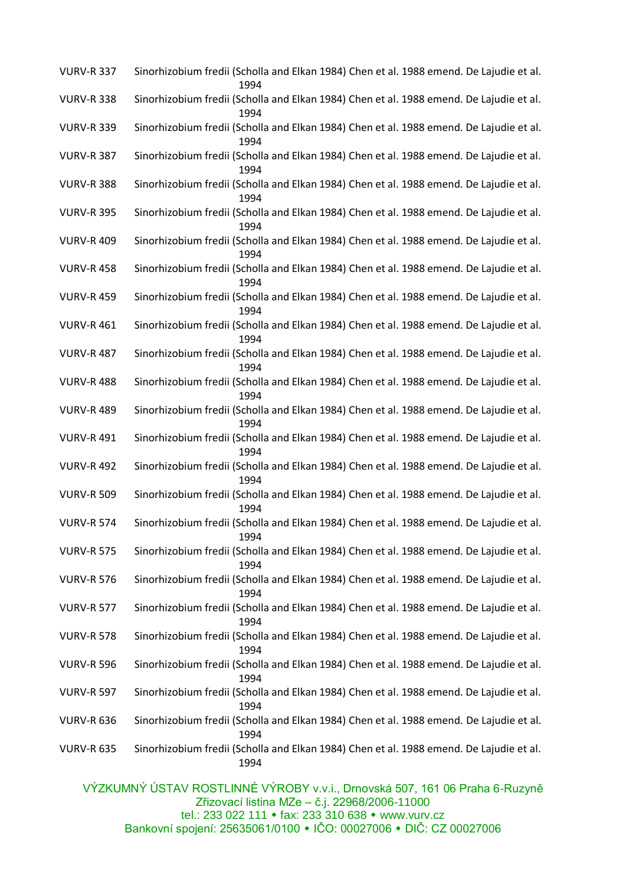| <b>VURV-R 337</b> | Sinorhizobium fredii (Scholla and Elkan 1984) Chen et al. 1988 emend. De Lajudie et al.<br>1994 |
|-------------------|-------------------------------------------------------------------------------------------------|
| <b>VURV-R 338</b> | Sinorhizobium fredii (Scholla and Elkan 1984) Chen et al. 1988 emend. De Lajudie et al.<br>1994 |
| <b>VURV-R 339</b> | Sinorhizobium fredii (Scholla and Elkan 1984) Chen et al. 1988 emend. De Lajudie et al.<br>1994 |
| <b>VURV-R 387</b> | Sinorhizobium fredii (Scholla and Elkan 1984) Chen et al. 1988 emend. De Lajudie et al.<br>1994 |
| <b>VURV-R 388</b> | Sinorhizobium fredii (Scholla and Elkan 1984) Chen et al. 1988 emend. De Lajudie et al.<br>1994 |
| <b>VURV-R 395</b> | Sinorhizobium fredii (Scholla and Elkan 1984) Chen et al. 1988 emend. De Lajudie et al.<br>1994 |
| <b>VURV-R 409</b> | Sinorhizobium fredii (Scholla and Elkan 1984) Chen et al. 1988 emend. De Lajudie et al.<br>1994 |
| <b>VURV-R 458</b> | Sinorhizobium fredii (Scholla and Elkan 1984) Chen et al. 1988 emend. De Lajudie et al.<br>1994 |
| <b>VURV-R 459</b> | Sinorhizobium fredii (Scholla and Elkan 1984) Chen et al. 1988 emend. De Lajudie et al.<br>1994 |
| <b>VURV-R 461</b> | Sinorhizobium fredii (Scholla and Elkan 1984) Chen et al. 1988 emend. De Lajudie et al.<br>1994 |
| <b>VURV-R 487</b> | Sinorhizobium fredii (Scholla and Elkan 1984) Chen et al. 1988 emend. De Lajudie et al.<br>1994 |
| <b>VURV-R 488</b> | Sinorhizobium fredii (Scholla and Elkan 1984) Chen et al. 1988 emend. De Lajudie et al.<br>1994 |
| <b>VURV-R 489</b> | Sinorhizobium fredii (Scholla and Elkan 1984) Chen et al. 1988 emend. De Lajudie et al.<br>1994 |
| <b>VURV-R 491</b> | Sinorhizobium fredii (Scholla and Elkan 1984) Chen et al. 1988 emend. De Lajudie et al.<br>1994 |
| <b>VURV-R 492</b> | Sinorhizobium fredii (Scholla and Elkan 1984) Chen et al. 1988 emend. De Lajudie et al.<br>1994 |
| <b>VURV-R 509</b> | Sinorhizobium fredii (Scholla and Elkan 1984) Chen et al. 1988 emend. De Lajudie et al.<br>1994 |
| <b>VURV-R 574</b> | Sinorhizobium fredii (Scholla and Elkan 1984) Chen et al. 1988 emend. De Lajudie et al.<br>1994 |
| <b>VURV-R 575</b> | Sinorhizobium fredii (Scholla and Elkan 1984) Chen et al. 1988 emend. De Lajudie et al.<br>1994 |
| <b>VURV-R 576</b> | Sinorhizobium fredii (Scholla and Elkan 1984) Chen et al. 1988 emend. De Lajudie et al.<br>1994 |
| <b>VURV-R 577</b> | Sinorhizobium fredii (Scholla and Elkan 1984) Chen et al. 1988 emend. De Lajudie et al.<br>1994 |
| <b>VURV-R 578</b> | Sinorhizobium fredii (Scholla and Elkan 1984) Chen et al. 1988 emend. De Lajudie et al.<br>1994 |
| <b>VURV-R 596</b> | Sinorhizobium fredii (Scholla and Elkan 1984) Chen et al. 1988 emend. De Lajudie et al.<br>1994 |
| <b>VURV-R 597</b> | Sinorhizobium fredii (Scholla and Elkan 1984) Chen et al. 1988 emend. De Lajudie et al.<br>1994 |
| <b>VURV-R 636</b> | Sinorhizobium fredii (Scholla and Elkan 1984) Chen et al. 1988 emend. De Lajudie et al.<br>1994 |
| <b>VURV-R 635</b> | Sinorhizobium fredii (Scholla and Elkan 1984) Chen et al. 1988 emend. De Lajudie et al.<br>1994 |
|                   | $\mathbf{R}$                                                                                    |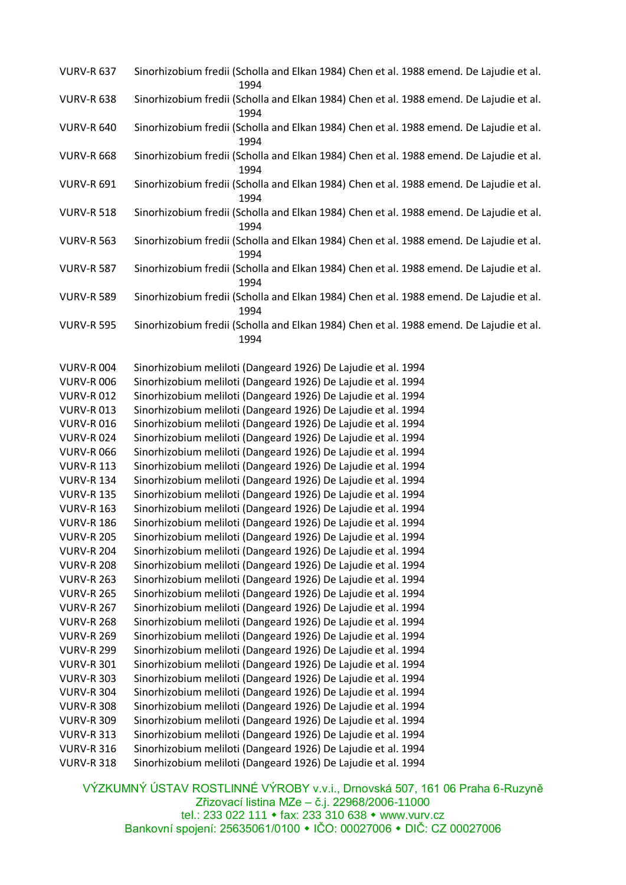| <b>VURV-R 637</b>                      | Sinorhizobium fredii (Scholla and Elkan 1984) Chen et al. 1988 emend. De Lajudie et al.<br>1994                                |
|----------------------------------------|--------------------------------------------------------------------------------------------------------------------------------|
| <b>VURV-R 638</b>                      | Sinorhizobium fredii (Scholla and Elkan 1984) Chen et al. 1988 emend. De Lajudie et al.<br>1994                                |
| <b>VURV-R 640</b>                      | Sinorhizobium fredii (Scholla and Elkan 1984) Chen et al. 1988 emend. De Lajudie et al.<br>1994                                |
| <b>VURV-R 668</b>                      | Sinorhizobium fredii (Scholla and Elkan 1984) Chen et al. 1988 emend. De Lajudie et al.<br>1994                                |
| <b>VURV-R 691</b>                      | Sinorhizobium fredii (Scholla and Elkan 1984) Chen et al. 1988 emend. De Lajudie et al.<br>1994                                |
| <b>VURV-R 518</b>                      | Sinorhizobium fredii (Scholla and Elkan 1984) Chen et al. 1988 emend. De Lajudie et al.<br>1994                                |
| <b>VURV-R 563</b>                      | Sinorhizobium fredii (Scholla and Elkan 1984) Chen et al. 1988 emend. De Lajudie et al.<br>1994                                |
| <b>VURV-R 587</b>                      | Sinorhizobium fredii (Scholla and Elkan 1984) Chen et al. 1988 emend. De Lajudie et al.<br>1994                                |
| <b>VURV-R 589</b>                      | Sinorhizobium fredii (Scholla and Elkan 1984) Chen et al. 1988 emend. De Lajudie et al.<br>1994                                |
| <b>VURV-R 595</b>                      | Sinorhizobium fredii (Scholla and Elkan 1984) Chen et al. 1988 emend. De Lajudie et al.<br>1994                                |
|                                        |                                                                                                                                |
| <b>VURV-R004</b>                       | Sinorhizobium meliloti (Dangeard 1926) De Lajudie et al. 1994                                                                  |
| <b>VURV-R 006</b>                      | Sinorhizobium meliloti (Dangeard 1926) De Lajudie et al. 1994                                                                  |
| <b>VURV-R012</b>                       | Sinorhizobium meliloti (Dangeard 1926) De Lajudie et al. 1994                                                                  |
| <b>VURV-R013</b>                       | Sinorhizobium meliloti (Dangeard 1926) De Lajudie et al. 1994                                                                  |
| <b>VURV-R016</b>                       | Sinorhizobium meliloti (Dangeard 1926) De Lajudie et al. 1994                                                                  |
| <b>VURV-R024</b>                       | Sinorhizobium meliloti (Dangeard 1926) De Lajudie et al. 1994                                                                  |
| <b>VURV-R 066</b>                      | Sinorhizobium meliloti (Dangeard 1926) De Lajudie et al. 1994                                                                  |
| <b>VURV-R 113</b>                      | Sinorhizobium meliloti (Dangeard 1926) De Lajudie et al. 1994                                                                  |
| <b>VURV-R 134</b>                      | Sinorhizobium meliloti (Dangeard 1926) De Lajudie et al. 1994                                                                  |
| <b>VURV-R 135</b>                      | Sinorhizobium meliloti (Dangeard 1926) De Lajudie et al. 1994                                                                  |
| <b>VURV-R 163</b>                      | Sinorhizobium meliloti (Dangeard 1926) De Lajudie et al. 1994                                                                  |
| <b>VURV-R 186</b><br><b>VURV-R 205</b> | Sinorhizobium meliloti (Dangeard 1926) De Lajudie et al. 1994<br>Sinorhizobium meliloti (Dangeard 1926) De Lajudie et al. 1994 |
|                                        |                                                                                                                                |
| <b>VURV-R 204</b><br><b>VURV-R 208</b> | Sinorhizobium meliloti (Dangeard 1926) De Lajudie et al. 1994                                                                  |
| <b>VURV-R 263</b>                      | Sinorhizobium meliloti (Dangeard 1926) De Lajudie et al. 1994                                                                  |
| <b>VURV-R 265</b>                      | Sinorhizobium meliloti (Dangeard 1926) De Lajudie et al. 1994<br>Sinorhizobium meliloti (Dangeard 1926) De Lajudie et al. 1994 |
| <b>VURV-R 267</b>                      | Sinorhizobium meliloti (Dangeard 1926) De Lajudie et al. 1994                                                                  |
| <b>VURV-R 268</b>                      | Sinorhizobium meliloti (Dangeard 1926) De Lajudie et al. 1994                                                                  |
| <b>VURV-R 269</b>                      | Sinorhizobium meliloti (Dangeard 1926) De Lajudie et al. 1994                                                                  |
| <b>VURV-R 299</b>                      | Sinorhizobium meliloti (Dangeard 1926) De Lajudie et al. 1994                                                                  |
| <b>VURV-R 301</b>                      | Sinorhizobium meliloti (Dangeard 1926) De Lajudie et al. 1994                                                                  |
| <b>VURV-R 303</b>                      | Sinorhizobium meliloti (Dangeard 1926) De Lajudie et al. 1994                                                                  |
| <b>VURV-R 304</b>                      | Sinorhizobium meliloti (Dangeard 1926) De Lajudie et al. 1994                                                                  |
| <b>VURV-R 308</b>                      | Sinorhizobium meliloti (Dangeard 1926) De Lajudie et al. 1994                                                                  |
| <b>VURV-R 309</b>                      | Sinorhizobium meliloti (Dangeard 1926) De Lajudie et al. 1994                                                                  |
| <b>VURV-R 313</b>                      | Sinorhizobium meliloti (Dangeard 1926) De Lajudie et al. 1994                                                                  |
| <b>VURV-R 316</b>                      | Sinorhizobium meliloti (Dangeard 1926) De Lajudie et al. 1994                                                                  |
| <b>VURV-R 318</b>                      | Sinorhizobium meliloti (Dangeard 1926) De Lajudie et al. 1994                                                                  |
|                                        |                                                                                                                                |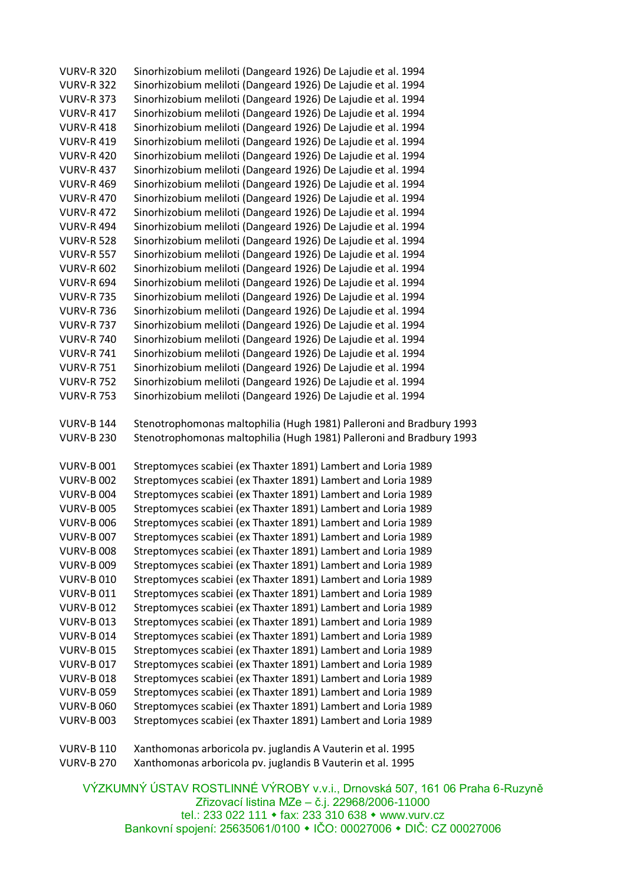| <b>VURV-R 320</b> | Sinorhizobium meliloti (Dangeard 1926) De Lajudie et al. 1994                                                                                |
|-------------------|----------------------------------------------------------------------------------------------------------------------------------------------|
| <b>VURV-R 322</b> | Sinorhizobium meliloti (Dangeard 1926) De Lajudie et al. 1994                                                                                |
| <b>VURV-R 373</b> | Sinorhizobium meliloti (Dangeard 1926) De Lajudie et al. 1994                                                                                |
| <b>VURV-R 417</b> | Sinorhizobium meliloti (Dangeard 1926) De Lajudie et al. 1994                                                                                |
| <b>VURV-R 418</b> | Sinorhizobium meliloti (Dangeard 1926) De Lajudie et al. 1994                                                                                |
| <b>VURV-R 419</b> | Sinorhizobium meliloti (Dangeard 1926) De Lajudie et al. 1994                                                                                |
| <b>VURV-R 420</b> | Sinorhizobium meliloti (Dangeard 1926) De Lajudie et al. 1994                                                                                |
| <b>VURV-R 437</b> | Sinorhizobium meliloti (Dangeard 1926) De Lajudie et al. 1994                                                                                |
| <b>VURV-R 469</b> | Sinorhizobium meliloti (Dangeard 1926) De Lajudie et al. 1994                                                                                |
| <b>VURV-R 470</b> | Sinorhizobium meliloti (Dangeard 1926) De Lajudie et al. 1994                                                                                |
| <b>VURV-R 472</b> | Sinorhizobium meliloti (Dangeard 1926) De Lajudie et al. 1994                                                                                |
| <b>VURV-R 494</b> | Sinorhizobium meliloti (Dangeard 1926) De Lajudie et al. 1994                                                                                |
| <b>VURV-R 528</b> | Sinorhizobium meliloti (Dangeard 1926) De Lajudie et al. 1994                                                                                |
| <b>VURV-R 557</b> | Sinorhizobium meliloti (Dangeard 1926) De Lajudie et al. 1994                                                                                |
| <b>VURV-R 602</b> | Sinorhizobium meliloti (Dangeard 1926) De Lajudie et al. 1994                                                                                |
| <b>VURV-R 694</b> | Sinorhizobium meliloti (Dangeard 1926) De Lajudie et al. 1994                                                                                |
| <b>VURV-R 735</b> | Sinorhizobium meliloti (Dangeard 1926) De Lajudie et al. 1994                                                                                |
| <b>VURV-R 736</b> | Sinorhizobium meliloti (Dangeard 1926) De Lajudie et al. 1994                                                                                |
| <b>VURV-R 737</b> | Sinorhizobium meliloti (Dangeard 1926) De Lajudie et al. 1994                                                                                |
| <b>VURV-R 740</b> | Sinorhizobium meliloti (Dangeard 1926) De Lajudie et al. 1994                                                                                |
| <b>VURV-R 741</b> | Sinorhizobium meliloti (Dangeard 1926) De Lajudie et al. 1994                                                                                |
| <b>VURV-R 751</b> | Sinorhizobium meliloti (Dangeard 1926) De Lajudie et al. 1994                                                                                |
| <b>VURV-R 752</b> | Sinorhizobium meliloti (Dangeard 1926) De Lajudie et al. 1994                                                                                |
| <b>VURV-R 753</b> | Sinorhizobium meliloti (Dangeard 1926) De Lajudie et al. 1994                                                                                |
|                   |                                                                                                                                              |
|                   |                                                                                                                                              |
| <b>VURV-B 144</b> |                                                                                                                                              |
| <b>VURV-B 230</b> | Stenotrophomonas maltophilia (Hugh 1981) Palleroni and Bradbury 1993<br>Stenotrophomonas maltophilia (Hugh 1981) Palleroni and Bradbury 1993 |
|                   |                                                                                                                                              |
| <b>VURV-B 001</b> | Streptomyces scabiei (ex Thaxter 1891) Lambert and Loria 1989                                                                                |
| <b>VURV-B 002</b> | Streptomyces scabiei (ex Thaxter 1891) Lambert and Loria 1989                                                                                |
| <b>VURV-B 004</b> | Streptomyces scabiei (ex Thaxter 1891) Lambert and Loria 1989                                                                                |
| <b>VURV-B 005</b> | Streptomyces scabiei (ex Thaxter 1891) Lambert and Loria 1989                                                                                |
| <b>VURV-B 006</b> | Streptomyces scabiei (ex Thaxter 1891) Lambert and Loria 1989                                                                                |
| <b>VURV-B 007</b> |                                                                                                                                              |
| <b>VURV-B 008</b> | Streptomyces scabiei (ex Thaxter 1891) Lambert and Loria 1989<br>Streptomyces scabiei (ex Thaxter 1891) Lambert and Loria 1989               |
| <b>VURV-B 009</b> | Streptomyces scabiei (ex Thaxter 1891) Lambert and Loria 1989                                                                                |
| <b>VURV-B 010</b> | Streptomyces scabiei (ex Thaxter 1891) Lambert and Loria 1989                                                                                |
| <b>VURV-B011</b>  | Streptomyces scabiei (ex Thaxter 1891) Lambert and Loria 1989                                                                                |
| <b>VURV-B012</b>  | Streptomyces scabiei (ex Thaxter 1891) Lambert and Loria 1989                                                                                |
| <b>VURV-B013</b>  |                                                                                                                                              |
| <b>VURV-B014</b>  | Streptomyces scabiei (ex Thaxter 1891) Lambert and Loria 1989<br>Streptomyces scabiei (ex Thaxter 1891) Lambert and Loria 1989               |
| <b>VURV-B015</b>  | Streptomyces scabiei (ex Thaxter 1891) Lambert and Loria 1989                                                                                |
| <b>VURV-B017</b>  | Streptomyces scabiei (ex Thaxter 1891) Lambert and Loria 1989                                                                                |
| <b>VURV-B018</b>  |                                                                                                                                              |
| <b>VURV-B 059</b> | Streptomyces scabiei (ex Thaxter 1891) Lambert and Loria 1989<br>Streptomyces scabiei (ex Thaxter 1891) Lambert and Loria 1989               |
| <b>VURV-B 060</b> | Streptomyces scabiei (ex Thaxter 1891) Lambert and Loria 1989                                                                                |
| <b>VURV-B 003</b> | Streptomyces scabiei (ex Thaxter 1891) Lambert and Loria 1989                                                                                |
|                   |                                                                                                                                              |
| <b>VURV-B 110</b> | Xanthomonas arboricola pv. juglandis A Vauterin et al. 1995                                                                                  |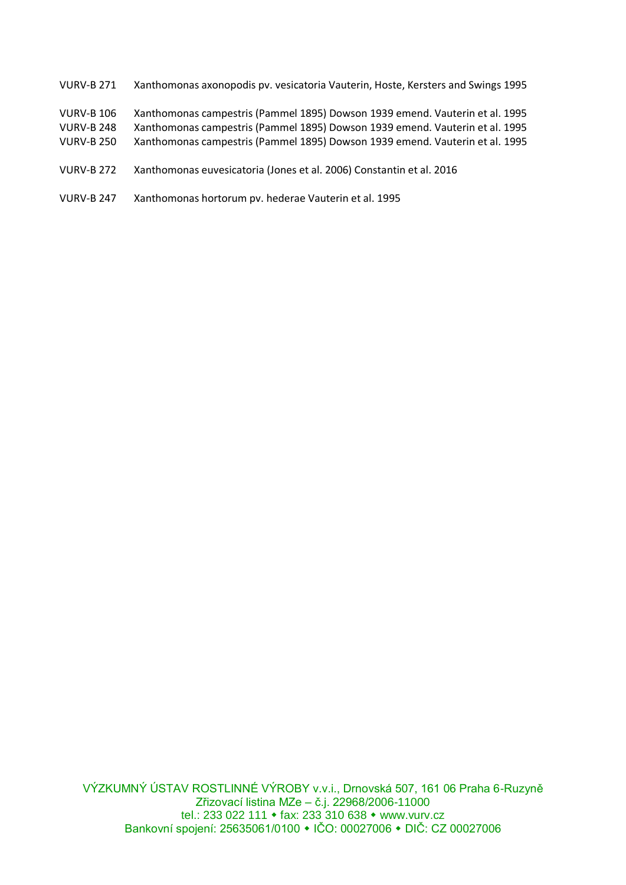- VURV-B 271 Xanthomonas axonopodis pv. vesicatoria Vauterin, Hoste, Kersters and Swings 1995
- VURV-B 106 Xanthomonas campestris (Pammel 1895) Dowson 1939 emend. Vauterin et al. 1995
- VURV-B 248 Xanthomonas campestris (Pammel 1895) Dowson 1939 emend. Vauterin et al. 1995
- VURV-B 250 Xanthomonas campestris (Pammel 1895) Dowson 1939 emend. Vauterin et al. 1995
- VURV-B 272 Xanthomonas euvesicatoria (Jones et al. 2006) Constantin et al. 2016
- VURV-B 247 Xanthomonas hortorum pv. hederae Vauterin et al. 1995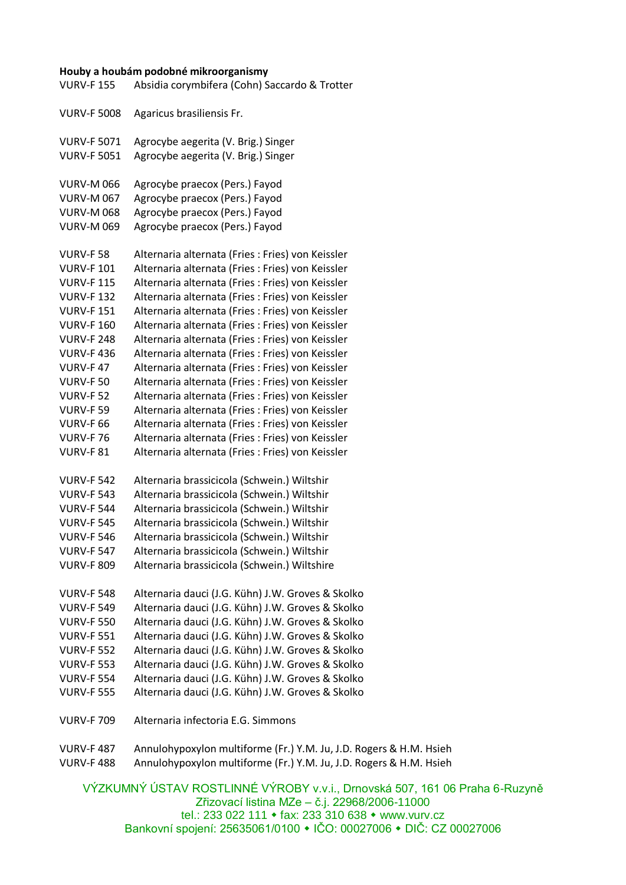## **Houby a houbám podobné mikroorganismy**

VÝZKUMNÝ ÚSTAV ROSTLINNÉ VÝROBY v.v.i., Drnovská 507, 161 06 Praha 6-Ruzyně VURV-F 155 Absidia corymbifera (Cohn) Saccardo & Trotter VURV-F 5008 Agaricus brasiliensis Fr. VURV-F 5071 Agrocybe aegerita (V. Brig.) Singer VURV-F 5051 Agrocybe aegerita (V. Brig.) Singer VURV-M 066 Agrocybe praecox (Pers.) Fayod VURV-M 067 Agrocybe praecox (Pers.) Fayod VURV-M 068 Agrocybe praecox (Pers.) Fayod VURV-M 069 Agrocybe praecox (Pers.) Fayod VURV-F 58 Alternaria alternata (Fries : Fries) von Keissler VURV-F 101 Alternaria alternata (Fries : Fries) von Keissler VURV-F 115 Alternaria alternata (Fries : Fries) von Keissler VURV-F 132 Alternaria alternata (Fries : Fries) von Keissler VURV-F 151 Alternaria alternata (Fries : Fries) von Keissler VURV-F 160 Alternaria alternata (Fries : Fries) von Keissler VURV-F 248 Alternaria alternata (Fries : Fries) von Keissler VURV-F 436 Alternaria alternata (Fries : Fries) von Keissler VURV-F 47 Alternaria alternata (Fries : Fries) von Keissler VURV-F 50 Alternaria alternata (Fries : Fries) von Keissler VURV-F 52 Alternaria alternata (Fries : Fries) von Keissler VURV-F 59 Alternaria alternata (Fries : Fries) von Keissler VURV-F 66 Alternaria alternata (Fries : Fries) von Keissler VURV-F 76 Alternaria alternata (Fries : Fries) von Keissler VURV-F 81 Alternaria alternata (Fries : Fries) von Keissler VURV-F 542 Alternaria brassicicola (Schwein.) Wiltshir VURV-F 543 Alternaria brassicicola (Schwein.) Wiltshir VURV-F 544 Alternaria brassicicola (Schwein.) Wiltshir VURV-F 545 Alternaria brassicicola (Schwein.) Wiltshir VURV-F 546 Alternaria brassicicola (Schwein.) Wiltshir VURV-F 547 Alternaria brassicicola (Schwein.) Wiltshir VURV-F 809 Alternaria brassicicola (Schwein.) Wiltshire VURV-F 548 Alternaria dauci (J.G. Kühn) J.W. Groves & Skolko VURV-F 549 Alternaria dauci (J.G. Kühn) J.W. Groves & Skolko VURV-F 550 Alternaria dauci (J.G. Kühn) J.W. Groves & Skolko VURV-F 551 Alternaria dauci (J.G. Kühn) J.W. Groves & Skolko VURV-F 552 Alternaria dauci (J.G. Kühn) J.W. Groves & Skolko VURV-F 553 Alternaria dauci (J.G. Kühn) J.W. Groves & Skolko VURV-F 554 Alternaria dauci (J.G. Kühn) J.W. Groves & Skolko VURV-F 555 Alternaria dauci (J.G. Kühn) J.W. Groves & Skolko VURV-F 709 Alternaria infectoria E.G. Simmons VURV-F 487 Annulohypoxylon multiforme (Fr.) Y.M. Ju, J.D. Rogers & H.M. Hsieh VURV-F 488 Annulohypoxylon multiforme (Fr.) Y.M. Ju, J.D. Rogers & H.M. Hsieh

Zřizovací listina MZe – č.j. 22968/2006-11000 tel.: 233 022 111 • fax: 233 310 638 • www.vurv.cz Bankovní spojení: 25635061/0100 • IČO: 00027006 • DIČ: CZ 00027006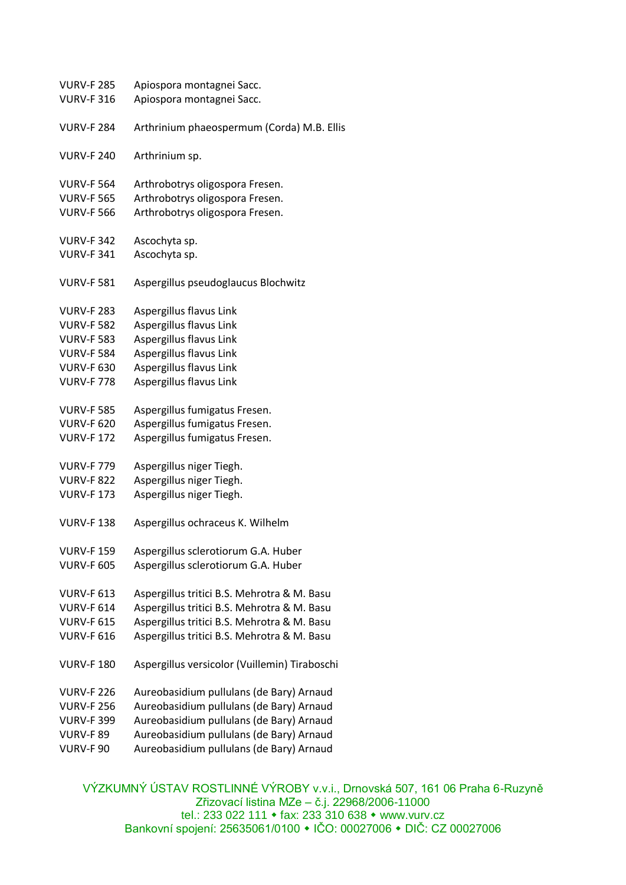| <b>VURV-F 285</b> | Apiospora montagnei Sacc.                     |
|-------------------|-----------------------------------------------|
| <b>VURV-F 316</b> | Apiospora montagnei Sacc.                     |
|                   |                                               |
| <b>VURV-F 284</b> | Arthrinium phaeospermum (Corda) M.B. Ellis    |
|                   |                                               |
| <b>VURV-F 240</b> | Arthrinium sp.                                |
|                   |                                               |
| <b>VURV-F 564</b> | Arthrobotrys oligospora Fresen.               |
| <b>VURV-F 565</b> | Arthrobotrys oligospora Fresen.               |
| <b>VURV-F 566</b> | Arthrobotrys oligospora Fresen.               |
|                   |                                               |
| <b>VURV-F 342</b> |                                               |
|                   | Ascochyta sp.                                 |
| <b>VURV-F 341</b> | Ascochyta sp.                                 |
|                   |                                               |
| <b>VURV-F 581</b> | Aspergillus pseudoglaucus Blochwitz           |
|                   |                                               |
| <b>VURV-F 283</b> | Aspergillus flavus Link                       |
| <b>VURV-F 582</b> | Aspergillus flavus Link                       |
| <b>VURV-F 583</b> | Aspergillus flavus Link                       |
| <b>VURV-F 584</b> | Aspergillus flavus Link                       |
| <b>VURV-F 630</b> | Aspergillus flavus Link                       |
| <b>VURV-F 778</b> | Aspergillus flavus Link                       |
|                   |                                               |
| <b>VURV-F 585</b> | Aspergillus fumigatus Fresen.                 |
| <b>VURV-F 620</b> | Aspergillus fumigatus Fresen.                 |
| <b>VURV-F172</b>  | Aspergillus fumigatus Fresen.                 |
|                   |                                               |
| <b>VURV-F 779</b> | Aspergillus niger Tiegh.                      |
| <b>VURV-F 822</b> | Aspergillus niger Tiegh.                      |
| <b>VURV-F173</b>  | Aspergillus niger Tiegh.                      |
|                   |                                               |
| <b>VURV-F138</b>  | Aspergillus ochraceus K. Wilhelm              |
|                   |                                               |
|                   |                                               |
| <b>VURV-F 159</b> | Aspergillus sclerotiorum G.A. Huber           |
| <b>VURV-F 605</b> | Aspergillus sclerotiorum G.A. Huber           |
|                   |                                               |
| <b>VURV-F 613</b> | Aspergillus tritici B.S. Mehrotra & M. Basu   |
| <b>VURV-F 614</b> | Aspergillus tritici B.S. Mehrotra & M. Basu   |
| <b>VURV-F 615</b> | Aspergillus tritici B.S. Mehrotra & M. Basu   |
| <b>VURV-F 616</b> | Aspergillus tritici B.S. Mehrotra & M. Basu   |
|                   |                                               |
| <b>VURV-F180</b>  | Aspergillus versicolor (Vuillemin) Tiraboschi |
|                   |                                               |
| <b>VURV-F 226</b> | Aureobasidium pullulans (de Bary) Arnaud      |
| <b>VURV-F 256</b> | Aureobasidium pullulans (de Bary) Arnaud      |
| <b>VURV-F 399</b> | Aureobasidium pullulans (de Bary) Arnaud      |
| <b>VURV-F 89</b>  | Aureobasidium pullulans (de Bary) Arnaud      |
| VURV-F 90         | Aureobasidium pullulans (de Bary) Arnaud      |
|                   |                                               |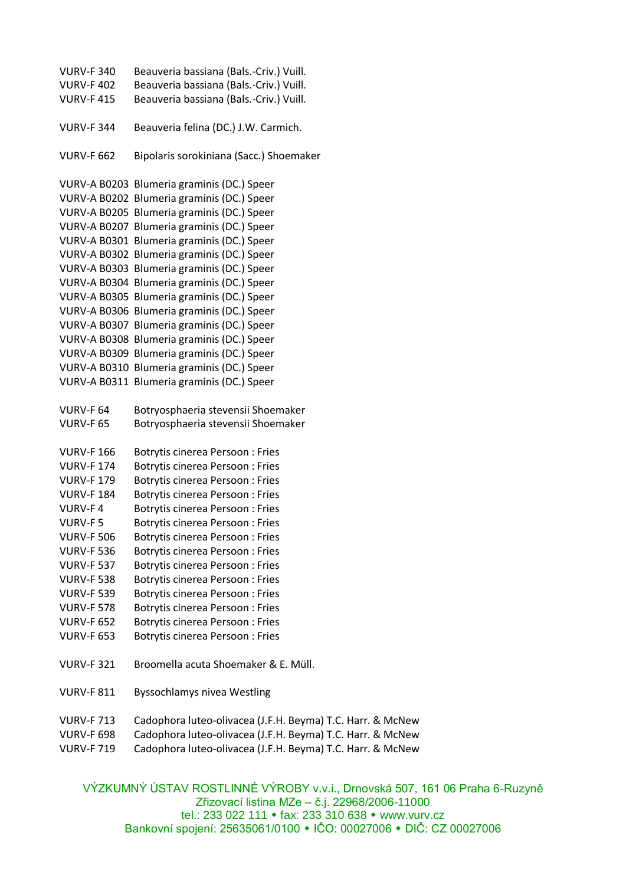VURV-F 340 Beauveria bassiana (Bals.-Criv.) Vuill. VURV-F 402 Beauveria bassiana (Bals.-Criv.) Vuill. VURV-F 415 Beauveria bassiana (Bals.-Criv.) Vuill. VURV-F 344 Beauveria felina (DC.) J.W. Carmich. VURV-F 662 Bipolaris sorokiniana (Sacc.) Shoemaker VURV-A B0203 Blumeria graminis (DC.) Speer VURV-A B0202 Blumeria graminis (DC.) Speer VURV-A B0205 Blumeria graminis (DC.) Speer VURV-A B0207 Blumeria graminis (DC.) Speer VURV-A B0301 Blumeria graminis (DC.) Speer VURV-A B0302 Blumeria graminis (DC.) Speer VURV-A B0303 Blumeria graminis (DC.) Speer VURV-A B0304 Blumeria graminis (DC.) Speer VURV-A B0305 Blumeria graminis (DC.) Speer VURV-A B0306 Blumeria graminis (DC.) Speer VURV-A B0307 Blumeria graminis (DC.) Speer VURV-A B0308 Blumeria graminis (DC.) Speer VURV-A B0309 Blumeria graminis (DC.) Speer VURV-A B0310 Blumeria graminis (DC.) Speer VURV-A B0311 Blumeria graminis (DC.) Speer VURV-F 64 Botryosphaeria stevensii Shoemaker VURV-F 65 Botryosphaeria stevensii Shoemaker VURV-F 166 Botrytis cinerea Persoon : Fries VURV-F 174 Botrytis cinerea Persoon : Fries VURV-F 179 Botrytis cinerea Persoon : Fries VURV-F 184 Botrytis cinerea Persoon : Fries VURV-F 4 Botrytis cinerea Persoon : Fries VURV-F 5 Botrytis cinerea Persoon : Fries VURV-F 506 Botrytis cinerea Persoon : Fries VURV-F 536 Botrytis cinerea Persoon : Fries VURV-F 537 Botrytis cinerea Persoon : Fries VURV-F 538 Botrytis cinerea Persoon : Fries VURV-F 539 Botrytis cinerea Persoon : Fries VURV-F 578 Botrytis cinerea Persoon : Fries VURV-F 652 Botrytis cinerea Persoon : Fries VURV-F 653 Botrytis cinerea Persoon : Fries VURV-F 321 Broomella acuta Shoemaker & E. Müll. VURV-F 811 Byssochlamys nivea Westling VURV-F 713 Cadophora luteo-olivacea (J.F.H. Beyma) T.C. Harr. & McNew VURV-F 698 Cadophora luteo-olivacea (J.F.H. Beyma) T.C. Harr. & McNew VURV-F 719 Cadophora luteo-olivacea (J.F.H. Beyma) T.C. Harr. & McNew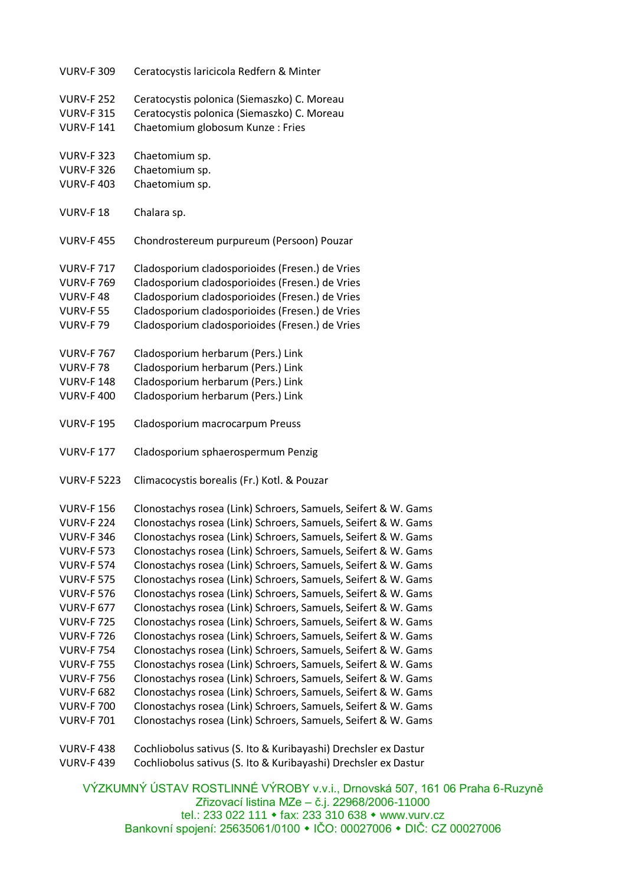| <b>VURV-F 309</b>                      | Ceratocystis laricicola Redfern & Minter                                                                                         |
|----------------------------------------|----------------------------------------------------------------------------------------------------------------------------------|
| <b>VURV-F 252</b>                      | Ceratocystis polonica (Siemaszko) C. Moreau                                                                                      |
| <b>VURV-F 315</b>                      | Ceratocystis polonica (Siemaszko) C. Moreau                                                                                      |
| <b>VURV-F141</b>                       | Chaetomium globosum Kunze: Fries                                                                                                 |
|                                        |                                                                                                                                  |
| <b>VURV-F 323</b>                      | Chaetomium sp.                                                                                                                   |
| <b>VURV-F 326</b>                      | Chaetomium sp.                                                                                                                   |
| <b>VURV-F403</b>                       | Chaetomium sp.                                                                                                                   |
|                                        |                                                                                                                                  |
| VURV-F18                               | Chalara sp.                                                                                                                      |
|                                        |                                                                                                                                  |
| <b>VURV-F455</b>                       | Chondrostereum purpureum (Persoon) Pouzar                                                                                        |
|                                        |                                                                                                                                  |
| <b>VURV-F717</b>                       | Cladosporium cladosporioides (Fresen.) de Vries                                                                                  |
| <b>VURV-F 769</b>                      | Cladosporium cladosporioides (Fresen.) de Vries                                                                                  |
| VURV-F48                               | Cladosporium cladosporioides (Fresen.) de Vries                                                                                  |
| <b>VURV-F 55</b>                       | Cladosporium cladosporioides (Fresen.) de Vries                                                                                  |
| <b>VURV-F79</b>                        | Cladosporium cladosporioides (Fresen.) de Vries                                                                                  |
| <b>VURV-F767</b>                       |                                                                                                                                  |
| <b>VURV-F78</b>                        | Cladosporium herbarum (Pers.) Link<br>Cladosporium herbarum (Pers.) Link                                                         |
| <b>VURV-F148</b>                       | Cladosporium herbarum (Pers.) Link                                                                                               |
| <b>VURV-F 400</b>                      | Cladosporium herbarum (Pers.) Link                                                                                               |
|                                        |                                                                                                                                  |
| <b>VURV-F 195</b>                      | Cladosporium macrocarpum Preuss                                                                                                  |
|                                        |                                                                                                                                  |
| <b>VURV-F177</b>                       | Cladosporium sphaerospermum Penzig                                                                                               |
|                                        |                                                                                                                                  |
| <b>VURV-F 5223</b>                     | Climacocystis borealis (Fr.) Kotl. & Pouzar                                                                                      |
|                                        |                                                                                                                                  |
| <b>VURV-F156</b>                       | Clonostachys rosea (Link) Schroers, Samuels, Seifert & W. Gams                                                                   |
| <b>VURV-F 224</b><br><b>VURV-F 346</b> | Clonostachys rosea (Link) Schroers, Samuels, Seifert & W. Gams<br>Clonostachys rosea (Link) Schroers, Samuels, Seifert & W. Gams |
| <b>VURV-F 573</b>                      |                                                                                                                                  |
| <b>VURV-F 574</b>                      | Clonostachys rosea (Link) Schroers, Samuels, Seifert & W. Gams<br>Clonostachys rosea (Link) Schroers, Samuels, Seifert & W. Gams |
| <b>VURV-F 575</b>                      | Clonostachys rosea (Link) Schroers, Samuels, Seifert & W. Gams                                                                   |
| <b>VURV-F 576</b>                      | Clonostachys rosea (Link) Schroers, Samuels, Seifert & W. Gams                                                                   |
| <b>VURV-F 677</b>                      | Clonostachys rosea (Link) Schroers, Samuels, Seifert & W. Gams                                                                   |
| <b>VURV-F725</b>                       | Clonostachys rosea (Link) Schroers, Samuels, Seifert & W. Gams                                                                   |
| <b>VURV-F 726</b>                      | Clonostachys rosea (Link) Schroers, Samuels, Seifert & W. Gams                                                                   |
| <b>VURV-F 754</b>                      | Clonostachys rosea (Link) Schroers, Samuels, Seifert & W. Gams                                                                   |
| <b>VURV-F 755</b>                      | Clonostachys rosea (Link) Schroers, Samuels, Seifert & W. Gams                                                                   |
| <b>VURV-F 756</b>                      | Clonostachys rosea (Link) Schroers, Samuels, Seifert & W. Gams                                                                   |
| <b>VURV-F 682</b>                      | Clonostachys rosea (Link) Schroers, Samuels, Seifert & W. Gams                                                                   |
| <b>VURV-F 700</b>                      | Clonostachys rosea (Link) Schroers, Samuels, Seifert & W. Gams                                                                   |
| <b>VURV-F 701</b>                      | Clonostachys rosea (Link) Schroers, Samuels, Seifert & W. Gams                                                                   |
|                                        |                                                                                                                                  |
| <b>VURV-F438</b>                       | Cochliobolus sativus (S. Ito & Kuribayashi) Drechsler ex Dastur                                                                  |
| <b>VURV-F 439</b>                      | Cochliobolus sativus (S. Ito & Kuribayashi) Drechsler ex Dastur                                                                  |
|                                        |                                                                                                                                  |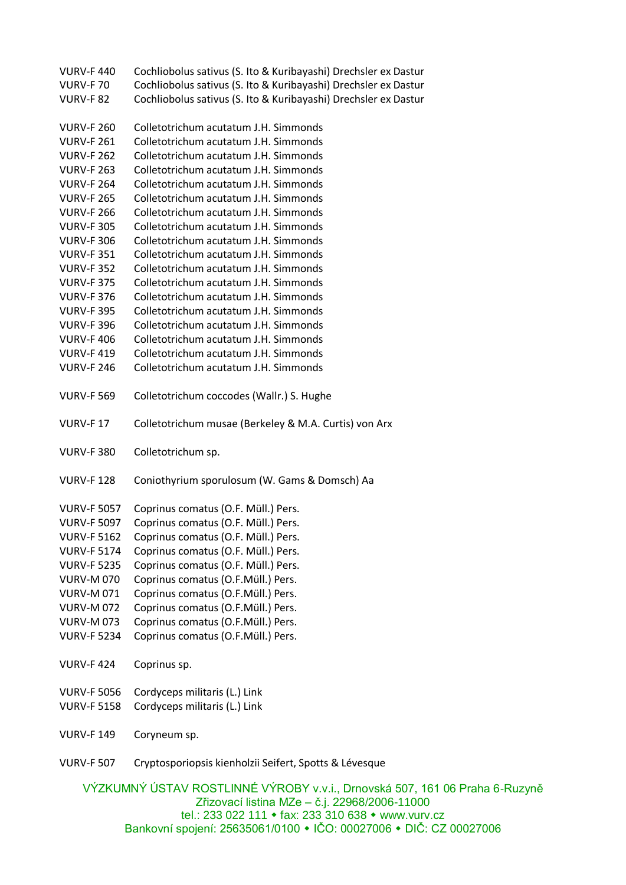| <b>VURV-F440</b>   | Cochliobolus sativus (S. Ito & Kuribayashi) Drechsler ex Dastur                |
|--------------------|--------------------------------------------------------------------------------|
| <b>VURV-F70</b>    | Cochliobolus sativus (S. Ito & Kuribayashi) Drechsler ex Dastur                |
| <b>VURV-F 82</b>   | Cochliobolus sativus (S. Ito & Kuribayashi) Drechsler ex Dastur                |
|                    |                                                                                |
| <b>VURV-F 260</b>  | Colletotrichum acutatum J.H. Simmonds                                          |
| <b>VURV-F 261</b>  | Colletotrichum acutatum J.H. Simmonds                                          |
| <b>VURV-F 262</b>  | Colletotrichum acutatum J.H. Simmonds                                          |
| <b>VURV-F 263</b>  | Colletotrichum acutatum J.H. Simmonds                                          |
| <b>VURV-F 264</b>  | Colletotrichum acutatum J.H. Simmonds                                          |
| <b>VURV-F 265</b>  | Colletotrichum acutatum J.H. Simmonds                                          |
| <b>VURV-F 266</b>  | Colletotrichum acutatum J.H. Simmonds                                          |
| <b>VURV-F 305</b>  | Colletotrichum acutatum J.H. Simmonds                                          |
| <b>VURV-F 306</b>  | Colletotrichum acutatum J.H. Simmonds                                          |
| <b>VURV-F 351</b>  | Colletotrichum acutatum J.H. Simmonds                                          |
| <b>VURV-F 352</b>  | Colletotrichum acutatum J.H. Simmonds                                          |
| <b>VURV-F 375</b>  | Colletotrichum acutatum J.H. Simmonds                                          |
| <b>VURV-F 376</b>  | Colletotrichum acutatum J.H. Simmonds                                          |
| <b>VURV-F 395</b>  | Colletotrichum acutatum J.H. Simmonds                                          |
| <b>VURV-F 396</b>  | Colletotrichum acutatum J.H. Simmonds                                          |
| <b>VURV-F406</b>   | Colletotrichum acutatum J.H. Simmonds                                          |
| <b>VURV-F419</b>   | Colletotrichum acutatum J.H. Simmonds                                          |
| <b>VURV-F 246</b>  | Colletotrichum acutatum J.H. Simmonds                                          |
|                    |                                                                                |
| <b>VURV-F 569</b>  | Colletotrichum coccodes (Wallr.) S. Hughe                                      |
| <b>VURV-F17</b>    | Colletotrichum musae (Berkeley & M.A. Curtis) von Arx                          |
| <b>VURV-F 380</b>  | Colletotrichum sp.                                                             |
|                    |                                                                                |
| <b>VURV-F128</b>   | Coniothyrium sporulosum (W. Gams & Domsch) Aa                                  |
| <b>VURV-F 5057</b> |                                                                                |
| <b>VURV-F 5097</b> | Coprinus comatus (O.F. Müll.) Pers.<br>Coprinus comatus (O.F. Müll.) Pers.     |
| <b>VURV-F 5162</b> | Coprinus comatus (O.F. Müll.) Pers.                                            |
| <b>VURV-F 5174</b> |                                                                                |
| <b>VURV-F 5235</b> | Coprinus comatus (O.F. Müll.) Pers.<br>Coprinus comatus (O.F. Müll.) Pers.     |
|                    |                                                                                |
| <b>VURV-M 070</b>  | Coprinus comatus (O.F.Müll.) Pers.                                             |
| <b>VURV-M071</b>   | Coprinus comatus (O.F.Müll.) Pers.                                             |
| <b>VURV-M072</b>   | Coprinus comatus (O.F.Müll.) Pers.                                             |
| <b>VURV-M073</b>   | Coprinus comatus (O.F.Müll.) Pers.                                             |
| <b>VURV-F 5234</b> | Coprinus comatus (O.F.Müll.) Pers.                                             |
| <b>VURV-F424</b>   | Coprinus sp.                                                                   |
| <b>VURV-F 5056</b> | Cordyceps militaris (L.) Link                                                  |
| <b>VURV-F 5158</b> | Cordyceps militaris (L.) Link                                                  |
|                    |                                                                                |
| <b>VURV-F 149</b>  | Coryneum sp.                                                                   |
| <b>VURV-F 507</b>  | Cryptosporiopsis kienholzii Seifert, Spotts & Lévesque                         |
|                    | $\overline{N}$ zki imaný líctav docti imalé $\overline{N}$ dody $\overline{N}$ |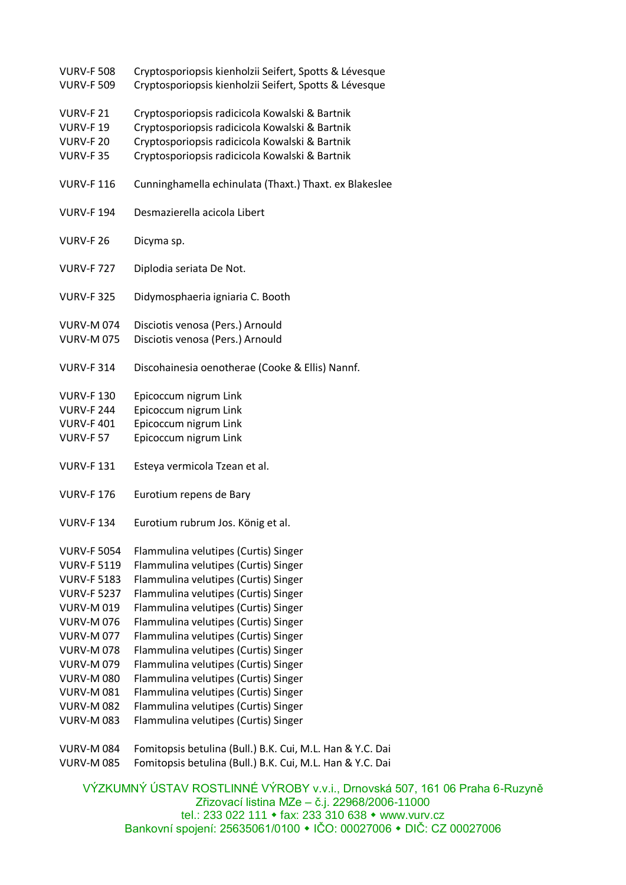| <b>VURV-F 508</b>  | Cryptosporiopsis kienholzii Seifert, Spotts & Lévesque                                           |
|--------------------|--------------------------------------------------------------------------------------------------|
| <b>VURV-F 509</b>  | Cryptosporiopsis kienholzii Seifert, Spotts & Lévesque                                           |
|                    |                                                                                                  |
| <b>VURV-F21</b>    | Cryptosporiopsis radicicola Kowalski & Bartnik<br>Cryptosporiopsis radicicola Kowalski & Bartnik |
| <b>VURV-F19</b>    |                                                                                                  |
| <b>VURV-F 20</b>   | Cryptosporiopsis radicicola Kowalski & Bartnik                                                   |
| <b>VURV-F35</b>    | Cryptosporiopsis radicicola Kowalski & Bartnik                                                   |
| <b>VURV-F116</b>   | Cunninghamella echinulata (Thaxt.) Thaxt. ex Blakeslee                                           |
| <b>VURV-F 194</b>  | Desmazierella acicola Libert                                                                     |
| <b>VURV-F 26</b>   | Dicyma sp.                                                                                       |
| <b>VURV-F727</b>   | Diplodia seriata De Not.                                                                         |
| <b>VURV-F 325</b>  | Didymosphaeria igniaria C. Booth                                                                 |
| <b>VURV-M074</b>   | Disciotis venosa (Pers.) Arnould                                                                 |
| <b>VURV-M075</b>   | Disciotis venosa (Pers.) Arnould                                                                 |
| <b>VURV-F 314</b>  | Discohainesia oenotherae (Cooke & Ellis) Nannf.                                                  |
| <b>VURV-F130</b>   | Epicoccum nigrum Link                                                                            |
| <b>VURV-F 244</b>  | Epicoccum nigrum Link                                                                            |
| <b>VURV-F401</b>   | Epicoccum nigrum Link                                                                            |
| <b>VURV-F 57</b>   | Epicoccum nigrum Link                                                                            |
|                    |                                                                                                  |
| <b>VURV-F131</b>   | Esteya vermicola Tzean et al.                                                                    |
|                    |                                                                                                  |
| <b>VURV-F176</b>   | Eurotium repens de Bary                                                                          |
| <b>VURV-F134</b>   |                                                                                                  |
|                    | Eurotium rubrum Jos. König et al.                                                                |
| <b>VURV-F 5054</b> | Flammulina velutipes (Curtis) Singer                                                             |
| <b>VURV-F 5119</b> | Flammulina velutipes (Curtis) Singer                                                             |
| <b>VURV-F 5183</b> | Flammulina velutipes (Curtis) Singer                                                             |
| <b>VURV-F 5237</b> | Flammulina velutipes (Curtis) Singer                                                             |
| <b>VURV-M019</b>   | Flammulina velutipes (Curtis) Singer                                                             |
| <b>VURV-M076</b>   | Flammulina velutipes (Curtis) Singer                                                             |
| <b>VURV-M 077</b>  | Flammulina velutipes (Curtis) Singer                                                             |
| <b>VURV-M078</b>   | Flammulina velutipes (Curtis) Singer                                                             |
| <b>VURV-M079</b>   | Flammulina velutipes (Curtis) Singer                                                             |
| <b>VURV-M080</b>   | Flammulina velutipes (Curtis) Singer                                                             |
| <b>VURV-M081</b>   | Flammulina velutipes (Curtis) Singer                                                             |
| <b>VURV-M 082</b>  | Flammulina velutipes (Curtis) Singer                                                             |
| <b>VURV-M083</b>   | Flammulina velutipes (Curtis) Singer                                                             |
|                    |                                                                                                  |

VURV-M 084 Fomitopsis betulina (Bull.) B.K. Cui, M.L. Han & Y.C. Dai VURV-M 085 Fomitopsis betulina (Bull.) B.K. Cui, M.L. Han & Y.C. Dai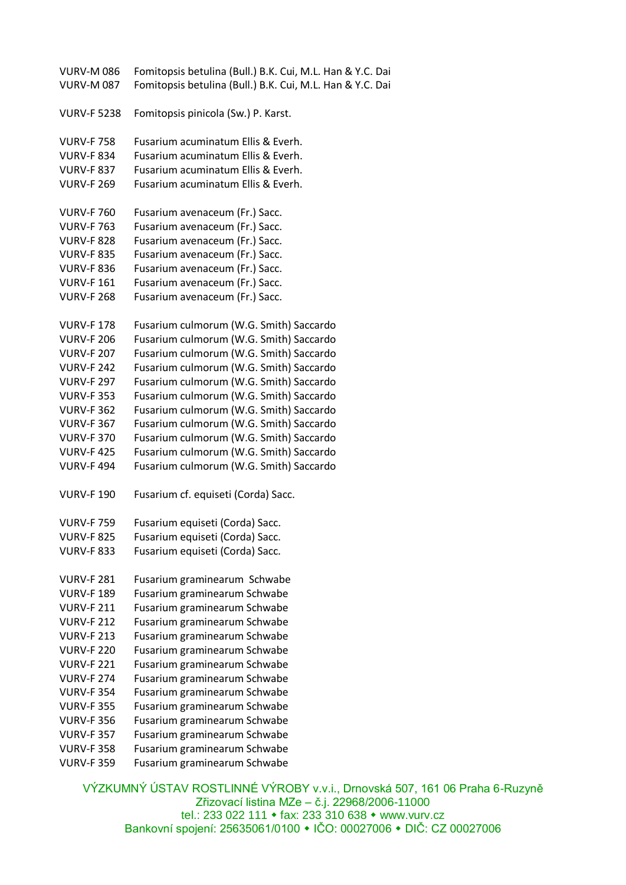| <b>VURV-M086</b>   | Fomitopsis betulina (Bull.) B.K. Cui, M.L. Han & Y.C. Dai |
|--------------------|-----------------------------------------------------------|
| <b>VURV-M087</b>   | Fomitopsis betulina (Bull.) B.K. Cui, M.L. Han & Y.C. Dai |
|                    |                                                           |
| <b>VURV-F 5238</b> | Fomitopsis pinicola (Sw.) P. Karst.                       |
|                    |                                                           |
| <b>VURV-F758</b>   | Fusarium acuminatum Ellis & Everh.                        |
| <b>VURV-F 834</b>  | Fusarium acuminatum Ellis & Everh.                        |
| <b>VURV-F 837</b>  | Fusarium acuminatum Ellis & Everh.                        |
| <b>VURV-F 269</b>  | Fusarium acuminatum Ellis & Everh.                        |
|                    |                                                           |
| <b>VURV-F 760</b>  | Fusarium avenaceum (Fr.) Sacc.                            |
| <b>VURV-F 763</b>  | Fusarium avenaceum (Fr.) Sacc.                            |
| <b>VURV-F 828</b>  | Fusarium avenaceum (Fr.) Sacc.                            |
|                    |                                                           |
| <b>VURV-F 835</b>  | Fusarium avenaceum (Fr.) Sacc.                            |
| <b>VURV-F 836</b>  | Fusarium avenaceum (Fr.) Sacc.                            |
| <b>VURV-F161</b>   | Fusarium avenaceum (Fr.) Sacc.                            |
| <b>VURV-F 268</b>  | Fusarium avenaceum (Fr.) Sacc.                            |
|                    |                                                           |
| <b>VURV-F178</b>   | Fusarium culmorum (W.G. Smith) Saccardo                   |
| <b>VURV-F 206</b>  | Fusarium culmorum (W.G. Smith) Saccardo                   |
| <b>VURV-F 207</b>  | Fusarium culmorum (W.G. Smith) Saccardo                   |
| <b>VURV-F 242</b>  | Fusarium culmorum (W.G. Smith) Saccardo                   |
| <b>VURV-F 297</b>  | Fusarium culmorum (W.G. Smith) Saccardo                   |
| <b>VURV-F 353</b>  | Fusarium culmorum (W.G. Smith) Saccardo                   |
| <b>VURV-F 362</b>  | Fusarium culmorum (W.G. Smith) Saccardo                   |
| <b>VURV-F 367</b>  | Fusarium culmorum (W.G. Smith) Saccardo                   |
| <b>VURV-F 370</b>  | Fusarium culmorum (W.G. Smith) Saccardo                   |
| <b>VURV-F425</b>   | Fusarium culmorum (W.G. Smith) Saccardo                   |
| <b>VURV-F494</b>   | Fusarium culmorum (W.G. Smith) Saccardo                   |
|                    |                                                           |
| <b>VURV-F 190</b>  | Fusarium cf. equiseti (Corda) Sacc.                       |
|                    |                                                           |
| <b>VURV-F 759</b>  | Fusarium equiseti (Corda) Sacc.                           |
| <b>VURV-F 825</b>  | Fusarium equiseti (Corda) Sacc.                           |
| <b>VURV-F 833</b>  | Fusarium equiseti (Corda) Sacc.                           |
|                    |                                                           |
| <b>VURV-F 281</b>  | Fusarium graminearum Schwabe                              |
| <b>VURV-F189</b>   | Fusarium graminearum Schwabe                              |
| <b>VURV-F 211</b>  | Fusarium graminearum Schwabe                              |
| <b>VURV-F 212</b>  | Fusarium graminearum Schwabe                              |
| <b>VURV-F 213</b>  | Fusarium graminearum Schwabe                              |
| <b>VURV-F 220</b>  | Fusarium graminearum Schwabe                              |
| <b>VURV-F 221</b>  | Fusarium graminearum Schwabe                              |
| <b>VURV-F 274</b>  | Fusarium graminearum Schwabe                              |
| <b>VURV-F 354</b>  | Fusarium graminearum Schwabe                              |
|                    |                                                           |
| <b>VURV-F 355</b>  | Fusarium graminearum Schwabe                              |
| <b>VURV-F356</b>   | Fusarium graminearum Schwabe                              |
| <b>VURV-F 357</b>  | Fusarium graminearum Schwabe                              |
| <b>VURV-F 358</b>  | Fusarium graminearum Schwabe                              |
| <b>VURV-F 359</b>  | Fusarium graminearum Schwabe                              |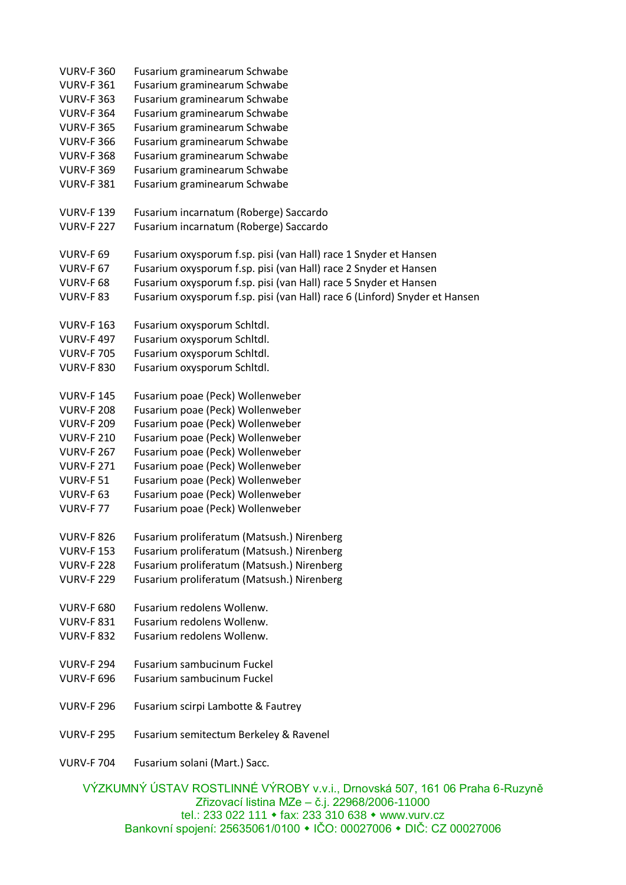| <b>VURV-F 360</b> | Fusarium graminearum Schwabe                                                |
|-------------------|-----------------------------------------------------------------------------|
| <b>VURV-F 361</b> | Fusarium graminearum Schwabe                                                |
| <b>VURV-F 363</b> | Fusarium graminearum Schwabe                                                |
| <b>VURV-F 364</b> | Fusarium graminearum Schwabe                                                |
| <b>VURV-F 365</b> | Fusarium graminearum Schwabe                                                |
| <b>VURV-F 366</b> | Fusarium graminearum Schwabe                                                |
| <b>VURV-F 368</b> | Fusarium graminearum Schwabe                                                |
| <b>VURV-F 369</b> | Fusarium graminearum Schwabe                                                |
| <b>VURV-F 381</b> | Fusarium graminearum Schwabe                                                |
|                   |                                                                             |
| <b>VURV-F139</b>  | Fusarium incarnatum (Roberge) Saccardo                                      |
| <b>VURV-F 227</b> | Fusarium incarnatum (Roberge) Saccardo                                      |
|                   |                                                                             |
| VURV-F 69         | Fusarium oxysporum f.sp. pisi (van Hall) race 1 Snyder et Hansen            |
| <b>VURV-F 67</b>  | Fusarium oxysporum f.sp. pisi (van Hall) race 2 Snyder et Hansen            |
| VURV-F 68         | Fusarium oxysporum f.sp. pisi (van Hall) race 5 Snyder et Hansen            |
| <b>VURV-F83</b>   | Fusarium oxysporum f.sp. pisi (van Hall) race 6 (Linford) Snyder et Hansen  |
|                   |                                                                             |
| <b>VURV-F 163</b> | Fusarium oxysporum Schltdl.                                                 |
| <b>VURV-F497</b>  | Fusarium oxysporum Schltdl.                                                 |
| <b>VURV-F 705</b> | Fusarium oxysporum Schltdl.                                                 |
| <b>VURV-F 830</b> | Fusarium oxysporum Schltdl.                                                 |
|                   |                                                                             |
| <b>VURV-F145</b>  | Fusarium poae (Peck) Wollenweber                                            |
| <b>VURV-F 208</b> | Fusarium poae (Peck) Wollenweber                                            |
| <b>VURV-F 209</b> | Fusarium poae (Peck) Wollenweber                                            |
| <b>VURV-F 210</b> | Fusarium poae (Peck) Wollenweber                                            |
| <b>VURV-F 267</b> | Fusarium poae (Peck) Wollenweber                                            |
| <b>VURV-F 271</b> | Fusarium poae (Peck) Wollenweber                                            |
| <b>VURV-F 51</b>  | Fusarium poae (Peck) Wollenweber                                            |
| VURV-F 63         | Fusarium poae (Peck) Wollenweber                                            |
|                   | Fusarium poae (Peck) Wollenweber                                            |
| <b>VURV-F77</b>   |                                                                             |
|                   | VURV-F 826 Fusarium proliferatum (Matsush.) Nirenberg                       |
| <b>VURV-F153</b>  | Fusarium proliferatum (Matsush.) Nirenberg                                  |
| <b>VURV-F 228</b> | Fusarium proliferatum (Matsush.) Nirenberg                                  |
| <b>VURV-F 229</b> | Fusarium proliferatum (Matsush.) Nirenberg                                  |
|                   |                                                                             |
| <b>VURV-F 680</b> | Fusarium redolens Wollenw.                                                  |
| <b>VURV-F 831</b> | Fusarium redolens Wollenw.                                                  |
| <b>VURV-F 832</b> | Fusarium redolens Wollenw.                                                  |
|                   |                                                                             |
| <b>VURV-F 294</b> | Fusarium sambucinum Fuckel                                                  |
| <b>VURV-F 696</b> | Fusarium sambucinum Fuckel                                                  |
|                   |                                                                             |
| <b>VURV-F 296</b> | Fusarium scirpi Lambotte & Fautrey                                          |
|                   |                                                                             |
| <b>VURV-F 295</b> | Fusarium semitectum Berkeley & Ravenel                                      |
|                   |                                                                             |
| <b>VURV-F 704</b> | Fusarium solani (Mart.) Sacc.                                               |
|                   |                                                                             |
|                   | VÝZKUMNÝ ÚSTAV ROSTLINNÉ VÝROBY v.v.i., Drnovská 507, 161 06 Praha 6-Ruzyně |

Zřizovací listina MZe – č.j. 22968/2006-11000 tel.: 233 022 111 fax: 233 310 638 www.vurv.cz Bankovní spojení: 25635061/0100 IČO: 00027006 DIČ: CZ 00027006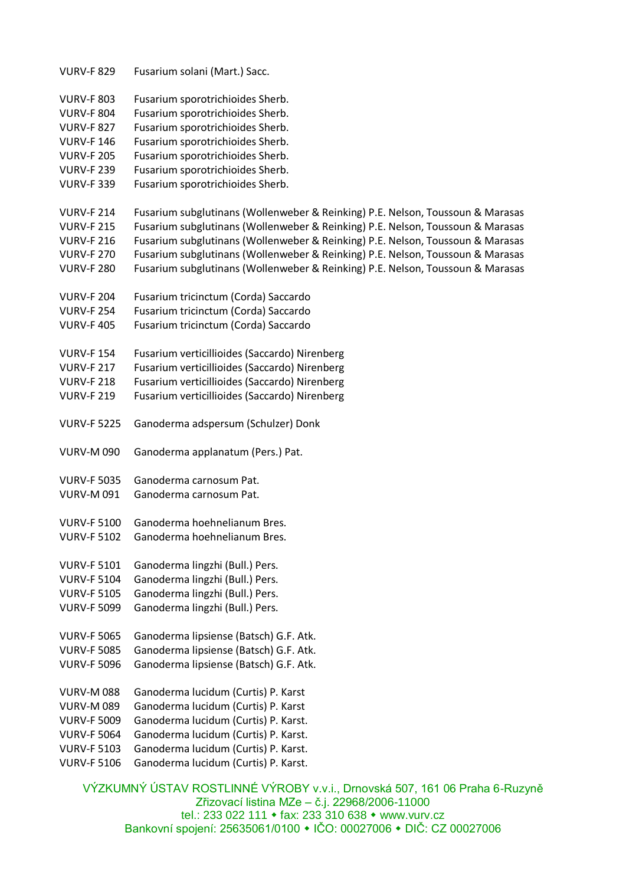| <b>VURV-F 829</b>  | Fusarium solani (Mart.) Sacc.                                                  |
|--------------------|--------------------------------------------------------------------------------|
| <b>VURV-F 803</b>  | Fusarium sporotrichioides Sherb.                                               |
| <b>VURV-F 804</b>  | Fusarium sporotrichioides Sherb.                                               |
| <b>VURV-F 827</b>  | Fusarium sporotrichioides Sherb.                                               |
| <b>VURV-F146</b>   | Fusarium sporotrichioides Sherb.                                               |
| <b>VURV-F 205</b>  | Fusarium sporotrichioides Sherb.                                               |
| <b>VURV-F 239</b>  | Fusarium sporotrichioides Sherb.                                               |
| <b>VURV-F 339</b>  | Fusarium sporotrichioides Sherb.                                               |
|                    |                                                                                |
| <b>VURV-F 214</b>  | Fusarium subglutinans (Wollenweber & Reinking) P.E. Nelson, Toussoun & Marasas |
| <b>VURV-F 215</b>  | Fusarium subglutinans (Wollenweber & Reinking) P.E. Nelson, Toussoun & Marasas |
| <b>VURV-F 216</b>  | Fusarium subglutinans (Wollenweber & Reinking) P.E. Nelson, Toussoun & Marasas |
| <b>VURV-F 270</b>  | Fusarium subglutinans (Wollenweber & Reinking) P.E. Nelson, Toussoun & Marasas |
| <b>VURV-F 280</b>  | Fusarium subglutinans (Wollenweber & Reinking) P.E. Nelson, Toussoun & Marasas |
|                    |                                                                                |
| <b>VURV-F 204</b>  | Fusarium tricinctum (Corda) Saccardo                                           |
| <b>VURV-F 254</b>  | Fusarium tricinctum (Corda) Saccardo                                           |
| <b>VURV-F405</b>   | Fusarium tricinctum (Corda) Saccardo                                           |
|                    |                                                                                |
| <b>VURV-F154</b>   | Fusarium verticillioides (Saccardo) Nirenberg                                  |
| <b>VURV-F 217</b>  | Fusarium verticillioides (Saccardo) Nirenberg                                  |
| <b>VURV-F 218</b>  | Fusarium verticillioides (Saccardo) Nirenberg                                  |
| <b>VURV-F 219</b>  | Fusarium verticillioides (Saccardo) Nirenberg                                  |
|                    |                                                                                |
| <b>VURV-F 5225</b> | Ganoderma adspersum (Schulzer) Donk                                            |
| <b>VURV-M 090</b>  | Ganoderma applanatum (Pers.) Pat.                                              |
|                    |                                                                                |
| <b>VURV-F 5035</b> | Ganoderma carnosum Pat.                                                        |
| <b>VURV-M 091</b>  | Ganoderma carnosum Pat.                                                        |
| <b>VURV-F 5100</b> | Ganoderma hoehnelianum Bres.                                                   |
| <b>VURV-F 5102</b> | Ganoderma hoehnelianum Bres.                                                   |
|                    |                                                                                |
| <b>VURV-F 5101</b> | Ganoderma lingzhi (Bull.) Pers.                                                |
| <b>VURV-F 5104</b> | Ganoderma lingzhi (Bull.) Pers.                                                |
| <b>VURV-F 5105</b> | Ganoderma lingzhi (Bull.) Pers.                                                |
| <b>VURV-F 5099</b> | Ganoderma lingzhi (Bull.) Pers.                                                |
|                    |                                                                                |
| <b>VURV-F 5065</b> | Ganoderma lipsiense (Batsch) G.F. Atk.                                         |
| <b>VURV-F 5085</b> | Ganoderma lipsiense (Batsch) G.F. Atk.                                         |
| <b>VURV-F 5096</b> | Ganoderma lipsiense (Batsch) G.F. Atk.                                         |
|                    |                                                                                |
| <b>VURV-M088</b>   | Ganoderma lucidum (Curtis) P. Karst                                            |
| <b>VURV-M 089</b>  | Ganoderma lucidum (Curtis) P. Karst                                            |
| <b>VURV-F 5009</b> | Ganoderma lucidum (Curtis) P. Karst.                                           |
| <b>VURV-F 5064</b> | Ganoderma lucidum (Curtis) P. Karst.                                           |
| <b>VURV-F 5103</b> | Ganoderma lucidum (Curtis) P. Karst.                                           |
| <b>VURV-F 5106</b> | Ganoderma lucidum (Curtis) P. Karst.                                           |
|                    |                                                                                |
|                    |                                                                                |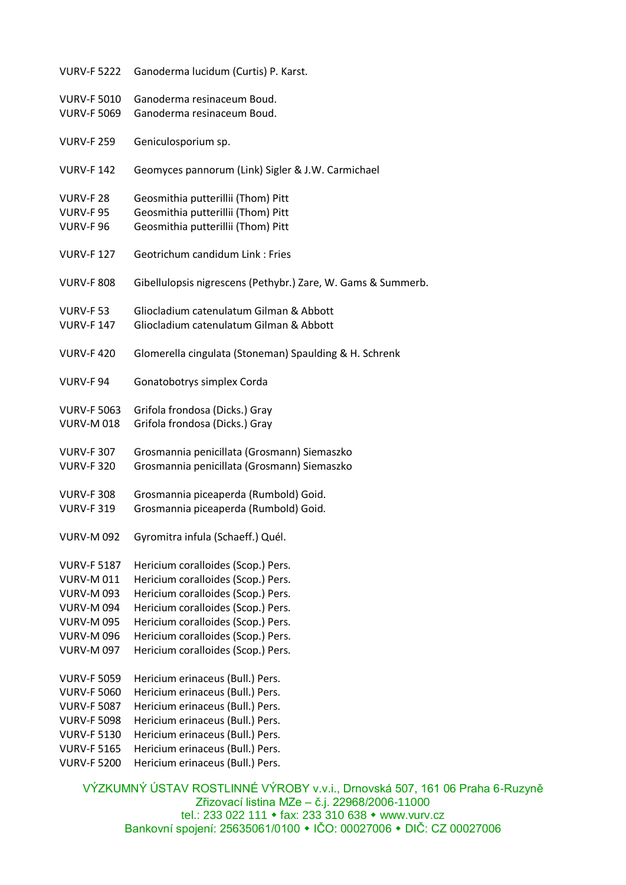| <b>VURV-F 5222</b> | Ganoderma lucidum (Curtis) P. Karst.                         |
|--------------------|--------------------------------------------------------------|
| <b>VURV-F 5010</b> | Ganoderma resinaceum Boud.                                   |
| <b>VURV-F 5069</b> | Ganoderma resinaceum Boud.                                   |
| <b>VURV-F 259</b>  | Geniculosporium sp.                                          |
| <b>VURV-F142</b>   | Geomyces pannorum (Link) Sigler & J.W. Carmichael            |
| <b>VURV-F 28</b>   | Geosmithia putterillii (Thom) Pitt                           |
| <b>VURV-F95</b>    | Geosmithia putterillii (Thom) Pitt                           |
| <b>VURV-F96</b>    | Geosmithia putterillii (Thom) Pitt                           |
| <b>VURV-F127</b>   | Geotrichum candidum Link: Fries                              |
| <b>VURV-F 808</b>  | Gibellulopsis nigrescens (Pethybr.) Zare, W. Gams & Summerb. |
| <b>VURV-F 53</b>   | Gliocladium catenulatum Gilman & Abbott                      |
| <b>VURV-F 147</b>  | Gliocladium catenulatum Gilman & Abbott                      |
| <b>VURV-F420</b>   | Glomerella cingulata (Stoneman) Spaulding & H. Schrenk       |
| VURV-F94           | Gonatobotrys simplex Corda                                   |
| <b>VURV-F 5063</b> | Grifola frondosa (Dicks.) Gray                               |
| <b>VURV-M018</b>   | Grifola frondosa (Dicks.) Gray                               |
| <b>VURV-F 307</b>  | Grosmannia penicillata (Grosmann) Siemaszko                  |
| <b>VURV-F 320</b>  | Grosmannia penicillata (Grosmann) Siemaszko                  |
| <b>VURV-F 308</b>  | Grosmannia piceaperda (Rumbold) Goid.                        |
| <b>VURV-F 319</b>  | Grosmannia piceaperda (Rumbold) Goid.                        |
| <b>VURV-M 092</b>  | Gyromitra infula (Schaeff.) Quél.                            |
| <b>VURV-F 5187</b> | Hericium coralloides (Scop.) Pers.                           |
| <b>VURV-M011</b>   | Hericium coralloides (Scop.) Pers.                           |
| <b>VURV-M 093</b>  | Hericium coralloides (Scop.) Pers.                           |
| <b>VURV-M 094</b>  | Hericium coralloides (Scop.) Pers.                           |
| <b>VURV-M 095</b>  | Hericium coralloides (Scop.) Pers.                           |
| <b>VURV-M 096</b>  | Hericium coralloides (Scop.) Pers.                           |
| <b>VURV-M 097</b>  | Hericium coralloides (Scop.) Pers.                           |
| <b>VURV-F 5059</b> | Hericium erinaceus (Bull.) Pers.                             |
| <b>VURV-F 5060</b> | Hericium erinaceus (Bull.) Pers.                             |
| <b>VURV-F 5087</b> | Hericium erinaceus (Bull.) Pers.                             |
| <b>VURV-F 5098</b> | Hericium erinaceus (Bull.) Pers.                             |
| <b>VURV-F 5130</b> | Hericium erinaceus (Bull.) Pers.                             |
| <b>VURV-F 5165</b> | Hericium erinaceus (Bull.) Pers.                             |
| <b>VURV-F 5200</b> | Hericium erinaceus (Bull.) Pers.                             |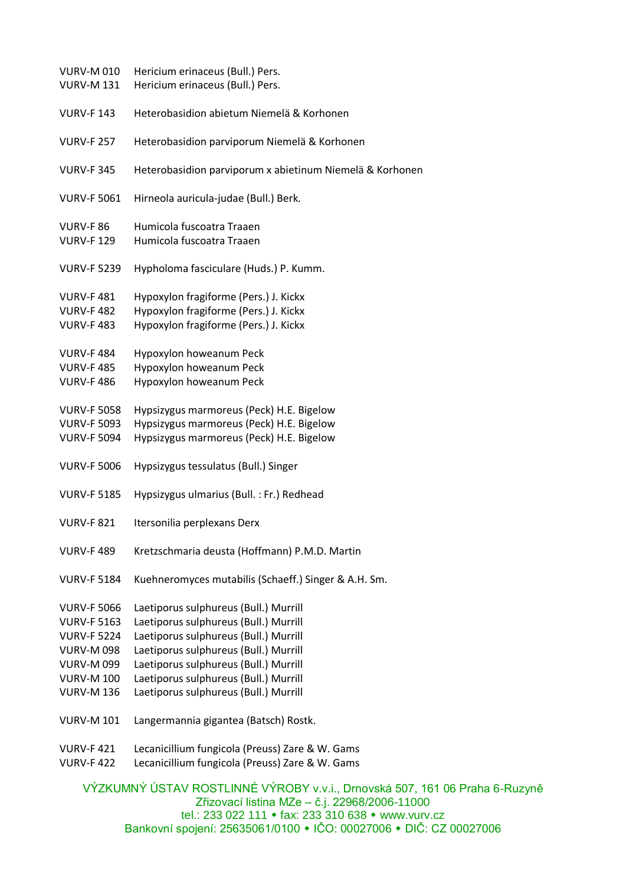| <b>VURV-M 010</b><br><b>VURV-M 131</b> | Hericium erinaceus (Bull.) Pers.<br>Hericium erinaceus (Bull.) Pers. |
|----------------------------------------|----------------------------------------------------------------------|
| <b>VURV-F143</b>                       | Heterobasidion abietum Niemelä & Korhonen                            |
| <b>VURV-F 257</b>                      | Heterobasidion parviporum Niemelä & Korhonen                         |
| <b>VURV-F 345</b>                      | Heterobasidion parviporum x abietinum Niemelä & Korhonen             |
| <b>VURV-F 5061</b>                     | Hirneola auricula-judae (Bull.) Berk.                                |
| <b>VURV-F 86</b>                       | Humicola fuscoatra Traaen                                            |
| <b>VURV-F129</b>                       | Humicola fuscoatra Traaen                                            |
| <b>VURV-F 5239</b>                     | Hypholoma fasciculare (Huds.) P. Kumm.                               |
| <b>VURV-F481</b>                       | Hypoxylon fragiforme (Pers.) J. Kickx                                |
| <b>VURV-F482</b>                       | Hypoxylon fragiforme (Pers.) J. Kickx                                |
| <b>VURV-F483</b>                       | Hypoxylon fragiforme (Pers.) J. Kickx                                |
| <b>VURV-F484</b>                       | Hypoxylon howeanum Peck                                              |
| <b>VURV-F485</b>                       | Hypoxylon howeanum Peck                                              |
| <b>VURV-F486</b>                       | Hypoxylon howeanum Peck                                              |
| <b>VURV-F 5058</b>                     | Hypsizygus marmoreus (Peck) H.E. Bigelow                             |
| <b>VURV-F 5093</b>                     | Hypsizygus marmoreus (Peck) H.E. Bigelow                             |
| <b>VURV-F 5094</b>                     | Hypsizygus marmoreus (Peck) H.E. Bigelow                             |
| <b>VURV-F 5006</b>                     | Hypsizygus tessulatus (Bull.) Singer                                 |
| <b>VURV-F 5185</b>                     | Hypsizygus ulmarius (Bull.: Fr.) Redhead                             |
| <b>VURV-F 821</b>                      | Itersonilia perplexans Derx                                          |
| <b>VURV-F489</b>                       | Kretzschmaria deusta (Hoffmann) P.M.D. Martin                        |
| <b>VURV-F 5184</b>                     | Kuehneromyces mutabilis (Schaeff.) Singer & A.H. Sm.                 |
| <b>VURV-F 5066</b>                     | Laetiporus sulphureus (Bull.) Murrill                                |
| <b>VURV-F 5163</b>                     | Laetiporus sulphureus (Bull.) Murrill                                |
| <b>VURV-F 5224</b>                     | Laetiporus sulphureus (Bull.) Murrill                                |
| <b>VURV-M 098</b>                      | Laetiporus sulphureus (Bull.) Murrill                                |
| <b>VURV-M 099</b>                      | Laetiporus sulphureus (Bull.) Murrill                                |
| <b>VURV-M 100</b>                      | Laetiporus sulphureus (Bull.) Murrill                                |
| <b>VURV-M 136</b>                      | Laetiporus sulphureus (Bull.) Murrill                                |
| <b>VURV-M 101</b>                      | Langermannia gigantea (Batsch) Rostk.                                |
| <b>VURV-F421</b>                       | Lecanicillium fungicola (Preuss) Zare & W. Gams                      |
| <b>VURV-F422</b>                       | Lecanicillium fungicola (Preuss) Zare & W. Gams                      |
|                                        | $\frac{1}{2}$                                                        |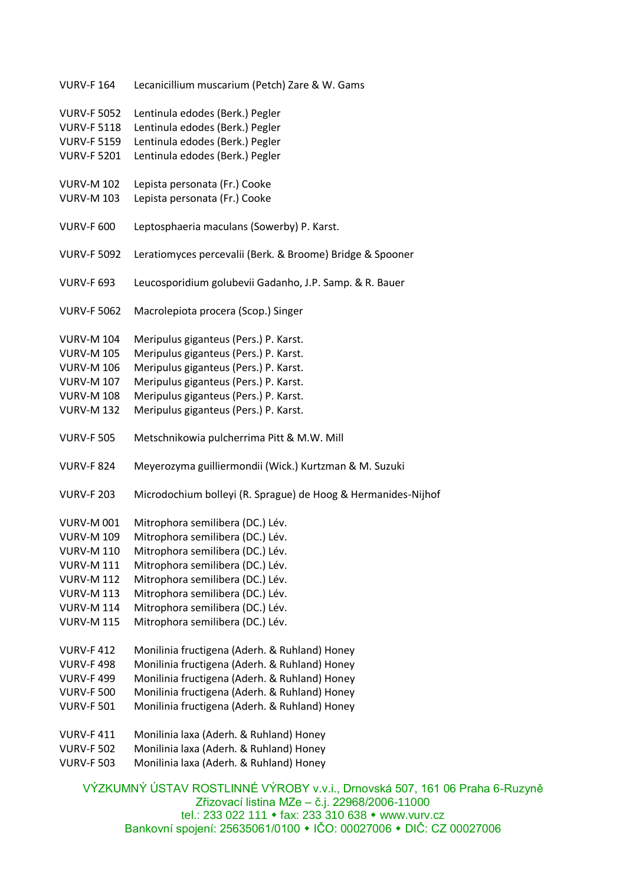| <b>VURV-F164</b>   | Lecanicillium muscarium (Petch) Zare & W. Gams                |
|--------------------|---------------------------------------------------------------|
| <b>VURV-F 5052</b> | Lentinula edodes (Berk.) Pegler                               |
| <b>VURV-F 5118</b> | Lentinula edodes (Berk.) Pegler                               |
| <b>VURV-F 5159</b> | Lentinula edodes (Berk.) Pegler                               |
| <b>VURV-F 5201</b> | Lentinula edodes (Berk.) Pegler                               |
| <b>VURV-M 102</b>  | Lepista personata (Fr.) Cooke                                 |
| <b>VURV-M 103</b>  | Lepista personata (Fr.) Cooke                                 |
| <b>VURV-F 600</b>  | Leptosphaeria maculans (Sowerby) P. Karst.                    |
| <b>VURV-F 5092</b> | Leratiomyces percevalii (Berk. & Broome) Bridge & Spooner     |
| <b>VURV-F 693</b>  | Leucosporidium golubevii Gadanho, J.P. Samp. & R. Bauer       |
| <b>VURV-F 5062</b> | Macrolepiota procera (Scop.) Singer                           |
| <b>VURV-M 104</b>  | Meripulus giganteus (Pers.) P. Karst.                         |
| <b>VURV-M 105</b>  | Meripulus giganteus (Pers.) P. Karst.                         |
| <b>VURV-M 106</b>  | Meripulus giganteus (Pers.) P. Karst.                         |
| <b>VURV-M 107</b>  | Meripulus giganteus (Pers.) P. Karst.                         |
| <b>VURV-M 108</b>  | Meripulus giganteus (Pers.) P. Karst.                         |
| <b>VURV-M 132</b>  | Meripulus giganteus (Pers.) P. Karst.                         |
| <b>VURV-F 505</b>  | Metschnikowia pulcherrima Pitt & M.W. Mill                    |
| <b>VURV-F 824</b>  | Meyerozyma guilliermondii (Wick.) Kurtzman & M. Suzuki        |
| <b>VURV-F 203</b>  | Microdochium bolleyi (R. Sprague) de Hoog & Hermanides-Nijhof |
| <b>VURV-M 001</b>  | Mitrophora semilibera (DC.) Lév.                              |
| <b>VURV-M 109</b>  | Mitrophora semilibera (DC.) Lév.                              |
| <b>VURV-M 110</b>  | Mitrophora semilibera (DC.) Lév.                              |
| <b>VURV-M 111</b>  | Mitrophora semilibera (DC.) Lév.                              |
| <b>VURV-M 112</b>  | Mitrophora semilibera (DC.) Lév.                              |
| <b>VURV-M 113</b>  | Mitrophora semilibera (DC.) Lév.                              |
| <b>VURV-M 114</b>  | Mitrophora semilibera (DC.) Lév.                              |
| <b>VURV-M 115</b>  | Mitrophora semilibera (DC.) Lév.                              |
| <b>VURV-F412</b>   | Monilinia fructigena (Aderh. & Ruhland) Honey                 |
| <b>VURV-F498</b>   | Monilinia fructigena (Aderh. & Ruhland) Honey                 |
| <b>VURV-F499</b>   | Monilinia fructigena (Aderh. & Ruhland) Honey                 |
| <b>VURV-F 500</b>  | Monilinia fructigena (Aderh. & Ruhland) Honey                 |
| <b>VURV-F 501</b>  | Monilinia fructigena (Aderh. & Ruhland) Honey                 |
| <b>VURV-F411</b>   | Monilinia laxa (Aderh. & Ruhland) Honey                       |
| <b>VURV-F 502</b>  | Monilinia laxa (Aderh. & Ruhland) Honey                       |
| <b>VURV-F 503</b>  | Monilinia laxa (Aderh. & Ruhland) Honey                       |
|                    | VÝZKLIMNÝ LÍSTAV POSTLINNÉ VÝPORY V.V.I. Drnovská 507. 161 (  |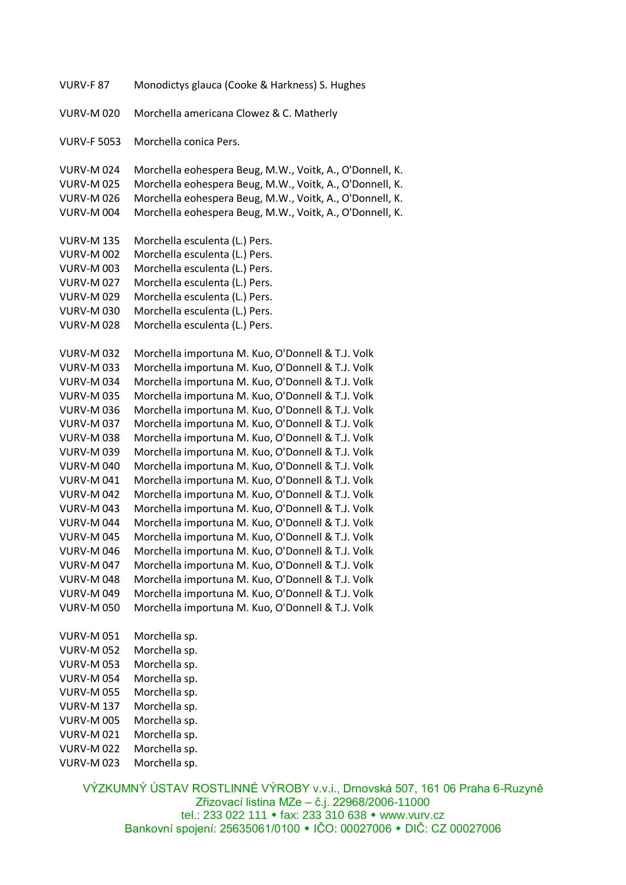| <b>VURV-F 87</b>   | Monodictys glauca (Cooke & Harkness) S. Hughes           |
|--------------------|----------------------------------------------------------|
| <b>VURV-M020</b>   | Morchella americana Clowez & C. Matherly                 |
|                    |                                                          |
| <b>VURV-F 5053</b> | Morchella conica Pers.                                   |
|                    |                                                          |
| <b>VURV-M024</b>   | Morchella eohespera Beug, M.W., Voitk, A., O'Donnell, K. |
| <b>VURV-M 025</b>  | Morchella eohespera Beug, M.W., Voitk, A., O'Donnell, K. |
| <b>VURV-M026</b>   | Morchella eohespera Beug, M.W., Voitk, A., O'Donnell, K. |
| <b>VURV-M 004</b>  | Morchella eohespera Beug, M.W., Voitk, A., O'Donnell, K. |
| <b>VURV-M 135</b>  | Morchella esculenta (L.) Pers.                           |
| <b>VURV-M 002</b>  | Morchella esculenta (L.) Pers.                           |
| <b>VURV-M 003</b>  | Morchella esculenta (L.) Pers.                           |
| <b>VURV-M027</b>   | Morchella esculenta (L.) Pers.                           |
| <b>VURV-M029</b>   | Morchella esculenta (L.) Pers.                           |
| <b>VURV-M030</b>   | Morchella esculenta (L.) Pers.                           |
| <b>VURV-M028</b>   | Morchella esculenta (L.) Pers.                           |
|                    |                                                          |
| <b>VURV-M032</b>   | Morchella importuna M. Kuo, O'Donnell & T.J. Volk        |
| <b>VURV-M033</b>   | Morchella importuna M. Kuo, O'Donnell & T.J. Volk        |
| <b>VURV-M034</b>   | Morchella importuna M. Kuo, O'Donnell & T.J. Volk        |
| <b>VURV-M035</b>   | Morchella importuna M. Kuo, O'Donnell & T.J. Volk        |
| <b>VURV-M036</b>   | Morchella importuna M. Kuo, O'Donnell & T.J. Volk        |
| <b>VURV-M037</b>   | Morchella importuna M. Kuo, O'Donnell & T.J. Volk        |
| <b>VURV-M038</b>   | Morchella importuna M. Kuo, O'Donnell & T.J. Volk        |
| <b>VURV-M039</b>   | Morchella importuna M. Kuo, O'Donnell & T.J. Volk        |
| <b>VURV-M040</b>   | Morchella importuna M. Kuo, O'Donnell & T.J. Volk        |
| <b>VURV-M041</b>   | Morchella importuna M. Kuo, O'Donnell & T.J. Volk        |
| <b>VURV-M 042</b>  | Morchella importuna M. Kuo, O'Donnell & T.J. Volk        |
| <b>VURV-M 043</b>  | Morchella importuna M. Kuo, O'Donnell & T.J. Volk        |
| <b>VURV-M 044</b>  | Morchella importuna M. Kuo, O'Donnell & T.J. Volk        |
| <b>VURV-M 045</b>  | Morchella importuna M. Kuo, O'Donnell & T.J. Volk        |
| <b>VURV-M 046</b>  | Morchella importuna M. Kuo, O'Donnell & T.J. Volk        |
| <b>VURV-M 047</b>  | Morchella importuna M. Kuo, O'Donnell & T.J. Volk        |
| <b>VURV-M 048</b>  | Morchella importuna M. Kuo, O'Donnell & T.J. Volk        |
| <b>VURV-M 049</b>  | Morchella importuna M. Kuo, O'Donnell & T.J. Volk        |
| <b>VURV-M 050</b>  | Morchella importuna M. Kuo, O'Donnell & T.J. Volk        |
| <b>VURV-M 051</b>  | Morchella sp.                                            |
| <b>VURV-M 052</b>  | Morchella sp.                                            |
| <b>VURV-M 053</b>  | Morchella sp.                                            |
| <b>VURV-M054</b>   | Morchella sp.                                            |
| <b>VURV-M 055</b>  | Morchella sp.                                            |
| <b>VURV-M 137</b>  | Morchella sp.                                            |
| <b>VURV-M 005</b>  | Morchella sp.                                            |
| <b>VURV-M021</b>   | Morchella sp.                                            |
| <b>VURV-M 022</b>  | Morchella sp.                                            |
| <b>VURV-M023</b>   | Morchella sp.                                            |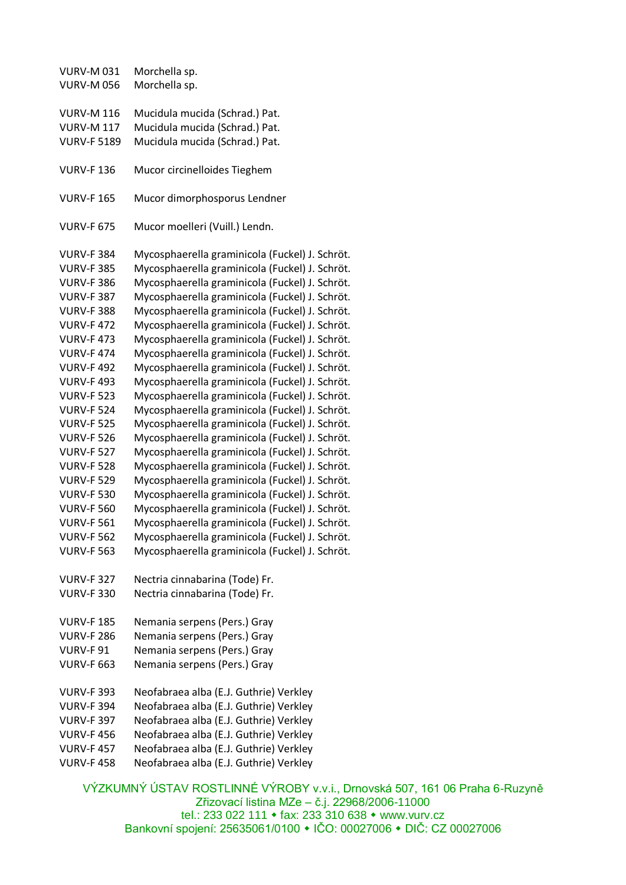VURV-M 031 Morchella sp. VURV-M 056 Morchella sp. VURV-M 116 Mucidula mucida (Schrad.) Pat. VURV-M 117 Mucidula mucida (Schrad.) Pat. VURV-F 5189 Mucidula mucida (Schrad.) Pat. VURV-F 136 Mucor circinelloides Tieghem VURV-F 165 Mucor dimorphosporus Lendner VURV-F 675 Mucor moelleri (Vuill.) Lendn. VURV-F 384 Mycosphaerella graminicola (Fuckel) J. Schröt. VURV-F 385 Mycosphaerella graminicola (Fuckel) J. Schröt. VURV-F 386 Mycosphaerella graminicola (Fuckel) J. Schröt. VURV-F 387 Mycosphaerella graminicola (Fuckel) J. Schröt. VURV-F 388 Mycosphaerella graminicola (Fuckel) J. Schröt. VURV-F 472 Mycosphaerella graminicola (Fuckel) J. Schröt. VURV-F 473 Mycosphaerella graminicola (Fuckel) J. Schröt. VURV-F 474 Mycosphaerella graminicola (Fuckel) J. Schröt. VURV-F 492 Mycosphaerella graminicola (Fuckel) J. Schröt. VURV-F 493 Mycosphaerella graminicola (Fuckel) J. Schröt. VURV-F 523 Mycosphaerella graminicola (Fuckel) J. Schröt. VURV-F 524 Mycosphaerella graminicola (Fuckel) J. Schröt. VURV-F 525 Mycosphaerella graminicola (Fuckel) J. Schröt. VURV-F 526 Mycosphaerella graminicola (Fuckel) J. Schröt. VURV-F 527 Mycosphaerella graminicola (Fuckel) J. Schröt. VURV-F 528 Mycosphaerella graminicola (Fuckel) J. Schröt. VURV-F 529 Mycosphaerella graminicola (Fuckel) J. Schröt. VURV-F 530 Mycosphaerella graminicola (Fuckel) J. Schröt. VURV-F 560 Mycosphaerella graminicola (Fuckel) J. Schröt. VURV-F 561 Mycosphaerella graminicola (Fuckel) J. Schröt. VURV-F 562 Mycosphaerella graminicola (Fuckel) J. Schröt. VURV-F 563 Mycosphaerella graminicola (Fuckel) J. Schröt. VURV-F 327 Nectria cinnabarina (Tode) Fr. VURV-F 330 Nectria cinnabarina (Tode) Fr. VURV-F 185 Nemania serpens (Pers.) Gray VURV-F 286 Nemania serpens (Pers.) Gray VURV-F 91 Nemania serpens (Pers.) Gray VURV-F 663 Nemania serpens (Pers.) Gray VURV-F 393 Neofabraea alba (E.J. Guthrie) Verkley VURV-F 394 Neofabraea alba (E.J. Guthrie) Verkley VURV-F 397 Neofabraea alba (E.J. Guthrie) Verkley VURV-F 456 Neofabraea alba (E.J. Guthrie) Verkley VURV-F 457 Neofabraea alba (E.J. Guthrie) Verkley VURV-F 458 Neofabraea alba (E.J. Guthrie) Verkley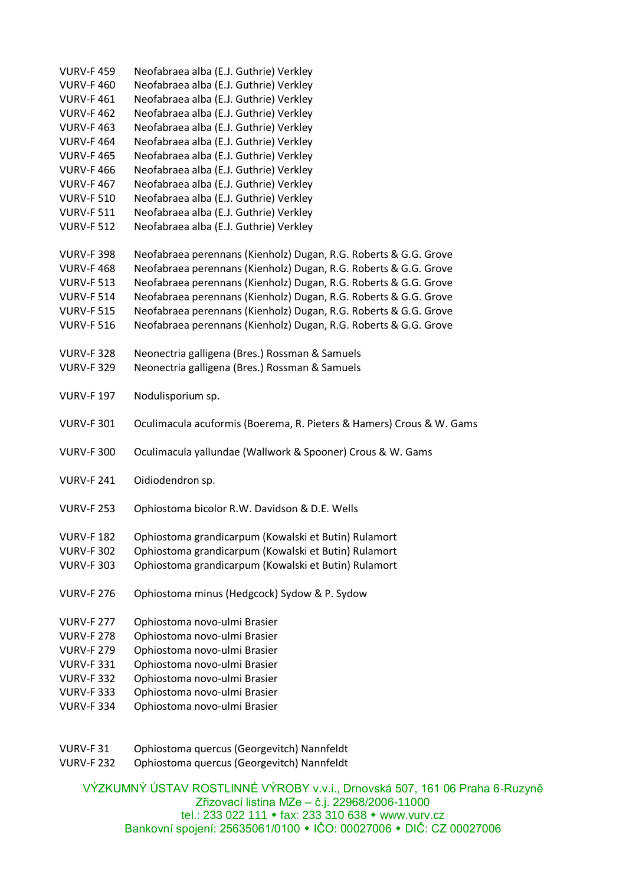| <b>VURV-F459</b>  | Neofabraea alba (E.J. Guthrie) Verkley                               |
|-------------------|----------------------------------------------------------------------|
| <b>VURV-F460</b>  | Neofabraea alba (E.J. Guthrie) Verkley                               |
| <b>VURV-F461</b>  | Neofabraea alba (E.J. Guthrie) Verkley                               |
| <b>VURV-F462</b>  | Neofabraea alba (E.J. Guthrie) Verkley                               |
| <b>VURV-F463</b>  | Neofabraea alba (E.J. Guthrie) Verkley                               |
| <b>VURV-F464</b>  | Neofabraea alba (E.J. Guthrie) Verkley                               |
| <b>VURV-F465</b>  | Neofabraea alba (E.J. Guthrie) Verkley                               |
| <b>VURV-F466</b>  | Neofabraea alba (E.J. Guthrie) Verkley                               |
| <b>VURV-F467</b>  | Neofabraea alba (E.J. Guthrie) Verkley                               |
| <b>VURV-F 510</b> | Neofabraea alba (E.J. Guthrie) Verkley                               |
| <b>VURV-F 511</b> | Neofabraea alba (E.J. Guthrie) Verkley                               |
| <b>VURV-F 512</b> | Neofabraea alba (E.J. Guthrie) Verkley                               |
|                   |                                                                      |
| <b>VURV-F 398</b> | Neofabraea perennans (Kienholz) Dugan, R.G. Roberts & G.G. Grove     |
| <b>VURV-F468</b>  | Neofabraea perennans (Kienholz) Dugan, R.G. Roberts & G.G. Grove     |
| <b>VURV-F 513</b> | Neofabraea perennans (Kienholz) Dugan, R.G. Roberts & G.G. Grove     |
| <b>VURV-F 514</b> | Neofabraea perennans (Kienholz) Dugan, R.G. Roberts & G.G. Grove     |
| <b>VURV-F 515</b> | Neofabraea perennans (Kienholz) Dugan, R.G. Roberts & G.G. Grove     |
| <b>VURV-F 516</b> | Neofabraea perennans (Kienholz) Dugan, R.G. Roberts & G.G. Grove     |
|                   |                                                                      |
| <b>VURV-F 328</b> | Neonectria galligena (Bres.) Rossman & Samuels                       |
| <b>VURV-F 329</b> | Neonectria galligena (Bres.) Rossman & Samuels                       |
|                   |                                                                      |
| <b>VURV-F 197</b> | Nodulisporium sp.                                                    |
|                   |                                                                      |
| <b>VURV-F 301</b> | Oculimacula acuformis (Boerema, R. Pieters & Hamers) Crous & W. Gams |
|                   |                                                                      |
| <b>VURV-F 300</b> | Oculimacula yallundae (Wallwork & Spooner) Crous & W. Gams           |
|                   |                                                                      |
| <b>VURV-F 241</b> | Oidiodendron sp.                                                     |
|                   |                                                                      |
| <b>VURV-F 253</b> | Ophiostoma bicolor R.W. Davidson & D.E. Wells                        |
|                   |                                                                      |
| <b>VURV-F182</b>  | Ophiostoma grandicarpum (Kowalski et Butin) Rulamort                 |
| <b>VURV-F 302</b> | Ophiostoma grandicarpum (Kowalski et Butin) Rulamort                 |
| <b>VURV-F 303</b> | Ophiostoma grandicarpum (Kowalski et Butin) Rulamort                 |
|                   |                                                                      |
| <b>VURV-F 276</b> | Ophiostoma minus (Hedgcock) Sydow & P. Sydow                         |
|                   |                                                                      |
| <b>VURV-F 277</b> | Ophiostoma novo-ulmi Brasier                                         |
| <b>VURV-F 278</b> | Ophiostoma novo-ulmi Brasier                                         |
| <b>VURV-F 279</b> | Ophiostoma novo-ulmi Brasier                                         |
| <b>VURV-F 331</b> | Ophiostoma novo-ulmi Brasier                                         |
| <b>VURV-F 332</b> | Ophiostoma novo-ulmi Brasier                                         |
| <b>VURV-F 333</b> | Ophiostoma novo-ulmi Brasier                                         |
| <b>VURV-F 334</b> | Ophiostoma novo-ulmi Brasier                                         |
|                   |                                                                      |
|                   |                                                                      |

- VURV-F 31 Ophiostoma quercus (Georgevitch) Nannfeldt
- VURV-F 232 Ophiostoma quercus (Georgevitch) Nannfeldt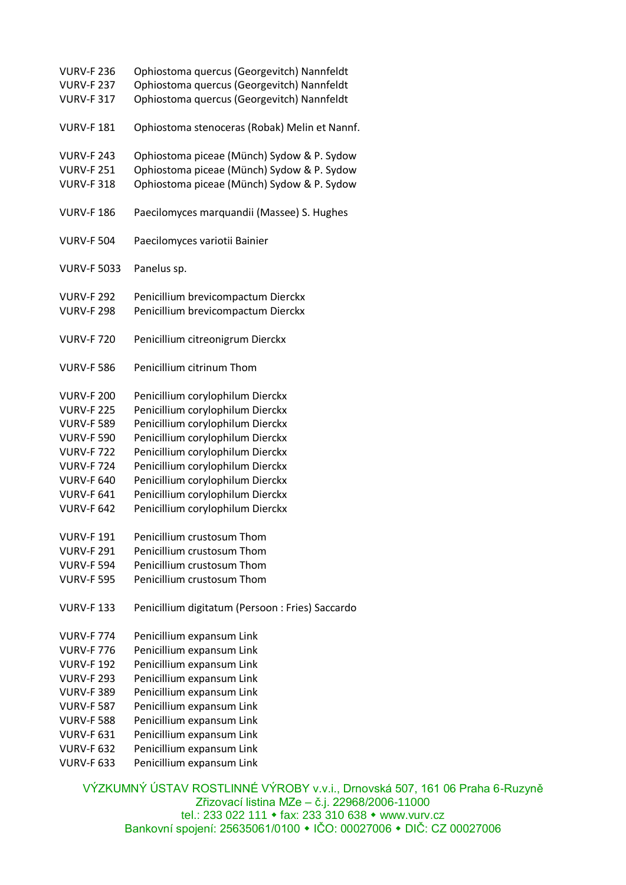| <b>VURV-F 236</b>  | Ophiostoma quercus (Georgevitch) Nannfeldt      |
|--------------------|-------------------------------------------------|
| <b>VURV-F 237</b>  | Ophiostoma quercus (Georgevitch) Nannfeldt      |
| <b>VURV-F 317</b>  | Ophiostoma quercus (Georgevitch) Nannfeldt      |
|                    |                                                 |
| <b>VURV-F181</b>   | Ophiostoma stenoceras (Robak) Melin et Nannf.   |
|                    |                                                 |
| <b>VURV-F 243</b>  | Ophiostoma piceae (Münch) Sydow & P. Sydow      |
| <b>VURV-F 251</b>  | Ophiostoma piceae (Münch) Sydow & P. Sydow      |
| <b>VURV-F 318</b>  | Ophiostoma piceae (Münch) Sydow & P. Sydow      |
|                    |                                                 |
| <b>VURV-F186</b>   | Paecilomyces marquandii (Massee) S. Hughes      |
|                    |                                                 |
| <b>VURV-F 504</b>  | Paecilomyces variotii Bainier                   |
|                    |                                                 |
| <b>VURV-F 5033</b> | Panelus sp.                                     |
|                    |                                                 |
| <b>VURV-F 292</b>  | Penicillium brevicompactum Dierckx              |
| <b>VURV-F 298</b>  | Penicillium brevicompactum Dierckx              |
|                    |                                                 |
| <b>VURV-F 720</b>  | Penicillium citreonigrum Dierckx                |
|                    |                                                 |
| <b>VURV-F 586</b>  | Penicillium citrinum Thom                       |
|                    |                                                 |
| <b>VURV-F 200</b>  | Penicillium corylophilum Dierckx                |
| <b>VURV-F 225</b>  | Penicillium corylophilum Dierckx                |
| <b>VURV-F 589</b>  | Penicillium corylophilum Dierckx                |
| <b>VURV-F 590</b>  | Penicillium corylophilum Dierckx                |
| <b>VURV-F722</b>   | Penicillium corylophilum Dierckx                |
| <b>VURV-F724</b>   | Penicillium corylophilum Dierckx                |
| <b>VURV-F 640</b>  | Penicillium corylophilum Dierckx                |
| <b>VURV-F 641</b>  | Penicillium corylophilum Dierckx                |
| <b>VURV-F 642</b>  | Penicillium corylophilum Dierckx                |
|                    |                                                 |
| <b>VURV-F191</b>   | Penicillium crustosum Thom                      |
| <b>VURV-F 291</b>  | Penicillium crustosum Thom                      |
| <b>VURV-F 594</b>  | Penicillium crustosum Thom                      |
| <b>VURV-F 595</b>  | Penicillium crustosum Thom                      |
|                    |                                                 |
| <b>VURV-F133</b>   | Penicillium digitatum (Persoon: Fries) Saccardo |
|                    |                                                 |
| <b>VURV-F 774</b>  | Penicillium expansum Link                       |
| <b>VURV-F 776</b>  | Penicillium expansum Link                       |
| <b>VURV-F 192</b>  | Penicillium expansum Link                       |
| <b>VURV-F 293</b>  | Penicillium expansum Link                       |
| <b>VURV-F 389</b>  | Penicillium expansum Link                       |
| <b>VURV-F 587</b>  | Penicillium expansum Link                       |
| <b>VURV-F 588</b>  | Penicillium expansum Link                       |
| <b>VURV-F 631</b>  | Penicillium expansum Link                       |
| <b>VURV-F 632</b>  | Penicillium expansum Link                       |
| <b>VURV-F 633</b>  | Penicillium expansum Link                       |
|                    |                                                 |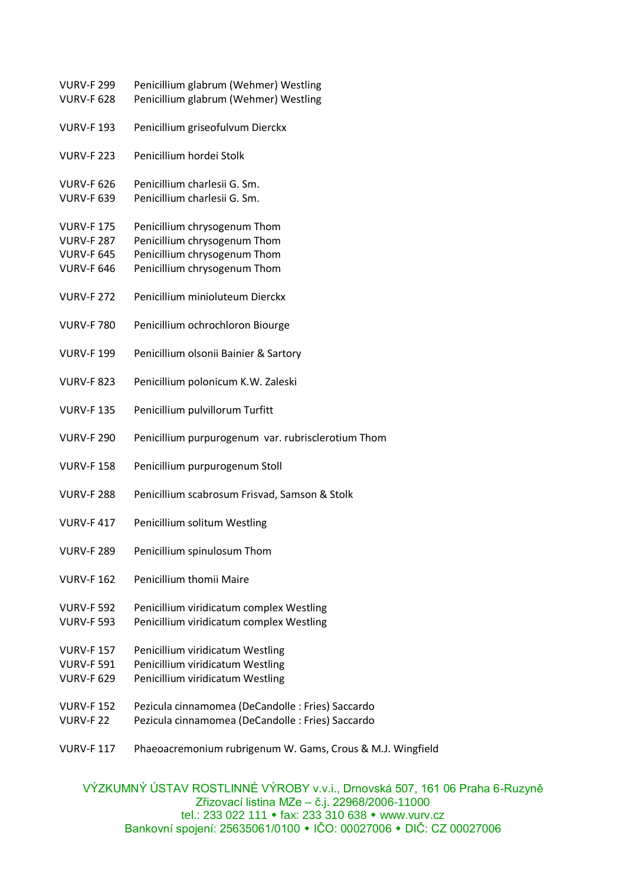| <b>VURV-F 299</b> | Penicillium glabrum (Wehmer) Westling                      |
|-------------------|------------------------------------------------------------|
| <b>VURV-F 628</b> | Penicillium glabrum (Wehmer) Westling                      |
| <b>VURV-F 193</b> | Penicillium griseofulvum Dierckx                           |
| <b>VURV-F 223</b> | Penicillium hordei Stolk                                   |
| <b>VURV-F 626</b> | Penicillium charlesii G. Sm.                               |
| <b>VURV-F 639</b> | Penicillium charlesii G. Sm.                               |
| <b>VURV-F175</b>  | Penicillium chrysogenum Thom                               |
| <b>VURV-F 287</b> | Penicillium chrysogenum Thom                               |
| <b>VURV-F 645</b> | Penicillium chrysogenum Thom                               |
| <b>VURV-F 646</b> | Penicillium chrysogenum Thom                               |
| <b>VURV-F 272</b> | Penicillium minioluteum Dierckx                            |
| <b>VURV-F 780</b> | Penicillium ochrochloron Biourge                           |
| <b>VURV-F 199</b> | Penicillium olsonii Bainier & Sartory                      |
| <b>VURV-F 823</b> | Penicillium polonicum K.W. Zaleski                         |
| <b>VURV-F135</b>  | Penicillium pulvillorum Turfitt                            |
| <b>VURV-F 290</b> | Penicillium purpurogenum var. rubrisclerotium Thom         |
| <b>VURV-F158</b>  | Penicillium purpurogenum Stoll                             |
| <b>VURV-F 288</b> | Penicillium scabrosum Frisvad, Samson & Stolk              |
| <b>VURV-F417</b>  | Penicillium solitum Westling                               |
| <b>VURV-F 289</b> | Penicillium spinulosum Thom                                |
| <b>VURV-F 162</b> | Penicillium thomii Maire                                   |
| <b>VURV-F 592</b> | Penicillium viridicatum complex Westling                   |
| <b>VURV-F 593</b> | Penicillium viridicatum complex Westling                   |
| <b>VURV-F157</b>  | Penicillium viridicatum Westling                           |
| <b>VURV-F 591</b> | Penicillium viridicatum Westling                           |
| <b>VURV-F 629</b> | Penicillium viridicatum Westling                           |
| <b>VURV-F152</b>  | Pezicula cinnamomea (DeCandolle: Fries) Saccardo           |
| <b>VURV-F 22</b>  | Pezicula cinnamomea (DeCandolle: Fries) Saccardo           |
| <b>VURV-F 117</b> | Phaeoacremonium rubrigenum W. Gams, Crous & M.J. Wingfield |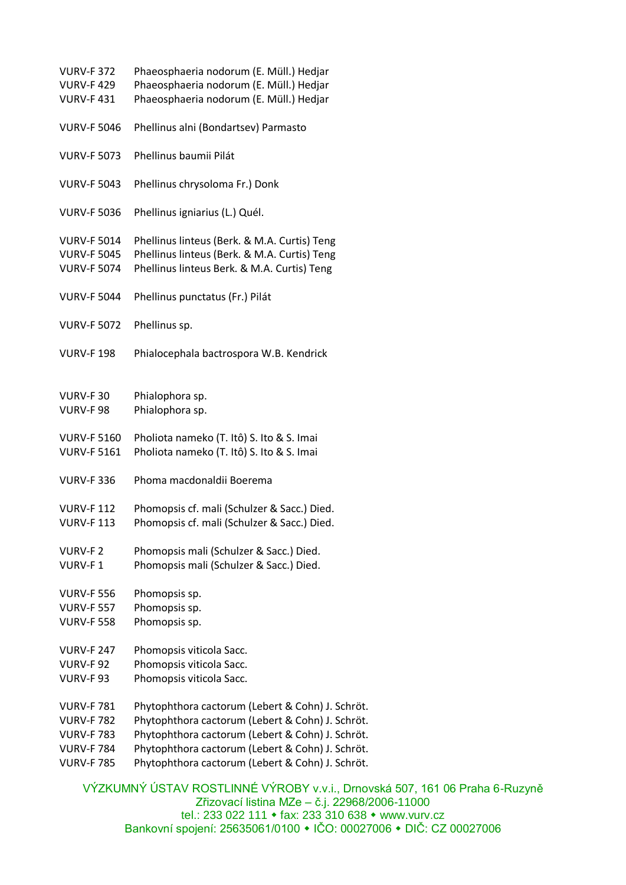| <b>VURV-F 372</b><br><b>VURV-F429</b><br><b>VURV-F431</b> | Phaeosphaeria nodorum (E. Müll.) Hedjar<br>Phaeosphaeria nodorum (E. Müll.) Hedjar<br>Phaeosphaeria nodorum (E. Müll.) Hedjar |
|-----------------------------------------------------------|-------------------------------------------------------------------------------------------------------------------------------|
| <b>VURV-F 5046</b>                                        | Phellinus alni (Bondartsev) Parmasto                                                                                          |
| <b>VURV-F 5073</b>                                        | Phellinus baumii Pilát                                                                                                        |
| <b>VURV-F 5043</b>                                        | Phellinus chrysoloma Fr.) Donk                                                                                                |
| <b>VURV-F 5036</b>                                        | Phellinus igniarius (L.) Quél.                                                                                                |
| <b>VURV-F 5014</b>                                        | Phellinus linteus (Berk. & M.A. Curtis) Teng                                                                                  |
| <b>VURV-F 5045</b>                                        | Phellinus linteus (Berk. & M.A. Curtis) Teng                                                                                  |
| <b>VURV-F 5074</b>                                        | Phellinus linteus Berk. & M.A. Curtis) Teng                                                                                   |
| <b>VURV-F 5044</b>                                        | Phellinus punctatus (Fr.) Pilát                                                                                               |
| <b>VURV-F 5072</b>                                        | Phellinus sp.                                                                                                                 |
| <b>VURV-F198</b>                                          | Phialocephala bactrospora W.B. Kendrick                                                                                       |
| <b>VURV-F30</b>                                           | Phialophora sp.                                                                                                               |
| <b>VURV-F98</b>                                           | Phialophora sp.                                                                                                               |
| <b>VURV-F 5160</b>                                        | Pholiota nameko (T. Itô) S. Ito & S. Imai                                                                                     |
| <b>VURV-F 5161</b>                                        | Pholiota nameko (T. Itô) S. Ito & S. Imai                                                                                     |
| <b>VURV-F 336</b>                                         | Phoma macdonaldii Boerema                                                                                                     |
| <b>VURV-F112</b>                                          | Phomopsis cf. mali (Schulzer & Sacc.) Died.                                                                                   |
| <b>VURV-F113</b>                                          | Phomopsis cf. mali (Schulzer & Sacc.) Died.                                                                                   |
| <b>VURV-F2</b>                                            | Phomopsis mali (Schulzer & Sacc.) Died.                                                                                       |
| VURV-F1                                                   | Phomopsis mali (Schulzer & Sacc.) Died.                                                                                       |
| <b>VURV-F 556</b>                                         | Phomopsis sp.                                                                                                                 |
| <b>VURV-F 557</b>                                         | Phomopsis sp.                                                                                                                 |
| <b>VURV-F 558</b>                                         | Phomopsis sp.                                                                                                                 |
| <b>VURV-F 247</b>                                         | Phomopsis viticola Sacc.                                                                                                      |
| <b>VURV-F92</b>                                           | Phomopsis viticola Sacc.                                                                                                      |
| VURV-F93                                                  | Phomopsis viticola Sacc.                                                                                                      |
| <b>VURV-F781</b>                                          | Phytophthora cactorum (Lebert & Cohn) J. Schröt.                                                                              |
| <b>VURV-F782</b>                                          | Phytophthora cactorum (Lebert & Cohn) J. Schröt.                                                                              |
| <b>VURV-F783</b>                                          | Phytophthora cactorum (Lebert & Cohn) J. Schröt.                                                                              |
| <b>VURV-F 784</b>                                         | Phytophthora cactorum (Lebert & Cohn) J. Schröt.                                                                              |
| <b>VURV-F 785</b>                                         | Phytophthora cactorum (Lebert & Cohn) J. Schröt.                                                                              |
|                                                           |                                                                                                                               |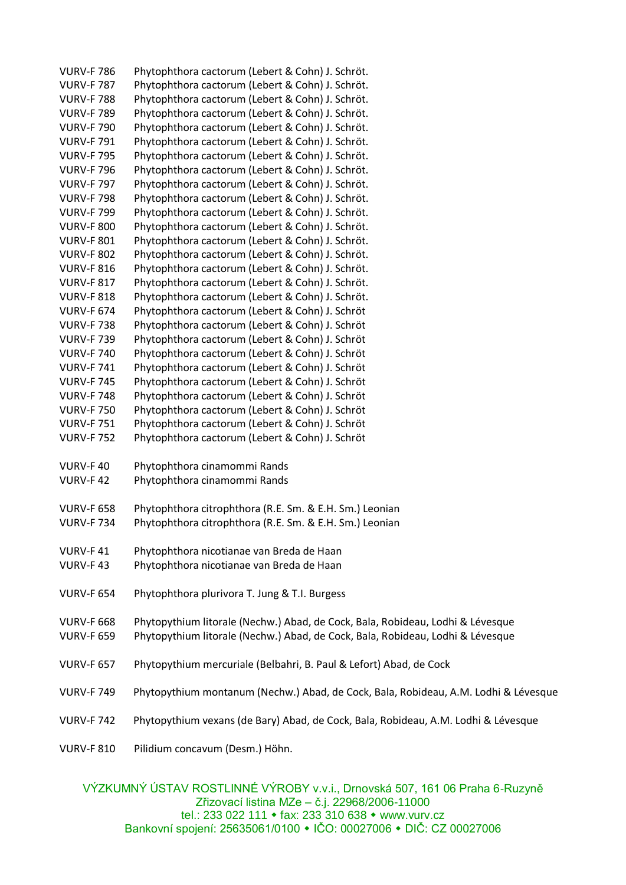| <b>VURV-F 786</b> | Phytophthora cactorum (Lebert & Cohn) J. Schröt.                                    |
|-------------------|-------------------------------------------------------------------------------------|
| <b>VURV-F 787</b> | Phytophthora cactorum (Lebert & Cohn) J. Schröt.                                    |
| <b>VURV-F788</b>  | Phytophthora cactorum (Lebert & Cohn) J. Schröt.                                    |
| <b>VURV-F 789</b> | Phytophthora cactorum (Lebert & Cohn) J. Schröt.                                    |
| <b>VURV-F 790</b> | Phytophthora cactorum (Lebert & Cohn) J. Schröt.                                    |
| <b>VURV-F791</b>  | Phytophthora cactorum (Lebert & Cohn) J. Schröt.                                    |
| <b>VURV-F 795</b> | Phytophthora cactorum (Lebert & Cohn) J. Schröt.                                    |
| <b>VURV-F 796</b> | Phytophthora cactorum (Lebert & Cohn) J. Schröt.                                    |
| <b>VURV-F 797</b> | Phytophthora cactorum (Lebert & Cohn) J. Schröt.                                    |
| <b>VURV-F 798</b> | Phytophthora cactorum (Lebert & Cohn) J. Schröt.                                    |
| <b>VURV-F 799</b> | Phytophthora cactorum (Lebert & Cohn) J. Schröt.                                    |
| <b>VURV-F 800</b> | Phytophthora cactorum (Lebert & Cohn) J. Schröt.                                    |
| <b>VURV-F 801</b> | Phytophthora cactorum (Lebert & Cohn) J. Schröt.                                    |
| <b>VURV-F 802</b> | Phytophthora cactorum (Lebert & Cohn) J. Schröt.                                    |
| <b>VURV-F 816</b> | Phytophthora cactorum (Lebert & Cohn) J. Schröt.                                    |
| <b>VURV-F 817</b> | Phytophthora cactorum (Lebert & Cohn) J. Schröt.                                    |
| <b>VURV-F 818</b> | Phytophthora cactorum (Lebert & Cohn) J. Schröt.                                    |
| <b>VURV-F 674</b> | Phytophthora cactorum (Lebert & Cohn) J. Schröt                                     |
| <b>VURV-F738</b>  | Phytophthora cactorum (Lebert & Cohn) J. Schröt                                     |
| <b>VURV-F739</b>  | Phytophthora cactorum (Lebert & Cohn) J. Schröt                                     |
| <b>VURV-F 740</b> | Phytophthora cactorum (Lebert & Cohn) J. Schröt                                     |
| <b>VURV-F741</b>  | Phytophthora cactorum (Lebert & Cohn) J. Schröt                                     |
| <b>VURV-F 745</b> | Phytophthora cactorum (Lebert & Cohn) J. Schröt                                     |
| <b>VURV-F748</b>  | Phytophthora cactorum (Lebert & Cohn) J. Schröt                                     |
| <b>VURV-F 750</b> | Phytophthora cactorum (Lebert & Cohn) J. Schröt                                     |
| <b>VURV-F751</b>  | Phytophthora cactorum (Lebert & Cohn) J. Schröt                                     |
| <b>VURV-F 752</b> | Phytophthora cactorum (Lebert & Cohn) J. Schröt                                     |
|                   |                                                                                     |
| VURV-F40          | Phytophthora cinamommi Rands                                                        |
| <b>VURV-F42</b>   | Phytophthora cinamommi Rands                                                        |
|                   |                                                                                     |
| <b>VURV-F 658</b> | Phytophthora citrophthora (R.E. Sm. & E.H. Sm.) Leonian                             |
| <b>VURV-F734</b>  | Phytophthora citrophthora (R.E. Sm. & E.H. Sm.) Leonian                             |
|                   |                                                                                     |
| VURV-F41          | Phytophthora nicotianae van Breda de Haan                                           |
| VURV-F43          | Phytophthora nicotianae van Breda de Haan                                           |
|                   |                                                                                     |
| <b>VURV-F 654</b> | Phytophthora plurivora T. Jung & T.I. Burgess                                       |
|                   |                                                                                     |
| <b>VURV-F 668</b> |                                                                                     |
| <b>VURV-F 659</b> | Phytopythium litorale (Nechw.) Abad, de Cock, Bala, Robideau, Lodhi & Lévesque      |
|                   | Phytopythium litorale (Nechw.) Abad, de Cock, Bala, Robideau, Lodhi & Lévesque      |
|                   |                                                                                     |
| <b>VURV-F 657</b> | Phytopythium mercuriale (Belbahri, B. Paul & Lefort) Abad, de Cock                  |
|                   |                                                                                     |
| <b>VURV-F 749</b> | Phytopythium montanum (Nechw.) Abad, de Cock, Bala, Robideau, A.M. Lodhi & Lévesque |
|                   |                                                                                     |
| <b>VURV-F742</b>  | Phytopythium vexans (de Bary) Abad, de Cock, Bala, Robideau, A.M. Lodhi & Lévesque  |
| <b>VURV-F 810</b> | Pilidium concavum (Desm.) Höhn.                                                     |
|                   |                                                                                     |
|                   |                                                                                     |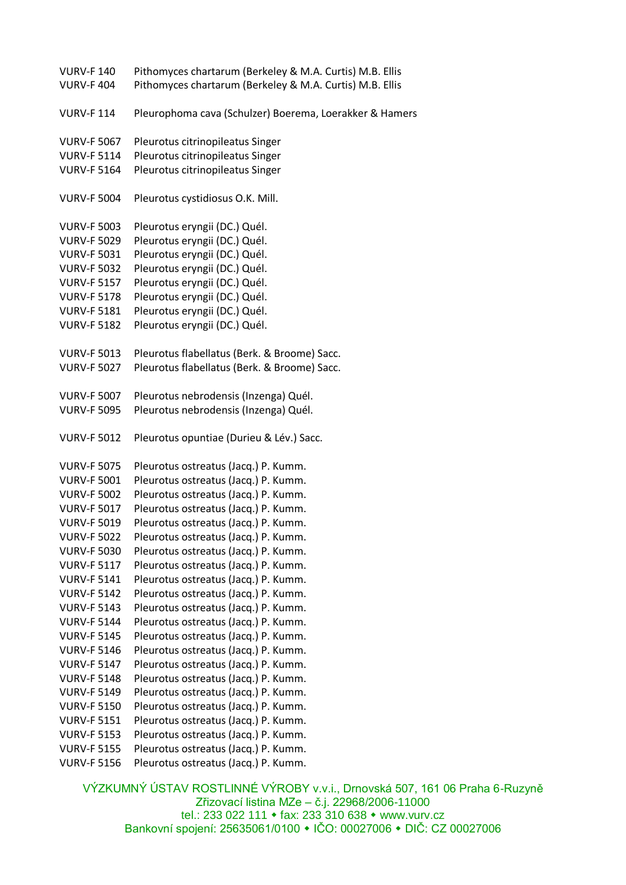VURV-F 140 Pithomyces chartarum (Berkeley & M.A. Curtis) M.B. Ellis VURV-F 404 Pithomyces chartarum (Berkeley & M.A. Curtis) M.B. Ellis VURV-F 114 Pleurophoma cava (Schulzer) Boerema, Loerakker & Hamers VURV-F 5067 Pleurotus citrinopileatus Singer VURV-F 5114 Pleurotus citrinopileatus Singer VURV-F 5164 Pleurotus citrinopileatus Singer VURV-F 5004 Pleurotus cystidiosus O.K. Mill. VURV-F 5003 Pleurotus eryngii (DC.) Quél. VURV-F 5029 Pleurotus eryngii (DC.) Quél. VURV-F 5031 Pleurotus eryngii (DC.) Quél. VURV-F 5032 Pleurotus eryngii (DC.) Quél. VURV-F 5157 Pleurotus eryngii (DC.) Quél. VURV-F 5178 Pleurotus eryngii (DC.) Quél. VURV-F 5181 Pleurotus eryngii (DC.) Quél. VURV-F 5182 Pleurotus eryngii (DC.) Quél. VURV-F 5013 Pleurotus flabellatus (Berk. & Broome) Sacc. VURV-F 5027 Pleurotus flabellatus (Berk. & Broome) Sacc. VURV-F 5007 Pleurotus nebrodensis (Inzenga) Quél. VURV-F 5095 Pleurotus nebrodensis (Inzenga) Quél. VURV-F 5012 Pleurotus opuntiae (Durieu & Lév.) Sacc. VURV-F 5075 Pleurotus ostreatus (Jacq.) P. Kumm. VURV-F 5001 Pleurotus ostreatus (Jacq.) P. Kumm. VURV-F 5002 Pleurotus ostreatus (Jacq.) P. Kumm. VURV-F 5017 Pleurotus ostreatus (Jacq.) P. Kumm. VURV-F 5019 Pleurotus ostreatus (Jacq.) P. Kumm. VURV-F 5022 Pleurotus ostreatus (Jacq.) P. Kumm. VURV-F 5030 Pleurotus ostreatus (Jacq.) P. Kumm. VURV-F 5117 Pleurotus ostreatus (Jacq.) P. Kumm. VURV-F 5141 Pleurotus ostreatus (Jacq.) P. Kumm. VURV-F 5142 Pleurotus ostreatus (Jacq.) P. Kumm. VURV-F 5143 Pleurotus ostreatus (Jacq.) P. Kumm. VURV-F 5144 Pleurotus ostreatus (Jacq.) P. Kumm. VURV-F 5145 Pleurotus ostreatus (Jacq.) P. Kumm. VURV-F 5146 Pleurotus ostreatus (Jacq.) P. Kumm. VURV-F 5147 Pleurotus ostreatus (Jacq.) P. Kumm. VURV-F 5148 Pleurotus ostreatus (Jacq.) P. Kumm. VURV-F 5149 Pleurotus ostreatus (Jacq.) P. Kumm. VURV-F 5150 Pleurotus ostreatus (Jacq.) P. Kumm. VURV-F 5151 Pleurotus ostreatus (Jacq.) P. Kumm. VURV-F 5153 Pleurotus ostreatus (Jacq.) P. Kumm. VURV-F 5155 Pleurotus ostreatus (Jacq.) P. Kumm. VURV-F 5156 Pleurotus ostreatus (Jacq.) P. Kumm.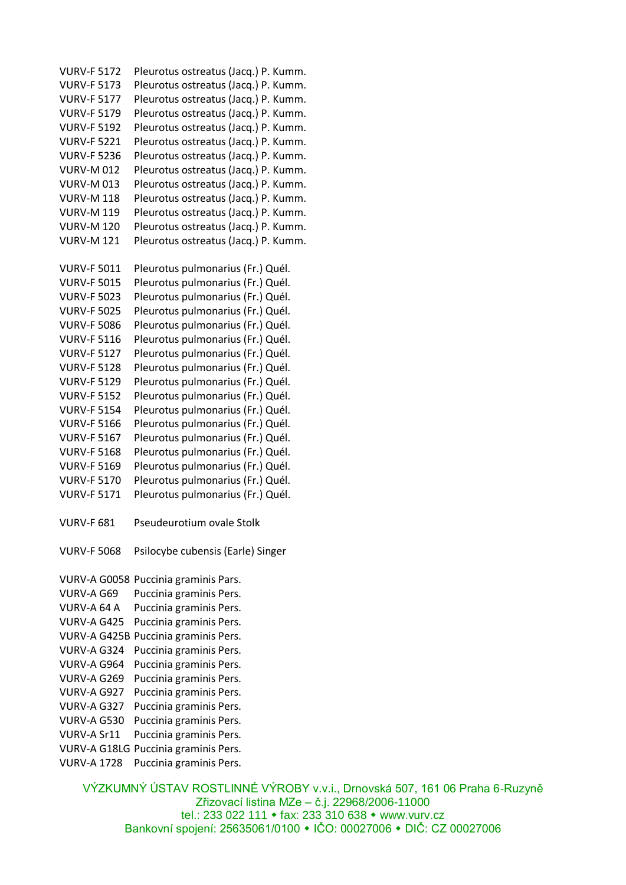VURV-F 5172 Pleurotus ostreatus (Jacq.) P. Kumm. VURV-F 5173 Pleurotus ostreatus (Jacq.) P. Kumm. VURV-F 5177 Pleurotus ostreatus (Jacq.) P. Kumm. VURV-F 5179 Pleurotus ostreatus (Jacq.) P. Kumm. VURV-F 5192 Pleurotus ostreatus (Jacq.) P. Kumm. VURV-F 5221 Pleurotus ostreatus (Jacq.) P. Kumm. VURV-F 5236 Pleurotus ostreatus (Jacq.) P. Kumm. VURV-M 012 Pleurotus ostreatus (Jacq.) P. Kumm. VURV-M 013 Pleurotus ostreatus (Jacq.) P. Kumm. VURV-M 118 Pleurotus ostreatus (Jacq.) P. Kumm. VURV-M 119 Pleurotus ostreatus (Jacq.) P. Kumm. VURV-M 120 Pleurotus ostreatus (Jacq.) P. Kumm. VURV-M 121 Pleurotus ostreatus (Jacq.) P. Kumm. VURV-F 5011 Pleurotus pulmonarius (Fr.) Quél. VURV-F 5015 Pleurotus pulmonarius (Fr.) Quél. VURV-F 5023 Pleurotus pulmonarius (Fr.) Quél. VURV-F 5025 Pleurotus pulmonarius (Fr.) Quél. VURV-F 5086 Pleurotus pulmonarius (Fr.) Quél. VURV-F 5116 Pleurotus pulmonarius (Fr.) Quél. VURV-F 5127 Pleurotus pulmonarius (Fr.) Quél. VURV-F 5128 Pleurotus pulmonarius (Fr.) Quél. VURV-F 5129 Pleurotus pulmonarius (Fr.) Quél. VURV-F 5152 Pleurotus pulmonarius (Fr.) Quél. VURV-F 5154 Pleurotus pulmonarius (Fr.) Quél. VURV-F 5166 Pleurotus pulmonarius (Fr.) Quél. VURV-F 5167 Pleurotus pulmonarius (Fr.) Quél. VURV-F 5168 Pleurotus pulmonarius (Fr.) Quél. VURV-F 5169 Pleurotus pulmonarius (Fr.) Quél. VURV-F 5170 Pleurotus pulmonarius (Fr.) Quél. VURV-F 5171 Pleurotus pulmonarius (Fr.) Quél. VURV-F 681 Pseudeurotium ovale Stolk VURV-F 5068 Psilocybe cubensis (Earle) Singer VURV-A G0058 Puccinia graminis Pars. VURV-A G69 Puccinia graminis Pers. VURV-A 64 A Puccinia graminis Pers. VURV-A G425 Puccinia graminis Pers. VURV-A G425B Puccinia graminis Pers. VURV-A G324 Puccinia graminis Pers. VURV-A G964 Puccinia graminis Pers. VURV-A G269 Puccinia graminis Pers. VURV-A G927 Puccinia graminis Pers. VURV-A G327 Puccinia graminis Pers. VURV-A G530 Puccinia graminis Pers. VURV-A Sr11 Puccinia graminis Pers. VURV-A G18LG Puccinia graminis Pers. VURV-A 1728 Puccinia graminis Pers.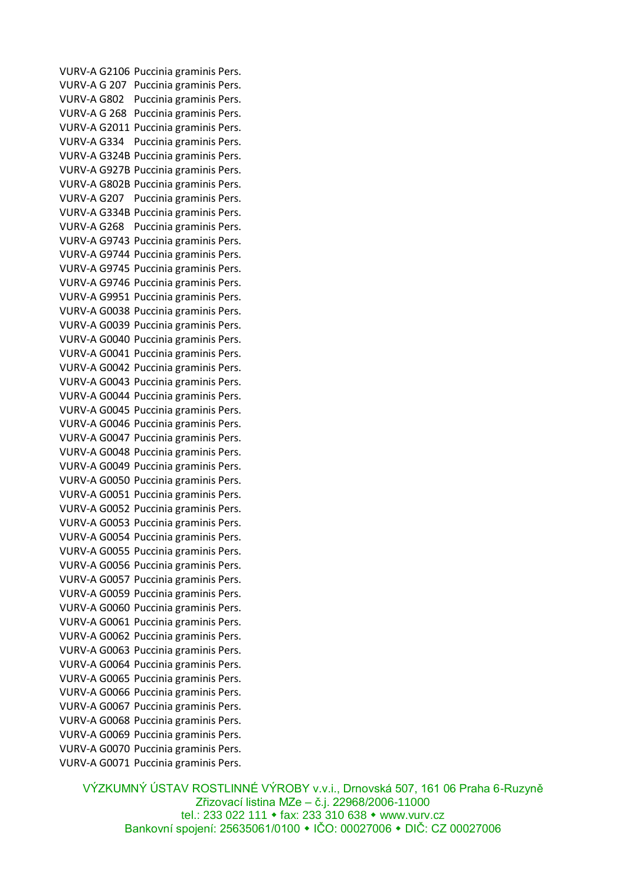VURV-A G2106 Puccinia graminis Pers. VURV-A G 207 Puccinia graminis Pers. VURV-A G802 Puccinia graminis Pers. VURV-A G 268 Puccinia graminis Pers. VURV-A G2011 Puccinia graminis Pers. VURV-A G334 Puccinia graminis Pers. VURV-A G324B Puccinia graminis Pers. VURV-A G927B Puccinia graminis Pers. VURV-A G802B Puccinia graminis Pers. VURV-A G207 Puccinia graminis Pers. VURV-A G334B Puccinia graminis Pers. VURV-A G268 Puccinia graminis Pers. VURV-A G9743 Puccinia graminis Pers. VURV-A G9744 Puccinia graminis Pers. VURV-A G9745 Puccinia graminis Pers. VURV-A G9746 Puccinia graminis Pers. VURV-A G9951 Puccinia graminis Pers. VURV-A G0038 Puccinia graminis Pers. VURV-A G0039 Puccinia graminis Pers. VURV-A G0040 Puccinia graminis Pers. VURV-A G0041 Puccinia graminis Pers. VURV-A G0042 Puccinia graminis Pers. VURV-A G0043 Puccinia graminis Pers. VURV-A G0044 Puccinia graminis Pers. VURV-A G0045 Puccinia graminis Pers. VURV-A G0046 Puccinia graminis Pers. VURV-A G0047 Puccinia graminis Pers. VURV-A G0048 Puccinia graminis Pers. VURV-A G0049 Puccinia graminis Pers. VURV-A G0050 Puccinia graminis Pers. VURV-A G0051 Puccinia graminis Pers. VURV-A G0052 Puccinia graminis Pers. VURV-A G0053 Puccinia graminis Pers. VURV-A G0054 Puccinia graminis Pers. VURV-A G0055 Puccinia graminis Pers. VURV-A G0056 Puccinia graminis Pers. VURV-A G0057 Puccinia graminis Pers. VURV-A G0059 Puccinia graminis Pers. VURV-A G0060 Puccinia graminis Pers. VURV-A G0061 Puccinia graminis Pers. VURV-A G0062 Puccinia graminis Pers. VURV-A G0063 Puccinia graminis Pers. VURV-A G0064 Puccinia graminis Pers. VURV-A G0065 Puccinia graminis Pers. VURV-A G0066 Puccinia graminis Pers. VURV-A G0067 Puccinia graminis Pers. VURV-A G0068 Puccinia graminis Pers. VURV-A G0069 Puccinia graminis Pers. VURV-A G0070 Puccinia graminis Pers. VURV-A G0071 Puccinia graminis Pers.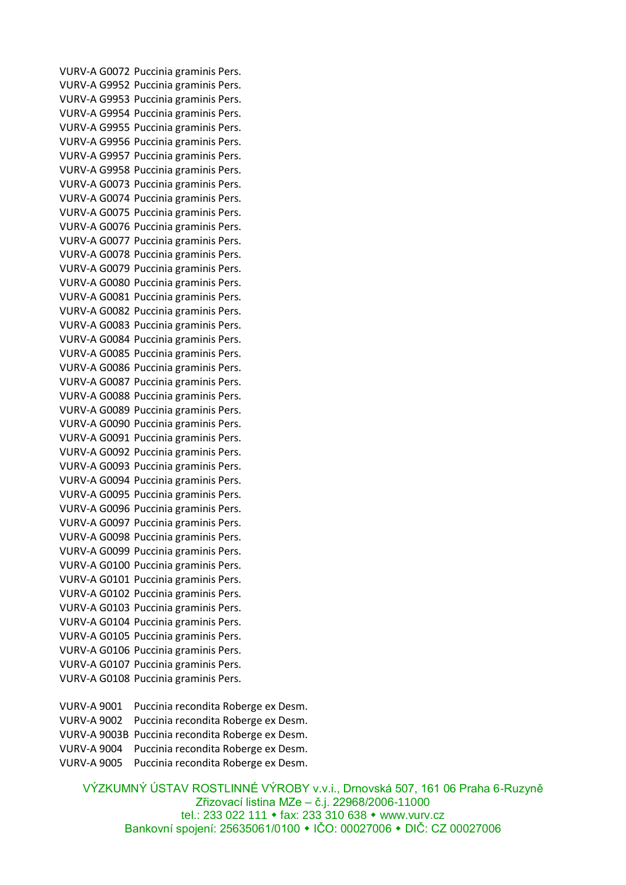VURV-A G0072 Puccinia graminis Pers. VURV-A G9952 Puccinia graminis Pers. VURV-A G9953 Puccinia graminis Pers. VURV-A G9954 Puccinia graminis Pers. VURV-A G9955 Puccinia graminis Pers. VURV-A G9956 Puccinia graminis Pers. VURV-A G9957 Puccinia graminis Pers. VURV-A G9958 Puccinia graminis Pers. VURV-A G0073 Puccinia graminis Pers. VURV-A G0074 Puccinia graminis Pers. VURV-A G0075 Puccinia graminis Pers. VURV-A G0076 Puccinia graminis Pers. VURV-A G0077 Puccinia graminis Pers. VURV-A G0078 Puccinia graminis Pers. VURV-A G0079 Puccinia graminis Pers. VURV-A G0080 Puccinia graminis Pers. VURV-A G0081 Puccinia graminis Pers. VURV-A G0082 Puccinia graminis Pers. VURV-A G0083 Puccinia graminis Pers. VURV-A G0084 Puccinia graminis Pers. VURV-A G0085 Puccinia graminis Pers. VURV-A G0086 Puccinia graminis Pers. VURV-A G0087 Puccinia graminis Pers. VURV-A G0088 Puccinia graminis Pers. VURV-A G0089 Puccinia graminis Pers. VURV-A G0090 Puccinia graminis Pers. VURV-A G0091 Puccinia graminis Pers. VURV-A G0092 Puccinia graminis Pers. VURV-A G0093 Puccinia graminis Pers. VURV-A G0094 Puccinia graminis Pers. VURV-A G0095 Puccinia graminis Pers. VURV-A G0096 Puccinia graminis Pers. VURV-A G0097 Puccinia graminis Pers. VURV-A G0098 Puccinia graminis Pers. VURV-A G0099 Puccinia graminis Pers. VURV-A G0100 Puccinia graminis Pers. VURV-A G0101 Puccinia graminis Pers. VURV-A G0102 Puccinia graminis Pers. VURV-A G0103 Puccinia graminis Pers. VURV-A G0104 Puccinia graminis Pers. VURV-A G0105 Puccinia graminis Pers. VURV-A G0106 Puccinia graminis Pers. VURV-A G0107 Puccinia graminis Pers. VURV-A G0108 Puccinia graminis Pers.

VURV-A 9001 Puccinia recondita Roberge ex Desm. VURV-A 9002 Puccinia recondita Roberge ex Desm. VURV-A 9003B Puccinia recondita Roberge ex Desm. VURV-A 9004 Puccinia recondita Roberge ex Desm. VURV-A 9005 Puccinia recondita Roberge ex Desm.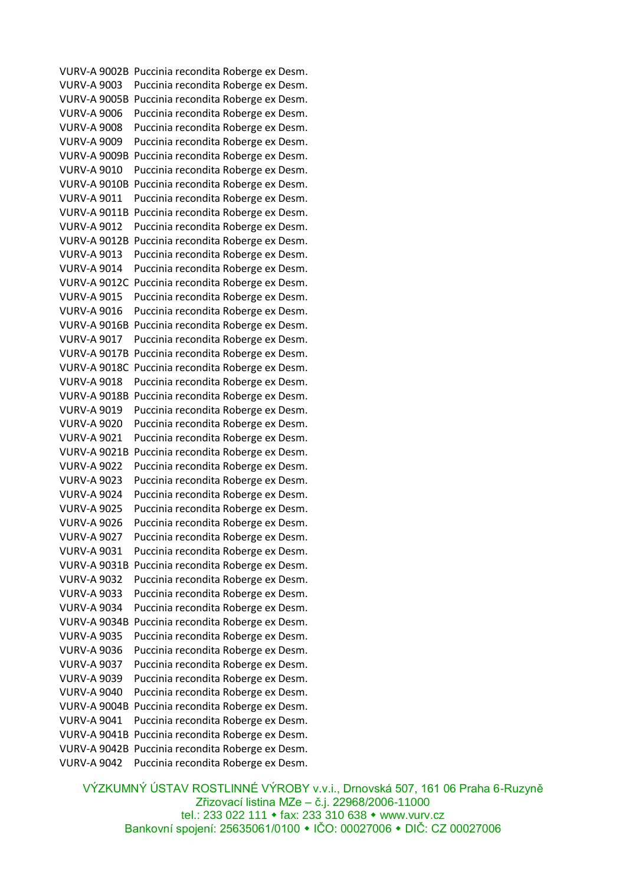VURV-A 9002B Puccinia recondita Roberge ex Desm. VURV-A 9003 Puccinia recondita Roberge ex Desm. VURV-A 9005B Puccinia recondita Roberge ex Desm. VURV-A 9006 Puccinia recondita Roberge ex Desm. VURV-A 9008 Puccinia recondita Roberge ex Desm. VURV-A 9009 Puccinia recondita Roberge ex Desm. VURV-A 9009B Puccinia recondita Roberge ex Desm. VURV-A 9010 Puccinia recondita Roberge ex Desm. VURV-A 9010B Puccinia recondita Roberge ex Desm. VURV-A 9011 Puccinia recondita Roberge ex Desm. VURV-A 9011B Puccinia recondita Roberge ex Desm. VURV-A 9012 Puccinia recondita Roberge ex Desm. VURV-A 9012B Puccinia recondita Roberge ex Desm. VURV-A 9013 Puccinia recondita Roberge ex Desm. VURV-A 9014 Puccinia recondita Roberge ex Desm. VURV-A 9012C Puccinia recondita Roberge ex Desm. VURV-A 9015 Puccinia recondita Roberge ex Desm. VURV-A 9016 Puccinia recondita Roberge ex Desm. VURV-A 9016B Puccinia recondita Roberge ex Desm. VURV-A 9017 Puccinia recondita Roberge ex Desm. VURV-A 9017B Puccinia recondita Roberge ex Desm. VURV-A 9018C Puccinia recondita Roberge ex Desm. VURV-A 9018 Puccinia recondita Roberge ex Desm. VURV-A 9018B Puccinia recondita Roberge ex Desm. VURV-A 9019 Puccinia recondita Roberge ex Desm. VURV-A 9020 Puccinia recondita Roberge ex Desm. VURV-A 9021 Puccinia recondita Roberge ex Desm. VURV-A 9021B Puccinia recondita Roberge ex Desm. VURV-A 9022 Puccinia recondita Roberge ex Desm. VURV-A 9023 Puccinia recondita Roberge ex Desm. VURV-A 9024 Puccinia recondita Roberge ex Desm. VURV-A 9025 Puccinia recondita Roberge ex Desm. VURV-A 9026 Puccinia recondita Roberge ex Desm. VURV-A 9027 Puccinia recondita Roberge ex Desm. VURV-A 9031 Puccinia recondita Roberge ex Desm. VURV-A 9031B Puccinia recondita Roberge ex Desm. VURV-A 9032 Puccinia recondita Roberge ex Desm. VURV-A 9033 Puccinia recondita Roberge ex Desm. VURV-A 9034 Puccinia recondita Roberge ex Desm. VURV-A 9034B Puccinia recondita Roberge ex Desm. VURV-A 9035 Puccinia recondita Roberge ex Desm. VURV-A 9036 Puccinia recondita Roberge ex Desm. VURV-A 9037 Puccinia recondita Roberge ex Desm. VURV-A 9039 Puccinia recondita Roberge ex Desm. VURV-A 9040 Puccinia recondita Roberge ex Desm. VURV-A 9004B Puccinia recondita Roberge ex Desm. VURV-A 9041 Puccinia recondita Roberge ex Desm. VURV-A 9041B Puccinia recondita Roberge ex Desm. VURV-A 9042B Puccinia recondita Roberge ex Desm. VURV-A 9042 Puccinia recondita Roberge ex Desm.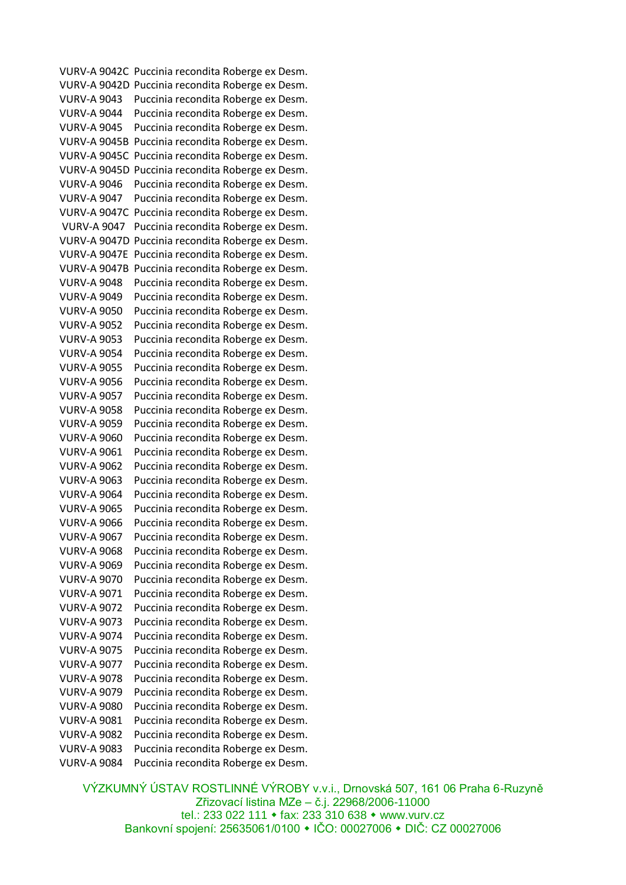VURV-A 9042C Puccinia recondita Roberge ex Desm. VURV-A 9042D Puccinia recondita Roberge ex Desm. VURV-A 9043 Puccinia recondita Roberge ex Desm. VURV-A 9044 Puccinia recondita Roberge ex Desm. VURV-A 9045 Puccinia recondita Roberge ex Desm. VURV-A 9045B Puccinia recondita Roberge ex Desm. VURV-A 9045C Puccinia recondita Roberge ex Desm. VURV-A 9045D Puccinia recondita Roberge ex Desm. VURV-A 9046 Puccinia recondita Roberge ex Desm. VURV-A 9047 Puccinia recondita Roberge ex Desm. VURV-A 9047C Puccinia recondita Roberge ex Desm. VURV-A 9047 Puccinia recondita Roberge ex Desm. VURV-A 9047D Puccinia recondita Roberge ex Desm. VURV-A 9047E Puccinia recondita Roberge ex Desm. VURV-A 9047B Puccinia recondita Roberge ex Desm. VURV-A 9048 Puccinia recondita Roberge ex Desm. VURV-A 9049 Puccinia recondita Roberge ex Desm. VURV-A 9050 Puccinia recondita Roberge ex Desm. VURV-A 9052 Puccinia recondita Roberge ex Desm. VURV-A 9053 Puccinia recondita Roberge ex Desm. VURV-A 9054 Puccinia recondita Roberge ex Desm. VURV-A 9055 Puccinia recondita Roberge ex Desm. VURV-A 9056 Puccinia recondita Roberge ex Desm. VURV-A 9057 Puccinia recondita Roberge ex Desm. VURV-A 9058 Puccinia recondita Roberge ex Desm. VURV-A 9059 Puccinia recondita Roberge ex Desm. VURV-A 9060 Puccinia recondita Roberge ex Desm. VURV-A 9061 Puccinia recondita Roberge ex Desm. VURV-A 9062 Puccinia recondita Roberge ex Desm. VURV-A 9063 Puccinia recondita Roberge ex Desm. VURV-A 9064 Puccinia recondita Roberge ex Desm. VURV-A 9065 Puccinia recondita Roberge ex Desm. VURV-A 9066 Puccinia recondita Roberge ex Desm. VURV-A 9067 Puccinia recondita Roberge ex Desm. VURV-A 9068 Puccinia recondita Roberge ex Desm. VURV-A 9069 Puccinia recondita Roberge ex Desm. VURV-A 9070 Puccinia recondita Roberge ex Desm. VURV-A 9071 Puccinia recondita Roberge ex Desm. VURV-A 9072 Puccinia recondita Roberge ex Desm. VURV-A 9073 Puccinia recondita Roberge ex Desm. VURV-A 9074 Puccinia recondita Roberge ex Desm. VURV-A 9075 Puccinia recondita Roberge ex Desm. VURV-A 9077 Puccinia recondita Roberge ex Desm. VURV-A 9078 Puccinia recondita Roberge ex Desm. VURV-A 9079 Puccinia recondita Roberge ex Desm. VURV-A 9080 Puccinia recondita Roberge ex Desm. VURV-A 9081 Puccinia recondita Roberge ex Desm. VURV-A 9082 Puccinia recondita Roberge ex Desm. VURV-A 9083 Puccinia recondita Roberge ex Desm. VURV-A 9084 Puccinia recondita Roberge ex Desm.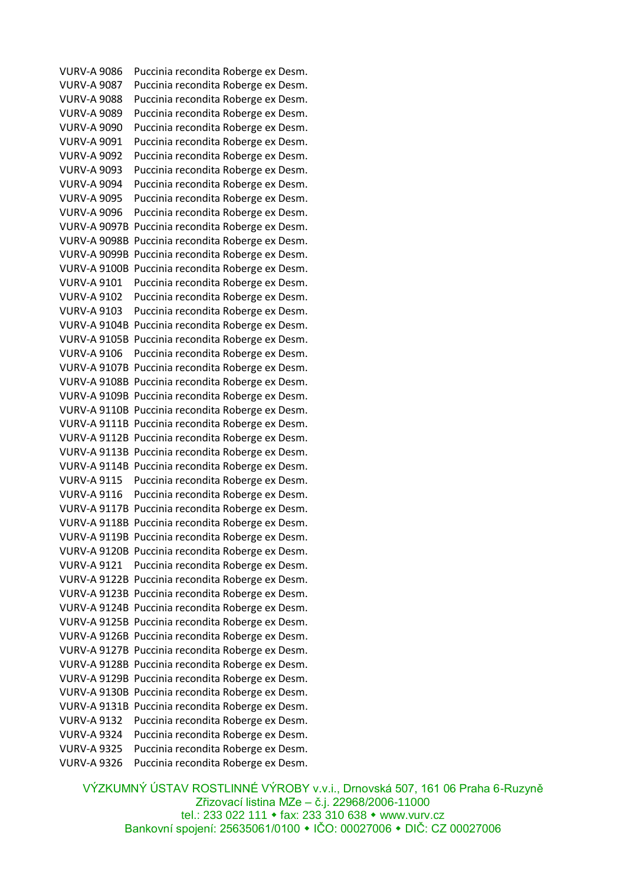VURV-A 9086 Puccinia recondita Roberge ex Desm. VURV-A 9087 Puccinia recondita Roberge ex Desm. VURV-A 9088 Puccinia recondita Roberge ex Desm. VURV-A 9089 Puccinia recondita Roberge ex Desm. VURV-A 9090 Puccinia recondita Roberge ex Desm. VURV-A 9091 Puccinia recondita Roberge ex Desm. VURV-A 9092 Puccinia recondita Roberge ex Desm. VURV-A 9093 Puccinia recondita Roberge ex Desm. VURV-A 9094 Puccinia recondita Roberge ex Desm. VURV-A 9095 Puccinia recondita Roberge ex Desm. VURV-A 9096 Puccinia recondita Roberge ex Desm. VURV-A 9097B Puccinia recondita Roberge ex Desm. VURV-A 9098B Puccinia recondita Roberge ex Desm. VURV-A 9099B Puccinia recondita Roberge ex Desm. VURV-A 9100B Puccinia recondita Roberge ex Desm. VURV-A 9101 Puccinia recondita Roberge ex Desm. VURV-A 9102 Puccinia recondita Roberge ex Desm. VURV-A 9103 Puccinia recondita Roberge ex Desm. VURV-A 9104B Puccinia recondita Roberge ex Desm. VURV-A 9105B Puccinia recondita Roberge ex Desm. VURV-A 9106 Puccinia recondita Roberge ex Desm. VURV-A 9107B Puccinia recondita Roberge ex Desm. VURV-A 9108B Puccinia recondita Roberge ex Desm. VURV-A 9109B Puccinia recondita Roberge ex Desm. VURV-A 9110B Puccinia recondita Roberge ex Desm. VURV-A 9111B Puccinia recondita Roberge ex Desm. VURV-A 9112B Puccinia recondita Roberge ex Desm. VURV-A 9113B Puccinia recondita Roberge ex Desm. VURV-A 9114B Puccinia recondita Roberge ex Desm. VURV-A 9115 Puccinia recondita Roberge ex Desm. VURV-A 9116 Puccinia recondita Roberge ex Desm. VURV-A 9117B Puccinia recondita Roberge ex Desm. VURV-A 9118B Puccinia recondita Roberge ex Desm. VURV-A 9119B Puccinia recondita Roberge ex Desm. VURV-A 9120B Puccinia recondita Roberge ex Desm. VURV-A 9121 Puccinia recondita Roberge ex Desm. VURV-A 9122B Puccinia recondita Roberge ex Desm. VURV-A 9123B Puccinia recondita Roberge ex Desm. VURV-A 9124B Puccinia recondita Roberge ex Desm. VURV-A 9125B Puccinia recondita Roberge ex Desm. VURV-A 9126B Puccinia recondita Roberge ex Desm. VURV-A 9127B Puccinia recondita Roberge ex Desm. VURV-A 9128B Puccinia recondita Roberge ex Desm. VURV-A 9129B Puccinia recondita Roberge ex Desm. VURV-A 9130B Puccinia recondita Roberge ex Desm. VURV-A 9131B Puccinia recondita Roberge ex Desm. VURV-A 9132 Puccinia recondita Roberge ex Desm. VURV-A 9324 Puccinia recondita Roberge ex Desm. VURV-A 9325 Puccinia recondita Roberge ex Desm. VURV-A 9326 Puccinia recondita Roberge ex Desm.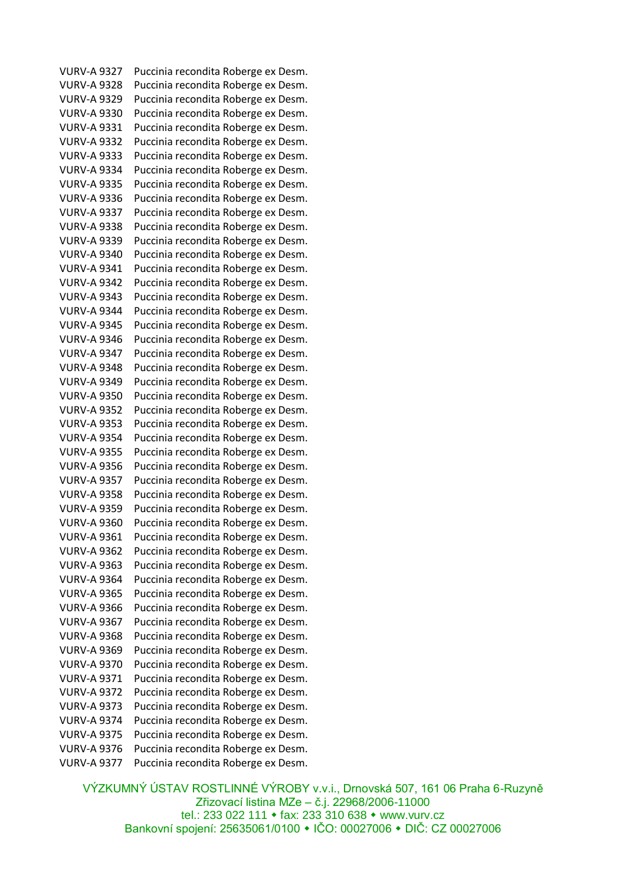VURV-A 9327 Puccinia recondita Roberge ex Desm. VURV-A 9328 Puccinia recondita Roberge ex Desm. VURV-A 9329 Puccinia recondita Roberge ex Desm. VURV-A 9330 Puccinia recondita Roberge ex Desm. VURV-A 9331 Puccinia recondita Roberge ex Desm. VURV-A 9332 Puccinia recondita Roberge ex Desm. VURV-A 9333 Puccinia recondita Roberge ex Desm. VURV-A 9334 Puccinia recondita Roberge ex Desm. VURV-A 9335 Puccinia recondita Roberge ex Desm. VURV-A 9336 Puccinia recondita Roberge ex Desm. VURV-A 9337 Puccinia recondita Roberge ex Desm. VURV-A 9338 Puccinia recondita Roberge ex Desm. VURV-A 9339 Puccinia recondita Roberge ex Desm. VURV-A 9340 Puccinia recondita Roberge ex Desm. VURV-A 9341 Puccinia recondita Roberge ex Desm. VURV-A 9342 Puccinia recondita Roberge ex Desm. VURV-A 9343 Puccinia recondita Roberge ex Desm. VURV-A 9344 Puccinia recondita Roberge ex Desm. VURV-A 9345 Puccinia recondita Roberge ex Desm. VURV-A 9346 Puccinia recondita Roberge ex Desm. VURV-A 9347 Puccinia recondita Roberge ex Desm. VURV-A 9348 Puccinia recondita Roberge ex Desm. VURV-A 9349 Puccinia recondita Roberge ex Desm. VURV-A 9350 Puccinia recondita Roberge ex Desm. VURV-A 9352 Puccinia recondita Roberge ex Desm. VURV-A 9353 Puccinia recondita Roberge ex Desm. VURV-A 9354 Puccinia recondita Roberge ex Desm. VURV-A 9355 Puccinia recondita Roberge ex Desm. VURV-A 9356 Puccinia recondita Roberge ex Desm. VURV-A 9357 Puccinia recondita Roberge ex Desm. VURV-A 9358 Puccinia recondita Roberge ex Desm. VURV-A 9359 Puccinia recondita Roberge ex Desm. VURV-A 9360 Puccinia recondita Roberge ex Desm. VURV-A 9361 Puccinia recondita Roberge ex Desm. VURV-A 9362 Puccinia recondita Roberge ex Desm. VURV-A 9363 Puccinia recondita Roberge ex Desm. VURV-A 9364 Puccinia recondita Roberge ex Desm. VURV-A 9365 Puccinia recondita Roberge ex Desm. VURV-A 9366 Puccinia recondita Roberge ex Desm. VURV-A 9367 Puccinia recondita Roberge ex Desm. VURV-A 9368 Puccinia recondita Roberge ex Desm. VURV-A 9369 Puccinia recondita Roberge ex Desm. VURV-A 9370 Puccinia recondita Roberge ex Desm. VURV-A 9371 Puccinia recondita Roberge ex Desm. VURV-A 9372 Puccinia recondita Roberge ex Desm. VURV-A 9373 Puccinia recondita Roberge ex Desm. VURV-A 9374 Puccinia recondita Roberge ex Desm. VURV-A 9375 Puccinia recondita Roberge ex Desm. VURV-A 9376 Puccinia recondita Roberge ex Desm. VURV-A 9377 Puccinia recondita Roberge ex Desm.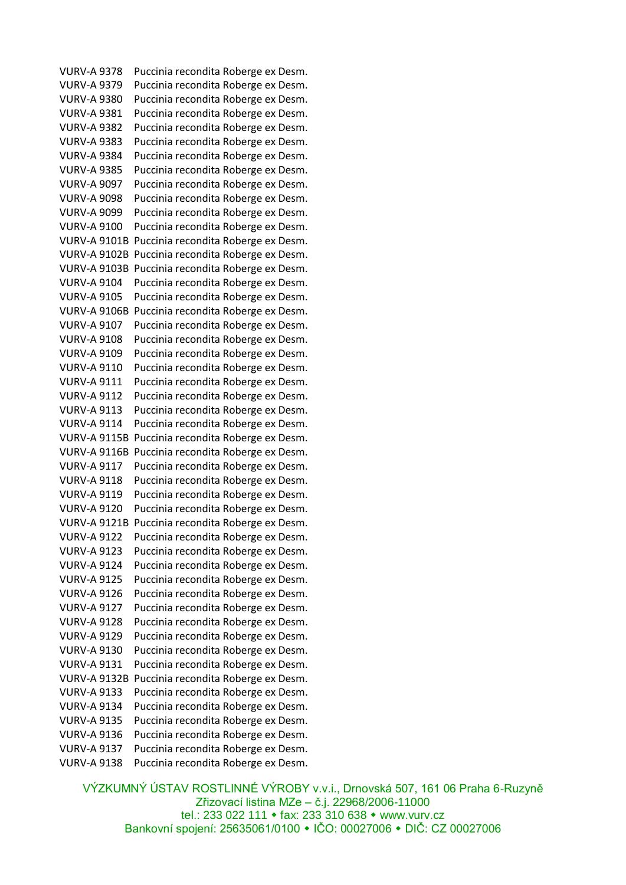VURV-A 9378 Puccinia recondita Roberge ex Desm. VURV-A 9379 Puccinia recondita Roberge ex Desm. VURV-A 9380 Puccinia recondita Roberge ex Desm. VURV-A 9381 Puccinia recondita Roberge ex Desm. VURV-A 9382 Puccinia recondita Roberge ex Desm. VURV-A 9383 Puccinia recondita Roberge ex Desm. VURV-A 9384 Puccinia recondita Roberge ex Desm. VURV-A 9385 Puccinia recondita Roberge ex Desm. VURV-A 9097 Puccinia recondita Roberge ex Desm. VURV-A 9098 Puccinia recondita Roberge ex Desm. VURV-A 9099 Puccinia recondita Roberge ex Desm. VURV-A 9100 Puccinia recondita Roberge ex Desm. VURV-A 9101B Puccinia recondita Roberge ex Desm. VURV-A 9102B Puccinia recondita Roberge ex Desm. VURV-A 9103B Puccinia recondita Roberge ex Desm. VURV-A 9104 Puccinia recondita Roberge ex Desm. VURV-A 9105 Puccinia recondita Roberge ex Desm. VURV-A 9106B Puccinia recondita Roberge ex Desm. VURV-A 9107 Puccinia recondita Roberge ex Desm. VURV-A 9108 Puccinia recondita Roberge ex Desm. VURV-A 9109 Puccinia recondita Roberge ex Desm. VURV-A 9110 Puccinia recondita Roberge ex Desm. VURV-A 9111 Puccinia recondita Roberge ex Desm. VURV-A 9112 Puccinia recondita Roberge ex Desm. VURV-A 9113 Puccinia recondita Roberge ex Desm. VURV-A 9114 Puccinia recondita Roberge ex Desm. VURV-A 9115B Puccinia recondita Roberge ex Desm. VURV-A 9116B Puccinia recondita Roberge ex Desm. VURV-A 9117 Puccinia recondita Roberge ex Desm. VURV-A 9118 Puccinia recondita Roberge ex Desm. VURV-A 9119 Puccinia recondita Roberge ex Desm. VURV-A 9120 Puccinia recondita Roberge ex Desm. VURV-A 9121B Puccinia recondita Roberge ex Desm. VURV-A 9122 Puccinia recondita Roberge ex Desm. VURV-A 9123 Puccinia recondita Roberge ex Desm. VURV-A 9124 Puccinia recondita Roberge ex Desm. VURV-A 9125 Puccinia recondita Roberge ex Desm. VURV-A 9126 Puccinia recondita Roberge ex Desm. VURV-A 9127 Puccinia recondita Roberge ex Desm. VURV-A 9128 Puccinia recondita Roberge ex Desm. VURV-A 9129 Puccinia recondita Roberge ex Desm. VURV-A 9130 Puccinia recondita Roberge ex Desm. VURV-A 9131 Puccinia recondita Roberge ex Desm. VURV-A 9132B Puccinia recondita Roberge ex Desm. VURV-A 9133 Puccinia recondita Roberge ex Desm. VURV-A 9134 Puccinia recondita Roberge ex Desm. VURV-A 9135 Puccinia recondita Roberge ex Desm. VURV-A 9136 Puccinia recondita Roberge ex Desm. VURV-A 9137 Puccinia recondita Roberge ex Desm. VURV-A 9138 Puccinia recondita Roberge ex Desm.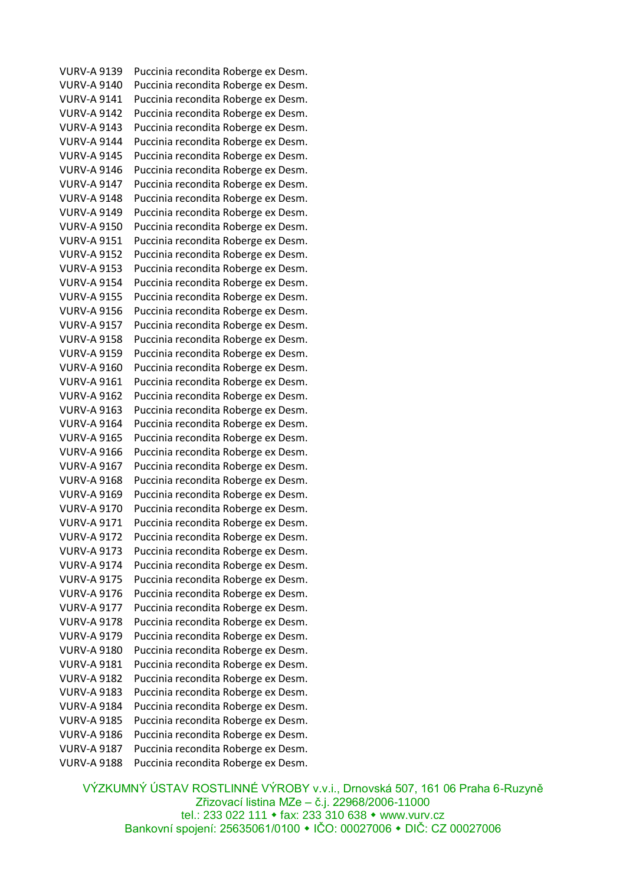VURV-A 9139 Puccinia recondita Roberge ex Desm. VURV-A 9140 Puccinia recondita Roberge ex Desm. VURV-A 9141 Puccinia recondita Roberge ex Desm. VURV-A 9142 Puccinia recondita Roberge ex Desm. VURV-A 9143 Puccinia recondita Roberge ex Desm. VURV-A 9144 Puccinia recondita Roberge ex Desm. VURV-A 9145 Puccinia recondita Roberge ex Desm. VURV-A 9146 Puccinia recondita Roberge ex Desm. VURV-A 9147 Puccinia recondita Roberge ex Desm. VURV-A 9148 Puccinia recondita Roberge ex Desm. VURV-A 9149 Puccinia recondita Roberge ex Desm. VURV-A 9150 Puccinia recondita Roberge ex Desm. VURV-A 9151 Puccinia recondita Roberge ex Desm. VURV-A 9152 Puccinia recondita Roberge ex Desm. VURV-A 9153 Puccinia recondita Roberge ex Desm. VURV-A 9154 Puccinia recondita Roberge ex Desm. VURV-A 9155 Puccinia recondita Roberge ex Desm. VURV-A 9156 Puccinia recondita Roberge ex Desm. VURV-A 9157 Puccinia recondita Roberge ex Desm. VURV-A 9158 Puccinia recondita Roberge ex Desm. VURV-A 9159 Puccinia recondita Roberge ex Desm. VURV-A 9160 Puccinia recondita Roberge ex Desm. VURV-A 9161 Puccinia recondita Roberge ex Desm. VURV-A 9162 Puccinia recondita Roberge ex Desm. VURV-A 9163 Puccinia recondita Roberge ex Desm. VURV-A 9164 Puccinia recondita Roberge ex Desm. VURV-A 9165 Puccinia recondita Roberge ex Desm. VURV-A 9166 Puccinia recondita Roberge ex Desm. VURV-A 9167 Puccinia recondita Roberge ex Desm. VURV-A 9168 Puccinia recondita Roberge ex Desm. VURV-A 9169 Puccinia recondita Roberge ex Desm. VURV-A 9170 Puccinia recondita Roberge ex Desm. VURV-A 9171 Puccinia recondita Roberge ex Desm. VURV-A 9172 Puccinia recondita Roberge ex Desm. VURV-A 9173 Puccinia recondita Roberge ex Desm. VURV-A 9174 Puccinia recondita Roberge ex Desm. VURV-A 9175 Puccinia recondita Roberge ex Desm. VURV-A 9176 Puccinia recondita Roberge ex Desm. VURV-A 9177 Puccinia recondita Roberge ex Desm. VURV-A 9178 Puccinia recondita Roberge ex Desm. VURV-A 9179 Puccinia recondita Roberge ex Desm. VURV-A 9180 Puccinia recondita Roberge ex Desm. VURV-A 9181 Puccinia recondita Roberge ex Desm. VURV-A 9182 Puccinia recondita Roberge ex Desm. VURV-A 9183 Puccinia recondita Roberge ex Desm. VURV-A 9184 Puccinia recondita Roberge ex Desm. VURV-A 9185 Puccinia recondita Roberge ex Desm. VURV-A 9186 Puccinia recondita Roberge ex Desm. VURV-A 9187 Puccinia recondita Roberge ex Desm. VURV-A 9188 Puccinia recondita Roberge ex Desm.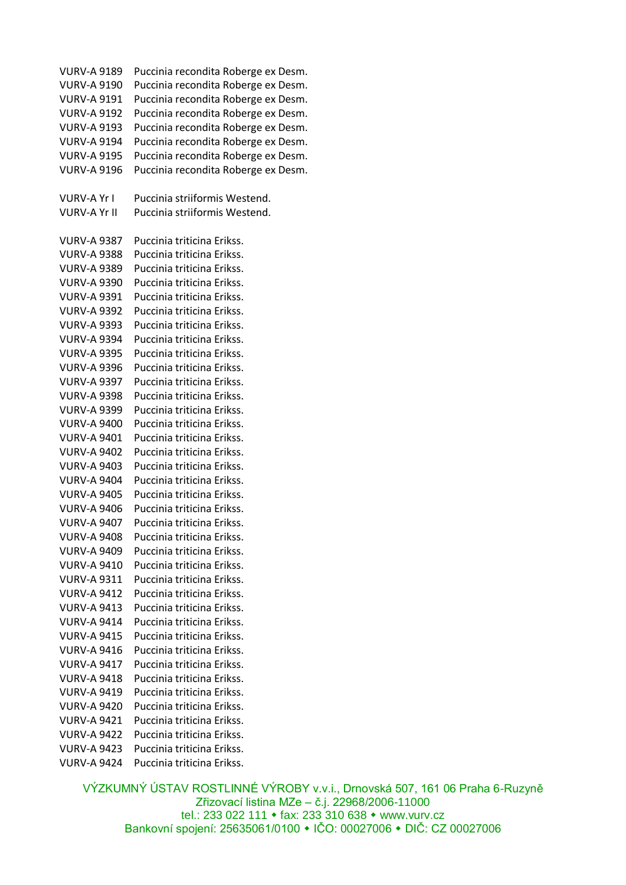VURV-A 9189 Puccinia recondita Roberge ex Desm. VURV-A 9190 Puccinia recondita Roberge ex Desm. VURV-A 9191 Puccinia recondita Roberge ex Desm. VURV-A 9192 Puccinia recondita Roberge ex Desm. VURV-A 9193 Puccinia recondita Roberge ex Desm. VURV-A 9194 Puccinia recondita Roberge ex Desm. VURV-A 9195 Puccinia recondita Roberge ex Desm. VURV-A 9196 Puccinia recondita Roberge ex Desm. VURV-A Yr I Puccinia striiformis Westend. VURV-A Yr II Puccinia striiformis Westend. VURV-A 9387 Puccinia triticina Erikss. VURV-A 9388 Puccinia triticina Erikss. VURV-A 9389 Puccinia triticina Erikss. VURV-A 9390 Puccinia triticina Erikss. VURV-A 9391 Puccinia triticina Erikss. VURV-A 9392 Puccinia triticina Erikss. VURV-A 9393 Puccinia triticina Erikss. VURV-A 9394 Puccinia triticina Erikss. VURV-A 9395 Puccinia triticina Erikss. VURV-A 9396 Puccinia triticina Erikss. VURV-A 9397 Puccinia triticina Erikss. VURV-A 9398 Puccinia triticina Erikss. VURV-A 9399 Puccinia triticina Erikss. VURV-A 9400 Puccinia triticina Erikss. VURV-A 9401 Puccinia triticina Erikss. VURV-A 9402 Puccinia triticina Erikss. VURV-A 9403 Puccinia triticina Erikss. VURV-A 9404 Puccinia triticina Erikss. VURV-A 9405 Puccinia triticina Erikss. VURV-A 9406 Puccinia triticina Erikss. VURV-A 9407 Puccinia triticina Erikss. VURV-A 9408 Puccinia triticina Erikss. VURV-A 9409 Puccinia triticina Erikss. VURV-A 9410 Puccinia triticina Erikss. VURV-A 9311 Puccinia triticina Erikss. VURV-A 9412 Puccinia triticina Erikss. VURV-A 9413 Puccinia triticina Erikss. VURV-A 9414 Puccinia triticina Erikss. VURV-A 9415 Puccinia triticina Erikss. VURV-A 9416 Puccinia triticina Erikss. VURV-A 9417 Puccinia triticina Erikss. VURV-A 9418 Puccinia triticina Erikss. VURV-A 9419 Puccinia triticina Erikss. VURV-A 9420 Puccinia triticina Erikss. VURV-A 9421 Puccinia triticina Erikss. VURV-A 9422 Puccinia triticina Erikss. VURV-A 9423 Puccinia triticina Erikss. VURV-A 9424 Puccinia triticina Erikss.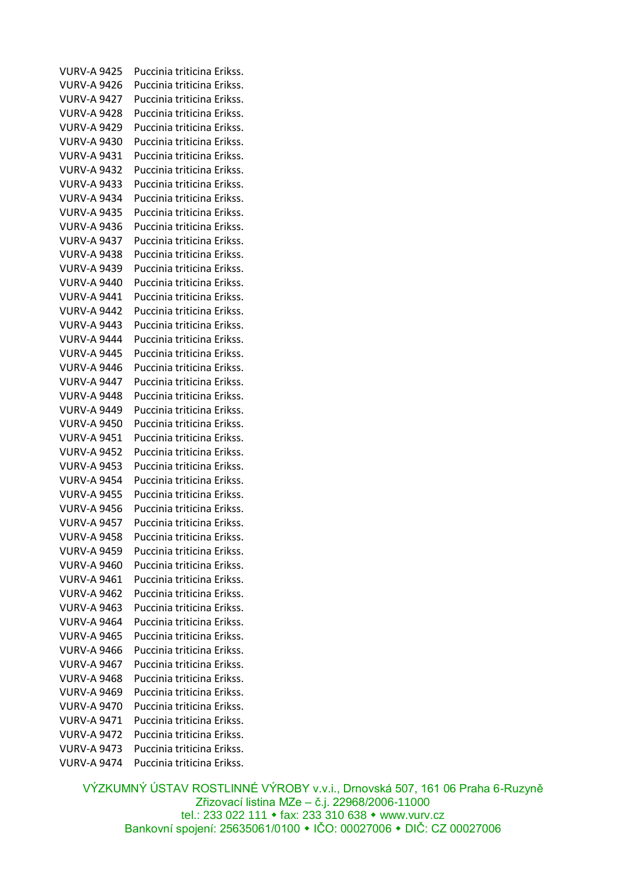VURV-A 9425 Puccinia triticina Erikss. VURV-A 9426 Puccinia triticina Erikss. VURV-A 9427 Puccinia triticina Erikss. VURV-A 9428 Puccinia triticina Erikss. VURV-A 9429 Puccinia triticina Erikss. VURV-A 9430 Puccinia triticina Erikss. VURV-A 9431 Puccinia triticina Erikss. VURV-A 9432 Puccinia triticina Erikss. VURV-A 9433 Puccinia triticina Erikss. VURV-A 9434 Puccinia triticina Erikss. VURV-A 9435 Puccinia triticina Erikss. VURV-A 9436 Puccinia triticina Erikss. VURV-A 9437 Puccinia triticina Erikss. VURV-A 9438 Puccinia triticina Erikss. VURV-A 9439 Puccinia triticina Erikss. VURV-A 9440 Puccinia triticina Erikss. VURV-A 9441 Puccinia triticina Erikss. VURV-A 9442 Puccinia triticina Erikss. VURV-A 9443 Puccinia triticina Erikss. VURV-A 9444 Puccinia triticina Erikss. VURV-A 9445 Puccinia triticina Erikss. VURV-A 9446 Puccinia triticina Erikss. VURV-A 9447 Puccinia triticina Erikss. VURV-A 9448 Puccinia triticina Erikss. VURV-A 9449 Puccinia triticina Erikss. VURV-A 9450 Puccinia triticina Erikss. VURV-A 9451 Puccinia triticina Erikss. VURV-A 9452 Puccinia triticina Erikss. VURV-A 9453 Puccinia triticina Erikss. VURV-A 9454 Puccinia triticina Erikss. VURV-A 9455 Puccinia triticina Erikss. VURV-A 9456 Puccinia triticina Erikss. VURV-A 9457 Puccinia triticina Erikss. VURV-A 9458 Puccinia triticina Erikss. VURV-A 9459 Puccinia triticina Erikss. VURV-A 9460 Puccinia triticina Erikss. VURV-A 9461 Puccinia triticina Erikss. VURV-A 9462 Puccinia triticina Erikss. VURV-A 9463 Puccinia triticina Erikss. VURV-A 9464 Puccinia triticina Erikss. VURV-A 9465 Puccinia triticina Erikss. VURV-A 9466 Puccinia triticina Erikss. VURV-A 9467 Puccinia triticina Erikss. VURV-A 9468 Puccinia triticina Erikss. VURV-A 9469 Puccinia triticina Erikss. VURV-A 9470 Puccinia triticina Erikss. VURV-A 9471 Puccinia triticina Erikss. VURV-A 9472 Puccinia triticina Erikss. VURV-A 9473 Puccinia triticina Erikss. VURV-A 9474 Puccinia triticina Erikss.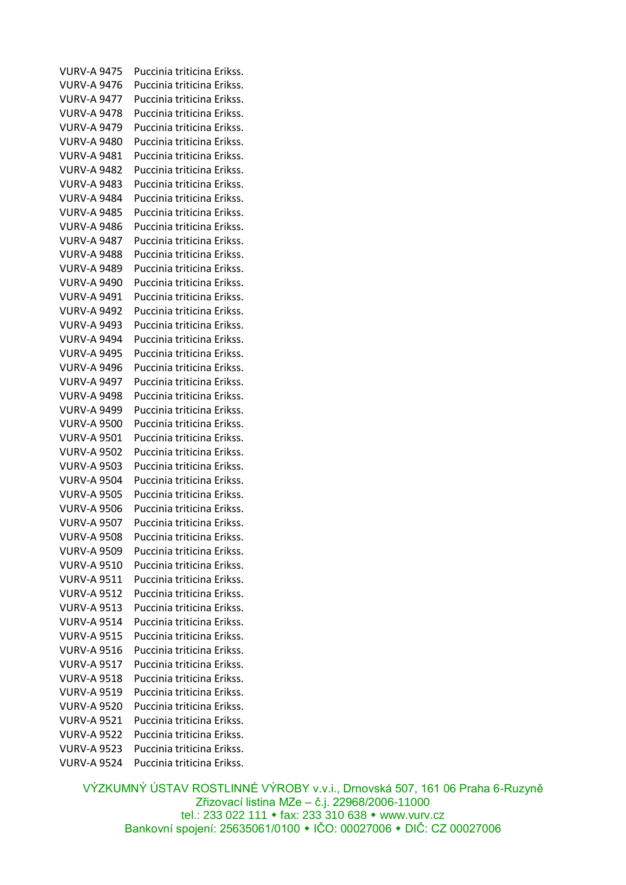VURV-A 9475 Puccinia triticina Erikss. VURV-A 9476 Puccinia triticina Erikss. VURV-A 9477 Puccinia triticina Erikss. VURV-A 9478 Puccinia triticina Erikss. VURV-A 9479 Puccinia triticina Erikss. VURV-A 9480 Puccinia triticina Erikss. VURV-A 9481 Puccinia triticina Erikss. VURV-A 9482 Puccinia triticina Erikss. VURV-A 9483 Puccinia triticina Erikss. VURV-A 9484 Puccinia triticina Erikss. VURV-A 9485 Puccinia triticina Erikss. VURV-A 9486 Puccinia triticina Erikss. VURV-A 9487 Puccinia triticina Erikss. VURV-A 9488 Puccinia triticina Erikss. VURV-A 9489 Puccinia triticina Erikss. VURV-A 9490 Puccinia triticina Erikss. VURV-A 9491 Puccinia triticina Erikss. VURV-A 9492 Puccinia triticina Erikss. VURV-A 9493 Puccinia triticina Erikss. VURV-A 9494 Puccinia triticina Erikss. VURV-A 9495 Puccinia triticina Erikss. VURV-A 9496 Puccinia triticina Erikss. VURV-A 9497 Puccinia triticina Erikss. VURV-A 9498 Puccinia triticina Erikss. VURV-A 9499 Puccinia triticina Erikss. VURV-A 9500 Puccinia triticina Erikss. VURV-A 9501 Puccinia triticina Erikss. VURV-A 9502 Puccinia triticina Erikss. VURV-A 9503 Puccinia triticina Erikss. VURV-A 9504 Puccinia triticina Erikss. VURV-A 9505 Puccinia triticina Erikss. VURV-A 9506 Puccinia triticina Erikss. VURV-A 9507 Puccinia triticina Erikss. VURV-A 9508 Puccinia triticina Erikss. VURV-A 9509 Puccinia triticina Erikss. VURV-A 9510 Puccinia triticina Erikss. VURV-A 9511 Puccinia triticina Erikss. VURV-A 9512 Puccinia triticina Erikss. VURV-A 9513 Puccinia triticina Erikss. VURV-A 9514 Puccinia triticina Erikss. VURV-A 9515 Puccinia triticina Erikss. VURV-A 9516 Puccinia triticina Erikss. VURV-A 9517 Puccinia triticina Erikss. VURV-A 9518 Puccinia triticina Erikss. VURV-A 9519 Puccinia triticina Erikss. VURV-A 9520 Puccinia triticina Erikss. VURV-A 9521 Puccinia triticina Erikss. VURV-A 9522 Puccinia triticina Erikss. VURV-A 9523 Puccinia triticina Erikss. VURV-A 9524 Puccinia triticina Erikss.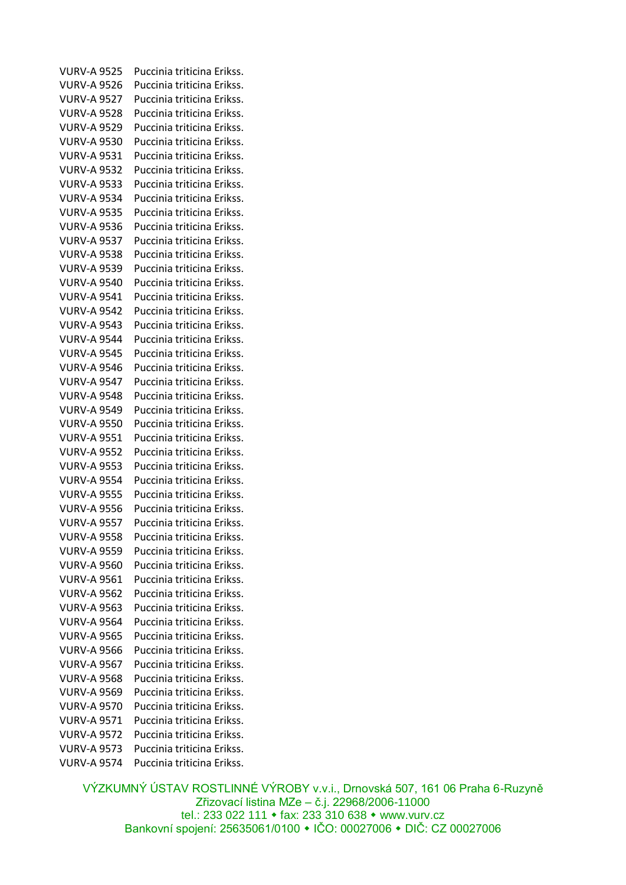VURV-A 9525 Puccinia triticina Erikss. VURV-A 9526 Puccinia triticina Erikss. VURV-A 9527 Puccinia triticina Erikss. VURV-A 9528 Puccinia triticina Erikss. VURV-A 9529 Puccinia triticina Erikss. VURV-A 9530 Puccinia triticina Erikss. VURV-A 9531 Puccinia triticina Erikss. VURV-A 9532 Puccinia triticina Erikss. VURV-A 9533 Puccinia triticina Erikss. VURV-A 9534 Puccinia triticina Erikss. VURV-A 9535 Puccinia triticina Erikss. VURV-A 9536 Puccinia triticina Erikss. VURV-A 9537 Puccinia triticina Erikss. VURV-A 9538 Puccinia triticina Erikss. VURV-A 9539 Puccinia triticina Erikss. VURV-A 9540 Puccinia triticina Erikss. VURV-A 9541 Puccinia triticina Erikss. VURV-A 9542 Puccinia triticina Erikss. VURV-A 9543 Puccinia triticina Erikss. VURV-A 9544 Puccinia triticina Erikss. VURV-A 9545 Puccinia triticina Erikss. VURV-A 9546 Puccinia triticina Erikss. VURV-A 9547 Puccinia triticina Erikss. VURV-A 9548 Puccinia triticina Erikss. VURV-A 9549 Puccinia triticina Erikss. VURV-A 9550 Puccinia triticina Erikss. VURV-A 9551 Puccinia triticina Erikss. VURV-A 9552 Puccinia triticina Erikss. VURV-A 9553 Puccinia triticina Erikss. VURV-A 9554 Puccinia triticina Erikss. VURV-A 9555 Puccinia triticina Erikss. VURV-A 9556 Puccinia triticina Erikss. VURV-A 9557 Puccinia triticina Erikss. VURV-A 9558 Puccinia triticina Erikss. VURV-A 9559 Puccinia triticina Erikss. VURV-A 9560 Puccinia triticina Erikss. VURV-A 9561 Puccinia triticina Erikss. VURV-A 9562 Puccinia triticina Erikss. VURV-A 9563 Puccinia triticina Erikss. VURV-A 9564 Puccinia triticina Erikss. VURV-A 9565 Puccinia triticina Erikss. VURV-A 9566 Puccinia triticina Erikss. VURV-A 9567 Puccinia triticina Erikss. VURV-A 9568 Puccinia triticina Erikss. VURV-A 9569 Puccinia triticina Erikss. VURV-A 9570 Puccinia triticina Erikss. VURV-A 9571 Puccinia triticina Erikss. VURV-A 9572 Puccinia triticina Erikss. VURV-A 9573 Puccinia triticina Erikss. VURV-A 9574 Puccinia triticina Erikss.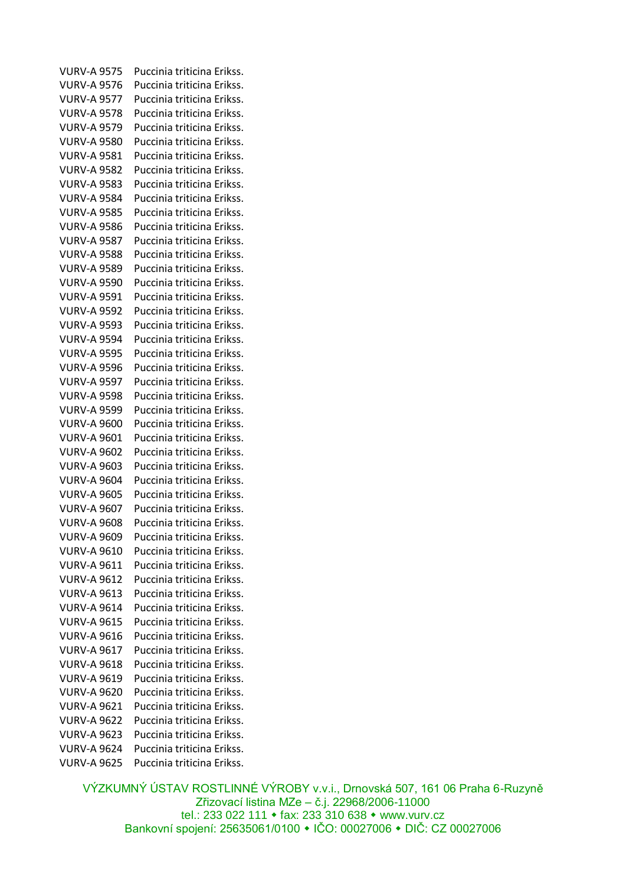VURV-A 9575 Puccinia triticina Erikss. VURV-A 9576 Puccinia triticina Erikss. VURV-A 9577 Puccinia triticina Erikss. VURV-A 9578 Puccinia triticina Erikss. VURV-A 9579 Puccinia triticina Erikss. VURV-A 9580 Puccinia triticina Erikss. VURV-A 9581 Puccinia triticina Erikss. VURV-A 9582 Puccinia triticina Erikss. VURV-A 9583 Puccinia triticina Erikss. VURV-A 9584 Puccinia triticina Erikss. VURV-A 9585 Puccinia triticina Erikss. VURV-A 9586 Puccinia triticina Erikss. VURV-A 9587 Puccinia triticina Erikss. VURV-A 9588 Puccinia triticina Erikss. VURV-A 9589 Puccinia triticina Erikss. VURV-A 9590 Puccinia triticina Erikss. VURV-A 9591 Puccinia triticina Erikss. VURV-A 9592 Puccinia triticina Erikss. VURV-A 9593 Puccinia triticina Erikss. VURV-A 9594 Puccinia triticina Erikss. VURV-A 9595 Puccinia triticina Erikss. VURV-A 9596 Puccinia triticina Erikss. VURV-A 9597 Puccinia triticina Erikss. VURV-A 9598 Puccinia triticina Erikss. VURV-A 9599 Puccinia triticina Erikss. VURV-A 9600 Puccinia triticina Erikss. VURV-A 9601 Puccinia triticina Erikss. VURV-A 9602 Puccinia triticina Erikss. VURV-A 9603 Puccinia triticina Erikss. VURV-A 9604 Puccinia triticina Erikss. VURV-A 9605 Puccinia triticina Erikss. VURV-A 9607 Puccinia triticina Erikss. VURV-A 9608 Puccinia triticina Erikss. VURV-A 9609 Puccinia triticina Erikss. VURV-A 9610 Puccinia triticina Erikss. VURV-A 9611 Puccinia triticina Erikss. VURV-A 9612 Puccinia triticina Erikss. VURV-A 9613 Puccinia triticina Erikss. VURV-A 9614 Puccinia triticina Erikss. VURV-A 9615 Puccinia triticina Erikss. VURV-A 9616 Puccinia triticina Erikss. VURV-A 9617 Puccinia triticina Erikss. VURV-A 9618 Puccinia triticina Erikss. VURV-A 9619 Puccinia triticina Erikss. VURV-A 9620 Puccinia triticina Erikss. VURV-A 9621 Puccinia triticina Erikss. VURV-A 9622 Puccinia triticina Erikss. VURV-A 9623 Puccinia triticina Erikss. VURV-A 9624 Puccinia triticina Erikss. VURV-A 9625 Puccinia triticina Erikss.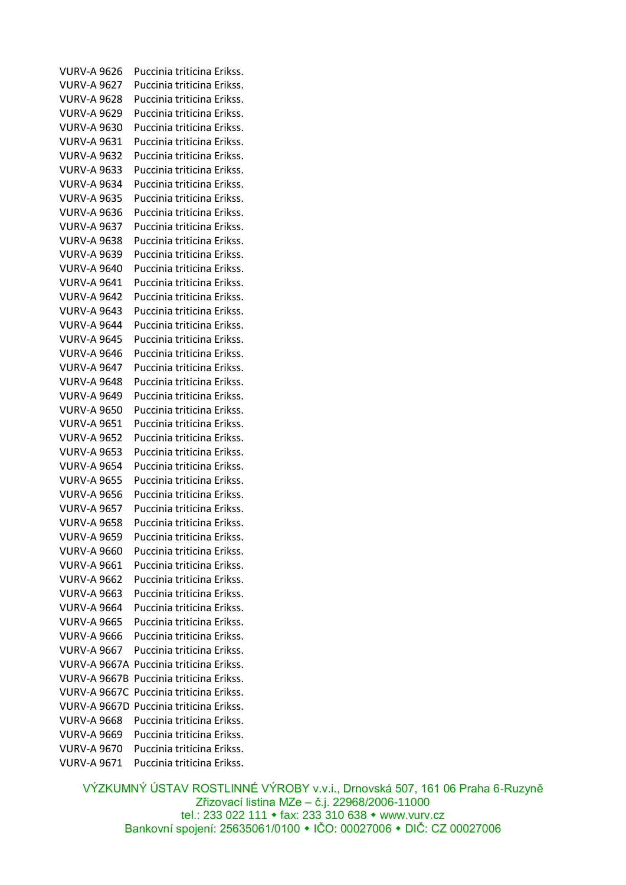VURV-A 9626 Puccinia triticina Erikss. VURV-A 9627 Puccinia triticina Erikss. VURV-A 9628 Puccinia triticina Erikss. VURV-A 9629 Puccinia triticina Erikss. VURV-A 9630 Puccinia triticina Erikss. VURV-A 9631 Puccinia triticina Erikss. VURV-A 9632 Puccinia triticina Erikss. VURV-A 9633 Puccinia triticina Erikss. VURV-A 9634 Puccinia triticina Erikss. VURV-A 9635 Puccinia triticina Erikss. VURV-A 9636 Puccinia triticina Erikss. VURV-A 9637 Puccinia triticina Erikss. VURV-A 9638 Puccinia triticina Erikss. VURV-A 9639 Puccinia triticina Erikss. VURV-A 9640 Puccinia triticina Erikss. VURV-A 9641 Puccinia triticina Erikss. VURV-A 9642 Puccinia triticina Erikss. VURV-A 9643 Puccinia triticina Erikss. VURV-A 9644 Puccinia triticina Erikss. VURV-A 9645 Puccinia triticina Erikss. VURV-A 9646 Puccinia triticina Erikss. VURV-A 9647 Puccinia triticina Erikss. VURV-A 9648 Puccinia triticina Erikss. VURV-A 9649 Puccinia triticina Erikss. VURV-A 9650 Puccinia triticina Erikss. VURV-A 9651 Puccinia triticina Erikss. VURV-A 9652 Puccinia triticina Erikss. VURV-A 9653 Puccinia triticina Erikss. VURV-A 9654 Puccinia triticina Erikss. VURV-A 9655 Puccinia triticina Erikss. VURV-A 9656 Puccinia triticina Erikss. VURV-A 9657 Puccinia triticina Erikss. VURV-A 9658 Puccinia triticina Erikss. VURV-A 9659 Puccinia triticina Erikss. VURV-A 9660 Puccinia triticina Erikss. VURV-A 9661 Puccinia triticina Erikss. VURV-A 9662 Puccinia triticina Erikss. VURV-A 9663 Puccinia triticina Erikss. VURV-A 9664 Puccinia triticina Erikss. VURV-A 9665 Puccinia triticina Erikss. VURV-A 9666 Puccinia triticina Erikss. VURV-A 9667 Puccinia triticina Erikss. VURV-A 9667A Puccinia triticina Erikss. VURV-A 9667B Puccinia triticina Erikss. VURV-A 9667C Puccinia triticina Erikss. VURV-A 9667D Puccinia triticina Erikss. VURV-A 9668 Puccinia triticina Erikss. VURV-A 9669 Puccinia triticina Erikss. VURV-A 9670 Puccinia triticina Erikss. VURV-A 9671 Puccinia triticina Erikss.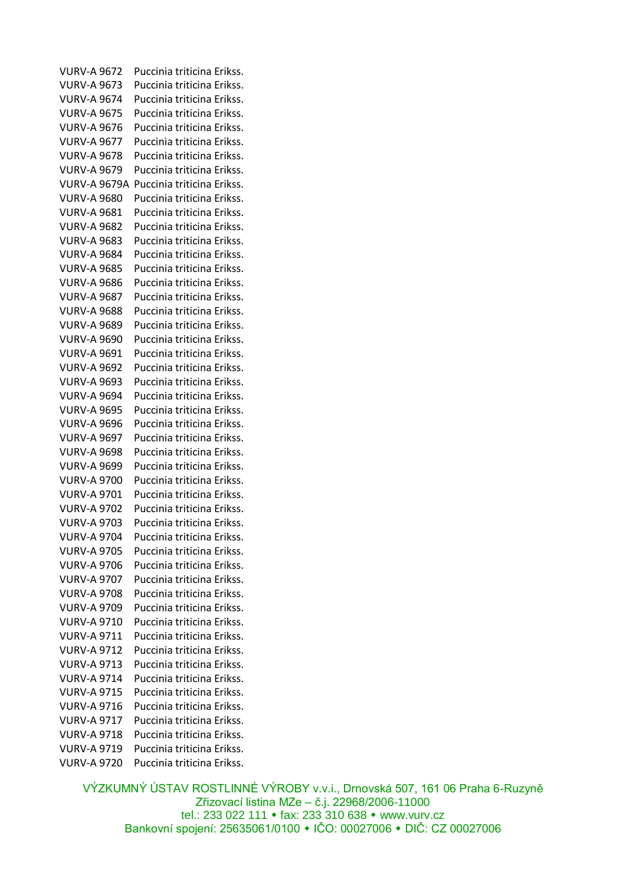VURV-A 9672 Puccinia triticina Erikss. VURV-A 9673 Puccinia triticina Erikss. VURV-A 9674 Puccinia triticina Erikss. VURV-A 9675 Puccinia triticina Erikss. VURV-A 9676 Puccinia triticina Erikss. VURV-A 9677 Puccinia triticina Erikss. VURV-A 9678 Puccinia triticina Erikss. VURV-A 9679 Puccinia triticina Erikss. VURV-A 9679A Puccinia triticina Erikss. VURV-A 9680 Puccinia triticina Erikss. VURV-A 9681 Puccinia triticina Erikss. VURV-A 9682 Puccinia triticina Erikss. VURV-A 9683 Puccinia triticina Erikss. VURV-A 9684 Puccinia triticina Erikss. VURV-A 9685 Puccinia triticina Erikss. VURV-A 9686 Puccinia triticina Erikss. VURV-A 9687 Puccinia triticina Erikss. VURV-A 9688 Puccinia triticina Erikss. VURV-A 9689 Puccinia triticina Erikss. VURV-A 9690 Puccinia triticina Erikss. VURV-A 9691 Puccinia triticina Erikss. VURV-A 9692 Puccinia triticina Erikss. VURV-A 9693 Puccinia triticina Erikss. VURV-A 9694 Puccinia triticina Erikss. VURV-A 9695 Puccinia triticina Erikss. VURV-A 9696 Puccinia triticina Erikss. VURV-A 9697 Puccinia triticina Erikss. VURV-A 9698 Puccinia triticina Erikss. VURV-A 9699 Puccinia triticina Erikss. VURV-A 9700 Puccinia triticina Erikss. VURV-A 9701 Puccinia triticina Erikss. VURV-A 9702 Puccinia triticina Erikss. VURV-A 9703 Puccinia triticina Erikss. VURV-A 9704 Puccinia triticina Erikss. VURV-A 9705 Puccinia triticina Erikss. VURV-A 9706 Puccinia triticina Erikss. VURV-A 9707 Puccinia triticina Erikss. VURV-A 9708 Puccinia triticina Erikss. VURV-A 9709 Puccinia triticina Erikss. VURV-A 9710 Puccinia triticina Erikss. VURV-A 9711 Puccinia triticina Erikss. VURV-A 9712 Puccinia triticina Erikss. VURV-A 9713 Puccinia triticina Erikss. VURV-A 9714 Puccinia triticina Erikss. VURV-A 9715 Puccinia triticina Erikss. VURV-A 9716 Puccinia triticina Erikss. VURV-A 9717 Puccinia triticina Erikss. VURV-A 9718 Puccinia triticina Erikss. VURV-A 9719 Puccinia triticina Erikss. VURV-A 9720 Puccinia triticina Erikss.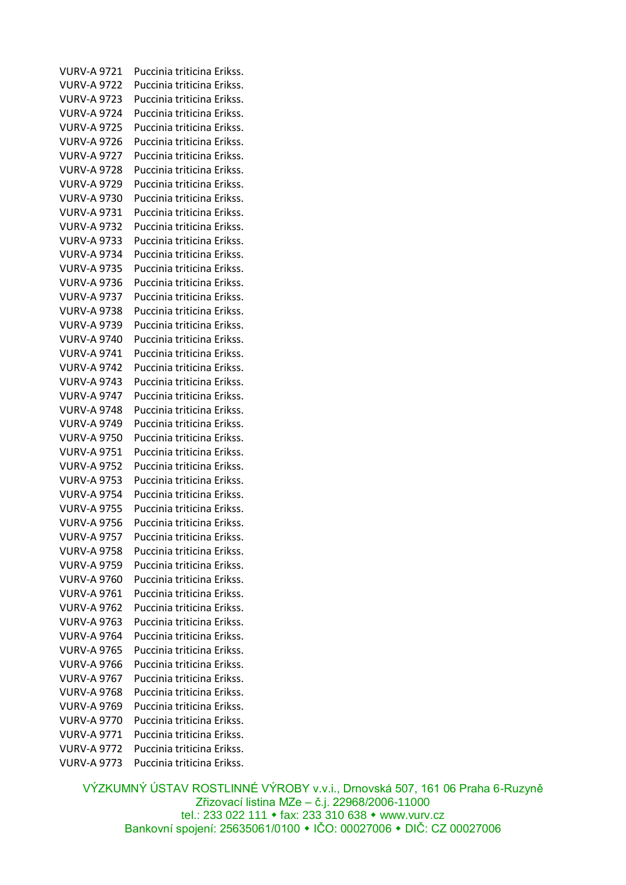VURV-A 9721 Puccinia triticina Erikss. VURV-A 9722 Puccinia triticina Erikss. VURV-A 9723 Puccinia triticina Erikss. VURV-A 9724 Puccinia triticina Erikss. VURV-A 9725 Puccinia triticina Erikss. VURV-A 9726 Puccinia triticina Erikss. VURV-A 9727 Puccinia triticina Erikss. VURV-A 9728 Puccinia triticina Erikss. VURV-A 9729 Puccinia triticina Erikss. VURV-A 9730 Puccinia triticina Erikss. VURV-A 9731 Puccinia triticina Erikss. VURV-A 9732 Puccinia triticina Erikss. VURV-A 9733 Puccinia triticina Erikss. VURV-A 9734 Puccinia triticina Erikss. VURV-A 9735 Puccinia triticina Erikss. VURV-A 9736 Puccinia triticina Erikss. VURV-A 9737 Puccinia triticina Erikss. VURV-A 9738 Puccinia triticina Erikss. VURV-A 9739 Puccinia triticina Erikss. VURV-A 9740 Puccinia triticina Erikss. VURV-A 9741 Puccinia triticina Erikss. VURV-A 9742 Puccinia triticina Erikss. VURV-A 9743 Puccinia triticina Erikss. VURV-A 9747 Puccinia triticina Erikss. VURV-A 9748 Puccinia triticina Erikss. VURV-A 9749 Puccinia triticina Erikss. VURV-A 9750 Puccinia triticina Erikss. VURV-A 9751 Puccinia triticina Erikss. VURV-A 9752 Puccinia triticina Erikss. VURV-A 9753 Puccinia triticina Erikss. VURV-A 9754 Puccinia triticina Erikss. VURV-A 9755 Puccinia triticina Erikss. VURV-A 9756 Puccinia triticina Erikss. VURV-A 9757 Puccinia triticina Erikss. VURV-A 9758 Puccinia triticina Erikss. VURV-A 9759 Puccinia triticina Erikss. VURV-A 9760 Puccinia triticina Erikss. VURV-A 9761 Puccinia triticina Erikss. VURV-A 9762 Puccinia triticina Erikss. VURV-A 9763 Puccinia triticina Erikss. VURV-A 9764 Puccinia triticina Erikss. VURV-A 9765 Puccinia triticina Erikss. VURV-A 9766 Puccinia triticina Erikss. VURV-A 9767 Puccinia triticina Erikss. VURV-A 9768 Puccinia triticina Erikss. VURV-A 9769 Puccinia triticina Erikss. VURV-A 9770 Puccinia triticina Erikss. VURV-A 9771 Puccinia triticina Erikss. VURV-A 9772 Puccinia triticina Erikss. VURV-A 9773 Puccinia triticina Erikss.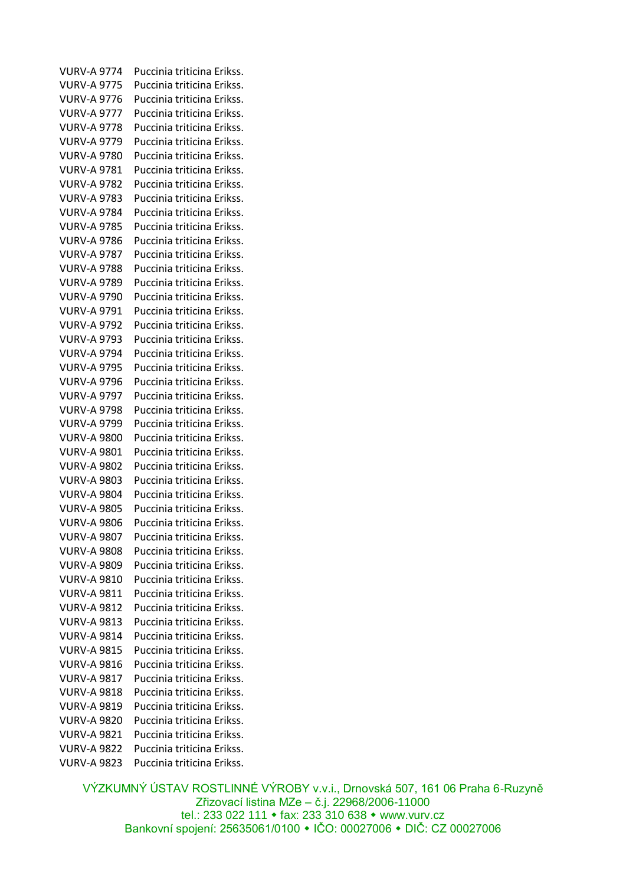VURV-A 9774 Puccinia triticina Erikss. VURV-A 9775 Puccinia triticina Erikss. VURV-A 9776 Puccinia triticina Erikss. VURV-A 9777 Puccinia triticina Erikss. VURV-A 9778 Puccinia triticina Erikss. VURV-A 9779 Puccinia triticina Erikss. VURV-A 9780 Puccinia triticina Erikss. VURV-A 9781 Puccinia triticina Erikss. VURV-A 9782 Puccinia triticina Erikss. VURV-A 9783 Puccinia triticina Erikss. VURV-A 9784 Puccinia triticina Erikss. VURV-A 9785 Puccinia triticina Erikss. VURV-A 9786 Puccinia triticina Erikss. VURV-A 9787 Puccinia triticina Erikss. VURV-A 9788 Puccinia triticina Erikss. VURV-A 9789 Puccinia triticina Erikss. VURV-A 9790 Puccinia triticina Erikss. VURV-A 9791 Puccinia triticina Erikss. VURV-A 9792 Puccinia triticina Erikss. VURV-A 9793 Puccinia triticina Erikss. VURV-A 9794 Puccinia triticina Erikss. VURV-A 9795 Puccinia triticina Erikss. VURV-A 9796 Puccinia triticina Erikss. VURV-A 9797 Puccinia triticina Erikss. VURV-A 9798 Puccinia triticina Erikss. VURV-A 9799 Puccinia triticina Erikss. VURV-A 9800 Puccinia triticina Erikss. VURV-A 9801 Puccinia triticina Erikss. VURV-A 9802 Puccinia triticina Erikss. VURV-A 9803 Puccinia triticina Erikss. VURV-A 9804 Puccinia triticina Erikss. VURV-A 9805 Puccinia triticina Erikss. VURV-A 9806 Puccinia triticina Erikss. VURV-A 9807 Puccinia triticina Erikss. VURV-A 9808 Puccinia triticina Erikss. VURV-A 9809 Puccinia triticina Erikss. VURV-A 9810 Puccinia triticina Erikss. VURV-A 9811 Puccinia triticina Erikss. VURV-A 9812 Puccinia triticina Erikss. VURV-A 9813 Puccinia triticina Erikss. VURV-A 9814 Puccinia triticina Erikss. VURV-A 9815 Puccinia triticina Erikss. VURV-A 9816 Puccinia triticina Erikss. VURV-A 9817 Puccinia triticina Erikss. VURV-A 9818 Puccinia triticina Erikss. VURV-A 9819 Puccinia triticina Erikss. VURV-A 9820 Puccinia triticina Erikss. VURV-A 9821 Puccinia triticina Erikss. VURV-A 9822 Puccinia triticina Erikss. VURV-A 9823 Puccinia triticina Erikss.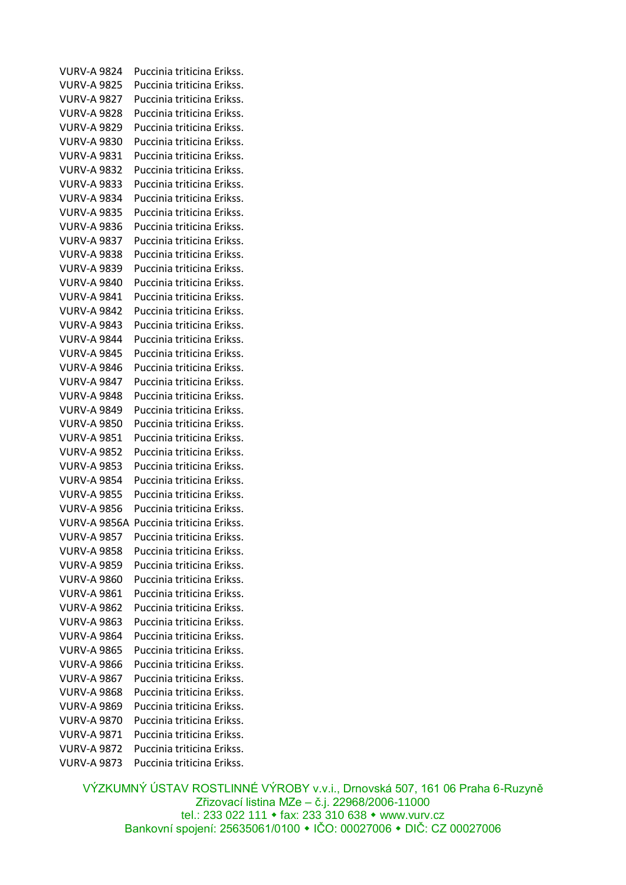VURV-A 9824 Puccinia triticina Erikss. VURV-A 9825 Puccinia triticina Erikss. VURV-A 9827 Puccinia triticina Erikss. VURV-A 9828 Puccinia triticina Erikss. VURV-A 9829 Puccinia triticina Erikss. VURV-A 9830 Puccinia triticina Erikss. VURV-A 9831 Puccinia triticina Erikss. VURV-A 9832 Puccinia triticina Erikss. VURV-A 9833 Puccinia triticina Erikss. VURV-A 9834 Puccinia triticina Erikss. VURV-A 9835 Puccinia triticina Erikss. VURV-A 9836 Puccinia triticina Erikss. VURV-A 9837 Puccinia triticina Erikss. VURV-A 9838 Puccinia triticina Erikss. VURV-A 9839 Puccinia triticina Erikss. VURV-A 9840 Puccinia triticina Erikss. VURV-A 9841 Puccinia triticina Erikss. VURV-A 9842 Puccinia triticina Erikss. VURV-A 9843 Puccinia triticina Erikss. VURV-A 9844 Puccinia triticina Erikss. VURV-A 9845 Puccinia triticina Erikss. VURV-A 9846 Puccinia triticina Erikss. VURV-A 9847 Puccinia triticina Erikss. VURV-A 9848 Puccinia triticina Erikss. VURV-A 9849 Puccinia triticina Erikss. VURV-A 9850 Puccinia triticina Erikss. VURV-A 9851 Puccinia triticina Erikss. VURV-A 9852 Puccinia triticina Erikss. VURV-A 9853 Puccinia triticina Erikss. VURV-A 9854 Puccinia triticina Erikss. VURV-A 9855 Puccinia triticina Erikss. VURV-A 9856 Puccinia triticina Erikss. VURV-A 9856A Puccinia triticina Erikss. VURV-A 9857 Puccinia triticina Erikss. VURV-A 9858 Puccinia triticina Erikss. VURV-A 9859 Puccinia triticina Erikss. VURV-A 9860 Puccinia triticina Erikss. VURV-A 9861 Puccinia triticina Erikss. VURV-A 9862 Puccinia triticina Erikss. VURV-A 9863 Puccinia triticina Erikss. VURV-A 9864 Puccinia triticina Erikss. VURV-A 9865 Puccinia triticina Erikss. VURV-A 9866 Puccinia triticina Erikss. VURV-A 9867 Puccinia triticina Erikss. VURV-A 9868 Puccinia triticina Erikss. VURV-A 9869 Puccinia triticina Erikss. VURV-A 9870 Puccinia triticina Erikss. VURV-A 9871 Puccinia triticina Erikss. VURV-A 9872 Puccinia triticina Erikss. VURV-A 9873 Puccinia triticina Erikss.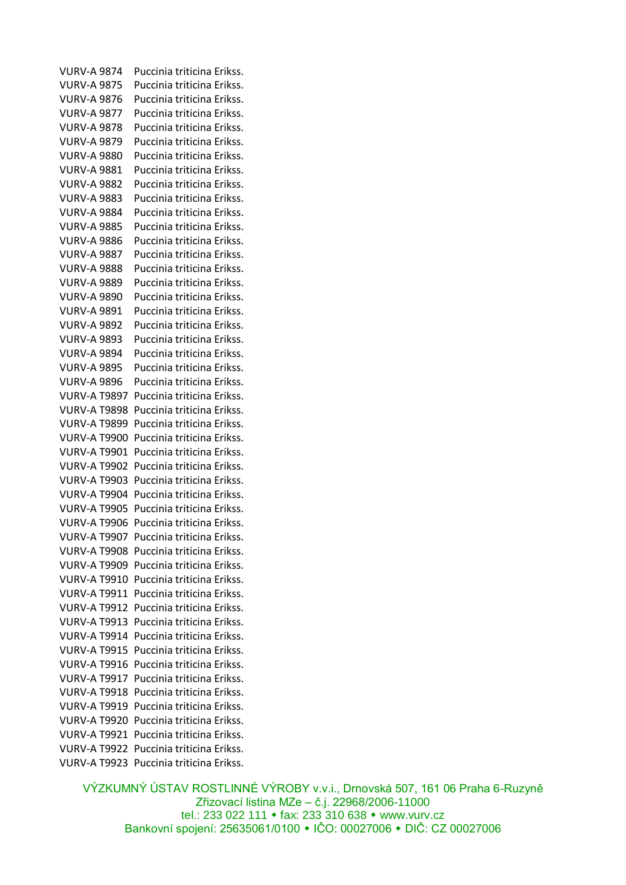VURV-A 9874 Puccinia triticina Erikss. VURV-A 9875 Puccinia triticina Erikss. VURV-A 9876 Puccinia triticina Erikss. VURV-A 9877 Puccinia triticina Erikss. VURV-A 9878 Puccinia triticina Erikss. VURV-A 9879 Puccinia triticina Erikss. VURV-A 9880 Puccinia triticina Erikss. VURV-A 9881 Puccinia triticina Erikss. VURV-A 9882 Puccinia triticina Erikss. VURV-A 9883 Puccinia triticina Erikss. VURV-A 9884 Puccinia triticina Erikss. VURV-A 9885 Puccinia triticina Erikss. VURV-A 9886 Puccinia triticina Erikss. VURV-A 9887 Puccinia triticina Erikss. VURV-A 9888 Puccinia triticina Erikss. VURV-A 9889 Puccinia triticina Erikss. VURV-A 9890 Puccinia triticina Erikss. VURV-A 9891 Puccinia triticina Erikss. VURV-A 9892 Puccinia triticina Erikss. VURV-A 9893 Puccinia triticina Erikss. VURV-A 9894 Puccinia triticina Erikss. VURV-A 9895 Puccinia triticina Erikss. VURV-A 9896 Puccinia triticina Erikss. VURV-A T9897 Puccinia triticina Erikss. VURV-A T9898 Puccinia triticina Erikss. VURV-A T9899 Puccinia triticina Erikss. VURV-A T9900 Puccinia triticina Erikss. VURV-A T9901 Puccinia triticina Erikss. VURV-A T9902 Puccinia triticina Erikss. VURV-A T9903 Puccinia triticina Erikss. VURV-A T9904 Puccinia triticina Erikss. VURV-A T9905 Puccinia triticina Erikss. VURV-A T9906 Puccinia triticina Erikss. VURV-A T9907 Puccinia triticina Erikss. VURV-A T9908 Puccinia triticina Erikss. VURV-A T9909 Puccinia triticina Erikss. VURV-A T9910 Puccinia triticina Erikss. VURV-A T9911 Puccinia triticina Erikss. VURV-A T9912 Puccinia triticina Erikss. VURV-A T9913 Puccinia triticina Erikss. VURV-A T9914 Puccinia triticina Erikss. VURV-A T9915 Puccinia triticina Erikss. VURV-A T9916 Puccinia triticina Erikss. VURV-A T9917 Puccinia triticina Erikss. VURV-A T9918 Puccinia triticina Erikss. VURV-A T9919 Puccinia triticina Erikss. VURV-A T9920 Puccinia triticina Erikss. VURV-A T9921 Puccinia triticina Erikss. VURV-A T9922 Puccinia triticina Erikss. VURV-A T9923 Puccinia triticina Erikss.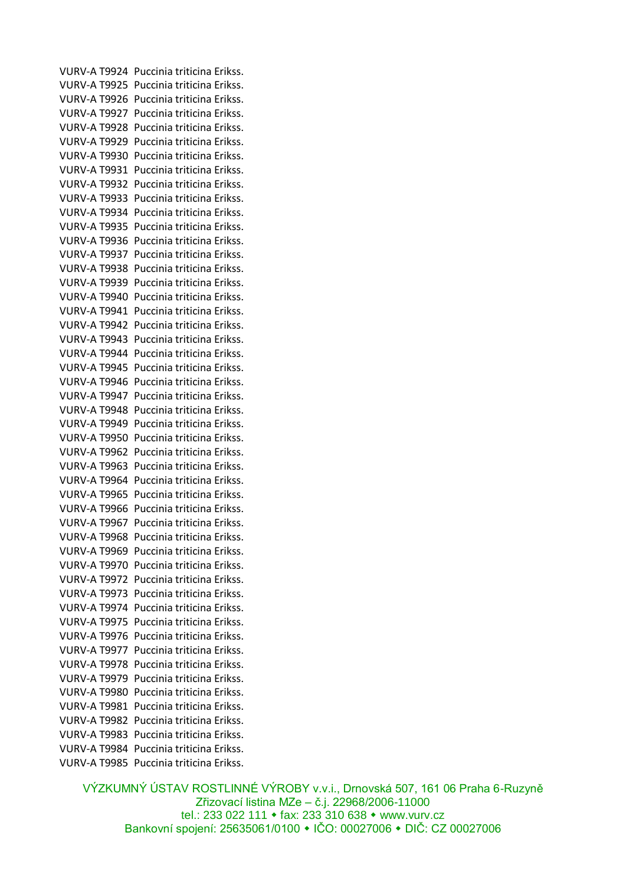VURV-A T9924 Puccinia triticina Erikss. VURV-A T9925 Puccinia triticina Erikss. VURV-A T9926 Puccinia triticina Erikss. VURV-A T9927 Puccinia triticina Erikss. VURV-A T9928 Puccinia triticina Erikss. VURV-A T9929 Puccinia triticina Erikss. VURV-A T9930 Puccinia triticina Erikss. VURV-A T9931 Puccinia triticina Erikss. VURV-A T9932 Puccinia triticina Erikss. VURV-A T9933 Puccinia triticina Erikss. VURV-A T9934 Puccinia triticina Erikss. VURV-A T9935 Puccinia triticina Erikss. VURV-A T9936 Puccinia triticina Erikss. VURV-A T9937 Puccinia triticina Erikss. VURV-A T9938 Puccinia triticina Erikss. VURV-A T9939 Puccinia triticina Erikss. VURV-A T9940 Puccinia triticina Erikss. VURV-A T9941 Puccinia triticina Erikss. VURV-A T9942 Puccinia triticina Erikss. VURV-A T9943 Puccinia triticina Erikss. VURV-A T9944 Puccinia triticina Erikss. VURV-A T9945 Puccinia triticina Erikss. VURV-A T9946 Puccinia triticina Erikss. VURV-A T9947 Puccinia triticina Erikss. VURV-A T9948 Puccinia triticina Erikss. VURV-A T9949 Puccinia triticina Erikss. VURV-A T9950 Puccinia triticina Erikss. VURV-A T9962 Puccinia triticina Erikss. VURV-A T9963 Puccinia triticina Erikss. VURV-A T9964 Puccinia triticina Erikss. VURV-A T9965 Puccinia triticina Erikss. VURV-A T9966 Puccinia triticina Erikss. VURV-A T9967 Puccinia triticina Erikss. VURV-A T9968 Puccinia triticina Erikss. VURV-A T9969 Puccinia triticina Erikss. VURV-A T9970 Puccinia triticina Erikss. VURV-A T9972 Puccinia triticina Erikss. VURV-A T9973 Puccinia triticina Erikss. VURV-A T9974 Puccinia triticina Erikss. VURV-A T9975 Puccinia triticina Erikss. VURV-A T9976 Puccinia triticina Erikss. VURV-A T9977 Puccinia triticina Erikss. VURV-A T9978 Puccinia triticina Erikss. VURV-A T9979 Puccinia triticina Erikss. VURV-A T9980 Puccinia triticina Erikss. VURV-A T9981 Puccinia triticina Erikss. VURV-A T9982 Puccinia triticina Erikss. VURV-A T9983 Puccinia triticina Erikss. VURV-A T9984 Puccinia triticina Erikss. VURV-A T9985 Puccinia triticina Erikss.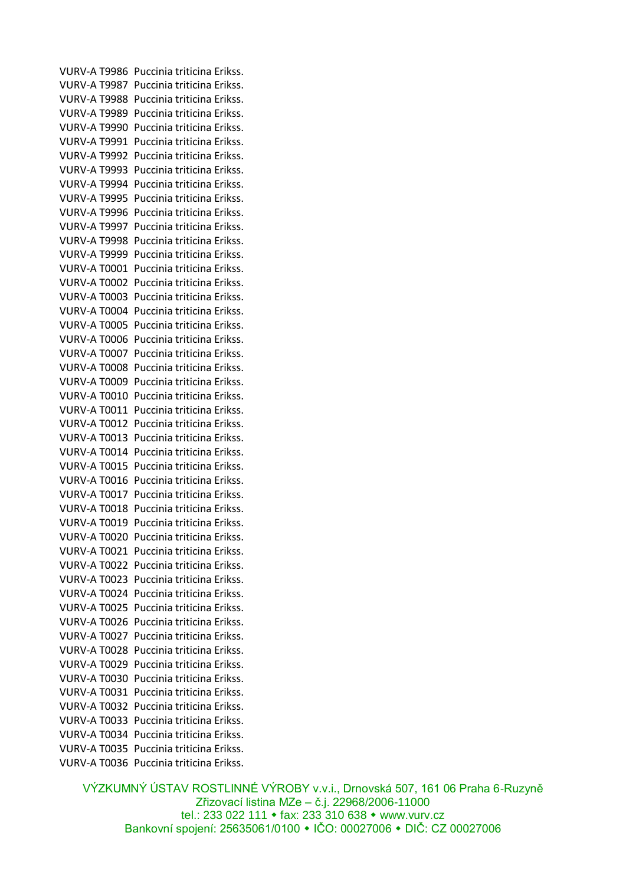VURV-A T9986 Puccinia triticina Erikss. VURV-A T9987 Puccinia triticina Erikss. VURV-A T9988 Puccinia triticina Erikss. VURV-A T9989 Puccinia triticina Erikss. VURV-A T9990 Puccinia triticina Erikss. VURV-A T9991 Puccinia triticina Erikss. VURV-A T9992 Puccinia triticina Erikss. VURV-A T9993 Puccinia triticina Erikss. VURV-A T9994 Puccinia triticina Erikss. VURV-A T9995 Puccinia triticina Erikss. VURV-A T9996 Puccinia triticina Erikss. VURV-A T9997 Puccinia triticina Erikss. VURV-A T9998 Puccinia triticina Erikss. VURV-A T9999 Puccinia triticina Erikss. VURV-A T0001 Puccinia triticina Erikss. VURV-A T0002 Puccinia triticina Erikss. VURV-A T0003 Puccinia triticina Erikss. VURV-A T0004 Puccinia triticina Erikss. VURV-A T0005 Puccinia triticina Erikss. VURV-A T0006 Puccinia triticina Erikss. VURV-A T0007 Puccinia triticina Erikss. VURV-A T0008 Puccinia triticina Erikss. VURV-A T0009 Puccinia triticina Erikss. VURV-A T0010 Puccinia triticina Erikss. VURV-A T0011 Puccinia triticina Erikss. VURV-A T0012 Puccinia triticina Erikss. VURV-A T0013 Puccinia triticina Erikss. VURV-A T0014 Puccinia triticina Erikss. VURV-A T0015 Puccinia triticina Erikss. VURV-A T0016 Puccinia triticina Erikss. VURV-A T0017 Puccinia triticina Erikss. VURV-A T0018 Puccinia triticina Erikss. VURV-A T0019 Puccinia triticina Erikss. VURV-A T0020 Puccinia triticina Erikss. VURV-A T0021 Puccinia triticina Erikss. VURV-A T0022 Puccinia triticina Erikss. VURV-A T0023 Puccinia triticina Erikss. VURV-A T0024 Puccinia triticina Erikss. VURV-A T0025 Puccinia triticina Erikss. VURV-A T0026 Puccinia triticina Erikss. VURV-A T0027 Puccinia triticina Erikss. VURV-A T0028 Puccinia triticina Erikss. VURV-A T0029 Puccinia triticina Erikss. VURV-A T0030 Puccinia triticina Erikss. VURV-A T0031 Puccinia triticina Erikss. VURV-A T0032 Puccinia triticina Erikss. VURV-A T0033 Puccinia triticina Erikss. VURV-A T0034 Puccinia triticina Erikss. VURV-A T0035 Puccinia triticina Erikss. VURV-A T0036 Puccinia triticina Erikss.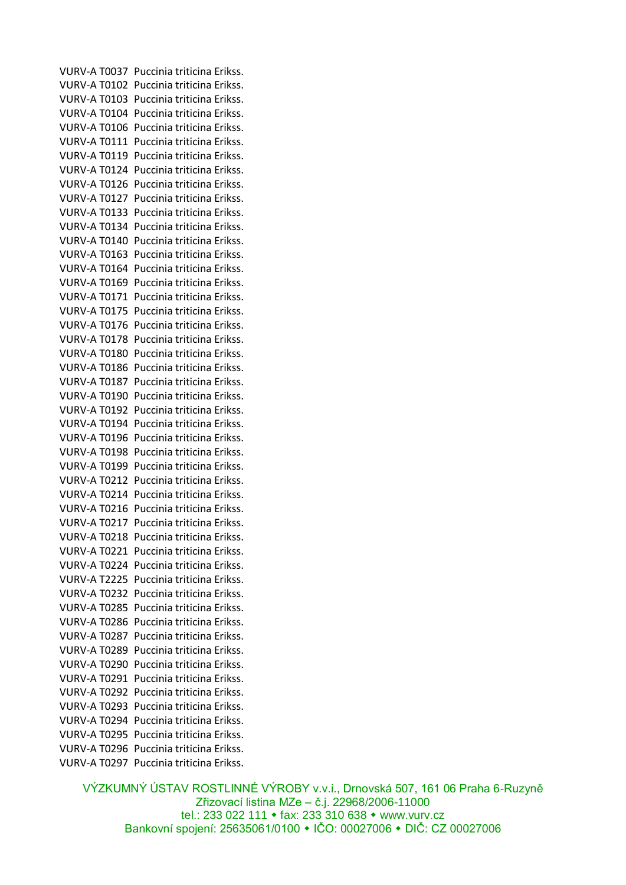VURV-A T0037 Puccinia triticina Erikss. VURV-A T0102 Puccinia triticina Erikss. VURV-A T0103 Puccinia triticina Erikss. VURV-A T0104 Puccinia triticina Erikss. VURV-A T0106 Puccinia triticina Erikss. VURV-A T0111 Puccinia triticina Erikss. VURV-A T0119 Puccinia triticina Erikss. VURV-A T0124 Puccinia triticina Erikss. VURV-A T0126 Puccinia triticina Erikss. VURV-A T0127 Puccinia triticina Erikss. VURV-A T0133 Puccinia triticina Erikss. VURV-A T0134 Puccinia triticina Erikss. VURV-A T0140 Puccinia triticina Erikss. VURV-A T0163 Puccinia triticina Erikss. VURV-A T0164 Puccinia triticina Erikss. VURV-A T0169 Puccinia triticina Erikss. VURV-A T0171 Puccinia triticina Erikss. VURV-A T0175 Puccinia triticina Erikss. VURV-A T0176 Puccinia triticina Erikss. VURV-A T0178 Puccinia triticina Erikss. VURV-A T0180 Puccinia triticina Erikss. VURV-A T0186 Puccinia triticina Erikss. VURV-A T0187 Puccinia triticina Erikss. VURV-A T0190 Puccinia triticina Erikss. VURV-A T0192 Puccinia triticina Erikss. VURV-A T0194 Puccinia triticina Erikss. VURV-A T0196 Puccinia triticina Erikss. VURV-A T0198 Puccinia triticina Erikss. VURV-A T0199 Puccinia triticina Erikss. VURV-A T0212 Puccinia triticina Erikss. VURV-A T0214 Puccinia triticina Erikss. VURV-A T0216 Puccinia triticina Erikss. VURV-A T0217 Puccinia triticina Erikss. VURV-A T0218 Puccinia triticina Erikss. VURV-A T0221 Puccinia triticina Erikss. VURV-A T0224 Puccinia triticina Erikss. VURV-A T2225 Puccinia triticina Erikss. VURV-A T0232 Puccinia triticina Erikss. VURV-A T0285 Puccinia triticina Erikss. VURV-A T0286 Puccinia triticina Erikss. VURV-A T0287 Puccinia triticina Erikss. VURV-A T0289 Puccinia triticina Erikss. VURV-A T0290 Puccinia triticina Erikss. VURV-A T0291 Puccinia triticina Erikss. VURV-A T0292 Puccinia triticina Erikss. VURV-A T0293 Puccinia triticina Erikss. VURV-A T0294 Puccinia triticina Erikss. VURV-A T0295 Puccinia triticina Erikss. VURV-A T0296 Puccinia triticina Erikss. VURV-A T0297 Puccinia triticina Erikss.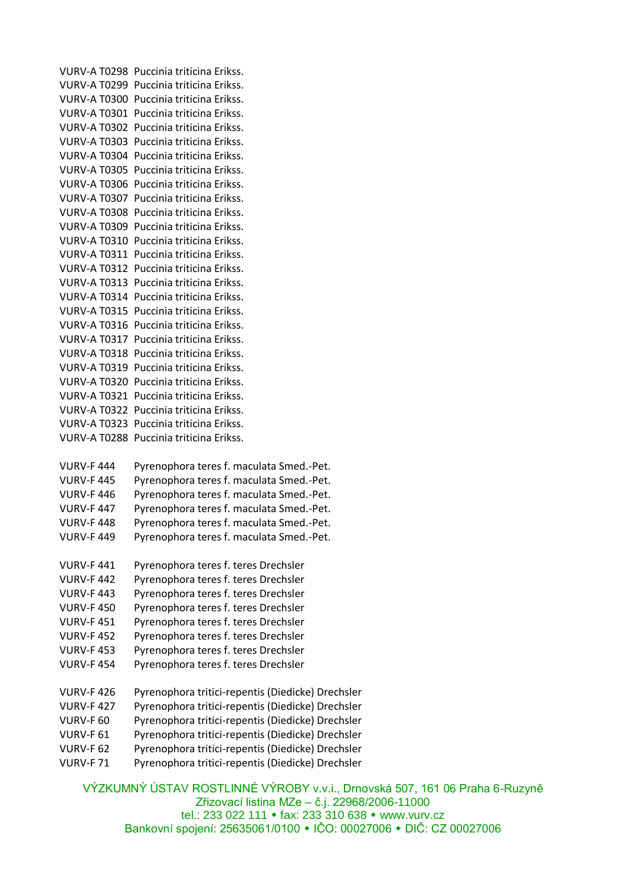VURV-A T0298 Puccinia triticina Erikss. VURV-A T0299 Puccinia triticina Erikss. VURV-A T0300 Puccinia triticina Erikss. VURV-A T0301 Puccinia triticina Erikss. VURV-A T0302 Puccinia triticina Erikss. VURV-A T0303 Puccinia triticina Erikss. VURV-A T0304 Puccinia triticina Erikss. VURV-A T0305 Puccinia triticina Erikss. VURV-A T0306 Puccinia triticina Erikss. VURV-A T0307 Puccinia triticina Erikss. VURV-A T0308 Puccinia triticina Erikss. VURV-A T0309 Puccinia triticina Erikss. VURV-A T0310 Puccinia triticina Erikss. VURV-A T0311 Puccinia triticina Erikss. VURV-A T0312 Puccinia triticina Erikss. VURV-A T0313 Puccinia triticina Erikss. VURV-A T0314 Puccinia triticina Erikss. VURV-A T0315 Puccinia triticina Erikss. VURV-A T0316 Puccinia triticina Erikss. VURV-A T0317 Puccinia triticina Erikss. VURV-A T0318 Puccinia triticina Erikss. VURV-A T0319 Puccinia triticina Erikss. VURV-A T0320 Puccinia triticina Erikss. VURV-A T0321 Puccinia triticina Erikss. VURV-A T0322 Puccinia triticina Erikss. VURV-A T0323 Puccinia triticina Erikss. VURV-A T0288 Puccinia triticina Erikss.

- VURV-F 444 Pyrenophora teres f. maculata Smed.-Pet. VURV-F 445 Pyrenophora teres f. maculata Smed.-Pet. VURV-F 446 Pyrenophora teres f. maculata Smed.-Pet. VURV-F 447 Pyrenophora teres f. maculata Smed.-Pet. VURV-F 448 Pyrenophora teres f. maculata Smed.-Pet. VURV-F 449 Pyrenophora teres f. maculata Smed.-Pet.
- VURV-F 441 Pyrenophora teres f. teres Drechsler
- VURV-F 442 Pyrenophora teres f. teres Drechsler
- VURV-F 443 Pyrenophora teres f. teres Drechsler
- VURV-F 450 Pyrenophora teres f. teres Drechsler
- VURV-F 451 Pyrenophora teres f. teres Drechsler
- VURV-F 452 Pyrenophora teres f. teres Drechsler
- VURV-F 453 Pyrenophora teres f. teres Drechsler
- VURV-F 454 Pyrenophora teres f. teres Drechsler
- VURV-F 426 Pyrenophora tritici-repentis (Diedicke) Drechsler
- VURV-F 427 Pyrenophora tritici-repentis (Diedicke) Drechsler
- VURV-F 60 Pyrenophora tritici-repentis (Diedicke) Drechsler
- VURV-F 61 Pyrenophora tritici-repentis (Diedicke) Drechsler
- VURV-F 62 Pyrenophora tritici-repentis (Diedicke) Drechsler
- VURV-F 71 Pyrenophora tritici-repentis (Diedicke) Drechsler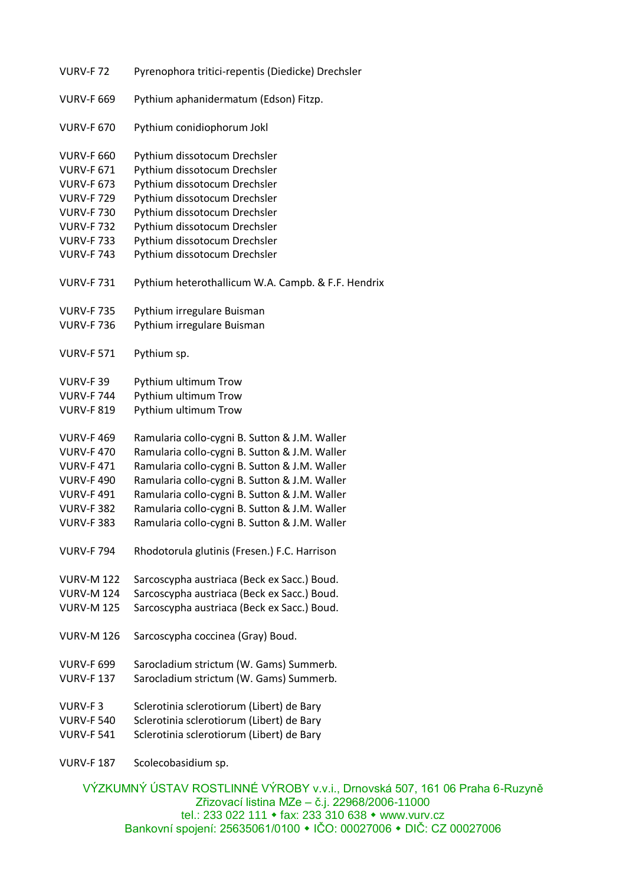| <b>VURV-F72</b>   | Pyrenophora tritici-repentis (Diedicke) Drechsler  |
|-------------------|----------------------------------------------------|
| <b>VURV-F 669</b> | Pythium aphanidermatum (Edson) Fitzp.              |
| <b>VURV-F 670</b> | Pythium conidiophorum Jokl                         |
| <b>VURV-F 660</b> | Pythium dissotocum Drechsler                       |
| <b>VURV-F 671</b> | Pythium dissotocum Drechsler                       |
| <b>VURV-F 673</b> | Pythium dissotocum Drechsler                       |
| <b>VURV-F729</b>  | Pythium dissotocum Drechsler                       |
| <b>VURV-F730</b>  | Pythium dissotocum Drechsler                       |
| <b>VURV-F732</b>  | Pythium dissotocum Drechsler                       |
| <b>VURV-F733</b>  | Pythium dissotocum Drechsler                       |
| <b>VURV-F 743</b> | Pythium dissotocum Drechsler                       |
| <b>VURV-F731</b>  | Pythium heterothallicum W.A. Campb. & F.F. Hendrix |
| <b>VURV-F735</b>  | Pythium irregulare Buisman                         |
| <b>VURV-F736</b>  | Pythium irregulare Buisman                         |
| <b>VURV-F 571</b> | Pythium sp.                                        |
| VURV-F39          | Pythium ultimum Trow                               |
| <b>VURV-F744</b>  | Pythium ultimum Trow                               |
| <b>VURV-F 819</b> | Pythium ultimum Trow                               |
| <b>VURV-F469</b>  | Ramularia collo-cygni B. Sutton & J.M. Waller      |
| <b>VURV-F470</b>  | Ramularia collo-cygni B. Sutton & J.M. Waller      |
| <b>VURV-F471</b>  | Ramularia collo-cygni B. Sutton & J.M. Waller      |
| <b>VURV-F490</b>  | Ramularia collo-cygni B. Sutton & J.M. Waller      |
| <b>VURV-F491</b>  | Ramularia collo-cygni B. Sutton & J.M. Waller      |
| <b>VURV-F 382</b> | Ramularia collo-cygni B. Sutton & J.M. Waller      |
| <b>VURV-F383</b>  | Ramularia collo-cygni B. Sutton & J.M. Waller      |
| <b>VURV-F794</b>  | Rhodotorula glutinis (Fresen.) F.C. Harrison       |
| <b>VURV-M 122</b> | Sarcoscypha austriaca (Beck ex Sacc.) Boud.        |
| <b>VURV-M 124</b> | Sarcoscypha austriaca (Beck ex Sacc.) Boud.        |
| <b>VURV-M 125</b> | Sarcoscypha austriaca (Beck ex Sacc.) Boud.        |
| <b>VURV-M 126</b> | Sarcoscypha coccinea (Gray) Boud.                  |
| <b>VURV-F 699</b> | Sarocladium strictum (W. Gams) Summerb.            |
| <b>VURV-F137</b>  | Sarocladium strictum (W. Gams) Summerb.            |
| VURV-F3           | Sclerotinia sclerotiorum (Libert) de Bary          |
| <b>VURV-F 540</b> | Sclerotinia sclerotiorum (Libert) de Bary          |
| <b>VURV-F 541</b> | Sclerotinia sclerotiorum (Libert) de Bary          |
| <b>VURV-F187</b>  | Scolecobasidium sp.                                |
|                   |                                                    |

VÝZKUMNÝ ÚSTAV ROSTLINNÉ VÝROBY v.v.i., Drnovská 507, 161 06 Praha 6-Ruzyně Zřizovací listina MZe – č.j. 22968/2006-11000 tel.: 233 022 111 fax: 233 310 638 www.vurv.cz Bankovní spojení: 25635061/0100 IČO: 00027006 DIČ: CZ 00027006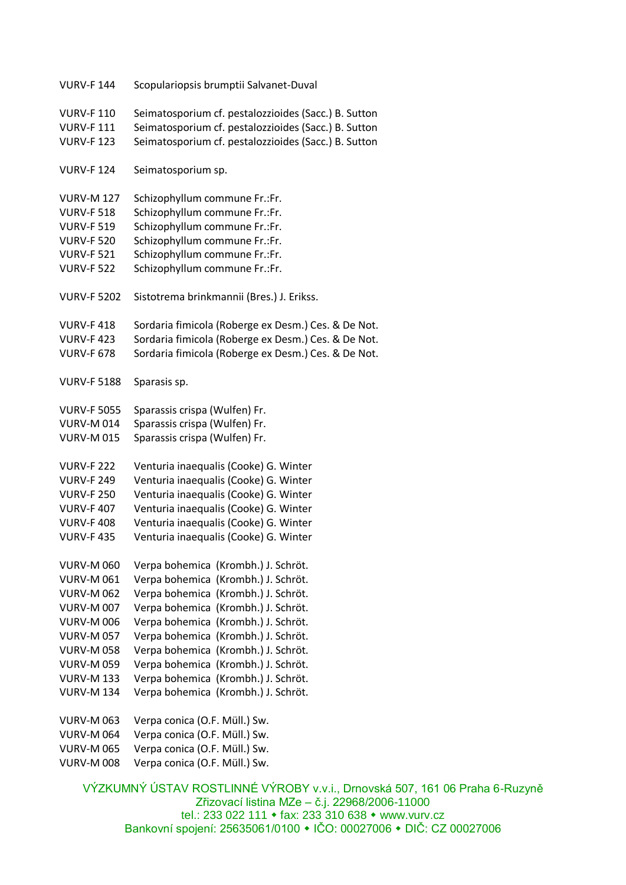| <b>VURV-F144</b>   | Scopulariopsis brumptii Salvanet-Duval               |
|--------------------|------------------------------------------------------|
| <b>VURV-F110</b>   | Seimatosporium cf. pestalozzioides (Sacc.) B. Sutton |
| <b>VURV-F111</b>   | Seimatosporium cf. pestalozzioides (Sacc.) B. Sutton |
| <b>VURV-F 123</b>  | Seimatosporium cf. pestalozzioides (Sacc.) B. Sutton |
| <b>VURV-F124</b>   | Seimatosporium sp.                                   |
| <b>VURV-M 127</b>  | Schizophyllum commune Fr.:Fr.                        |
| <b>VURV-F 518</b>  | Schizophyllum commune Fr.:Fr.                        |
| <b>VURV-F 519</b>  | Schizophyllum commune Fr.:Fr.                        |
| <b>VURV-F 520</b>  | Schizophyllum commune Fr.:Fr.                        |
| <b>VURV-F 521</b>  | Schizophyllum commune Fr.:Fr.                        |
| <b>VURV-F 522</b>  | Schizophyllum commune Fr.:Fr.                        |
| <b>VURV-F 5202</b> | Sistotrema brinkmannii (Bres.) J. Erikss.            |
| <b>VURV-F418</b>   | Sordaria fimicola (Roberge ex Desm.) Ces. & De Not.  |
| <b>VURV-F423</b>   | Sordaria fimicola (Roberge ex Desm.) Ces. & De Not.  |
| <b>VURV-F 678</b>  | Sordaria fimicola (Roberge ex Desm.) Ces. & De Not.  |
| <b>VURV-F 5188</b> | Sparasis sp.                                         |
| <b>VURV-F 5055</b> | Sparassis crispa (Wulfen) Fr.                        |
| <b>VURV-M014</b>   | Sparassis crispa (Wulfen) Fr.                        |
| <b>VURV-M015</b>   | Sparassis crispa (Wulfen) Fr.                        |
| <b>VURV-F 222</b>  | Venturia inaequalis (Cooke) G. Winter                |
| <b>VURV-F 249</b>  | Venturia inaequalis (Cooke) G. Winter                |
| <b>VURV-F 250</b>  | Venturia inaequalis (Cooke) G. Winter                |
| <b>VURV-F407</b>   | Venturia inaequalis (Cooke) G. Winter                |
| <b>VURV-F408</b>   | Venturia inaequalis (Cooke) G. Winter                |
| <b>VURV-F435</b>   | Venturia inaequalis (Cooke) G. Winter                |
| <b>VURV-M 060</b>  | Verpa bohemica (Krombh.) J. Schröt.                  |
| <b>VURV-M061</b>   | Verpa bohemica (Krombh.) J. Schröt.                  |
| <b>VURV-M 062</b>  | Verpa bohemica (Krombh.) J. Schröt.                  |
| <b>VURV-M 007</b>  | Verpa bohemica (Krombh.) J. Schröt.                  |
| <b>VURV-M 006</b>  | Verpa bohemica (Krombh.) J. Schröt.                  |
| <b>VURV-M057</b>   | Verpa bohemica (Krombh.) J. Schröt.                  |
| <b>VURV-M 058</b>  | Verpa bohemica (Krombh.) J. Schröt.                  |
| <b>VURV-M059</b>   | Verpa bohemica (Krombh.) J. Schröt.                  |
| <b>VURV-M 133</b>  | Verpa bohemica (Krombh.) J. Schröt.                  |
| <b>VURV-M 134</b>  | Verpa bohemica (Krombh.) J. Schröt.                  |
| <b>VURV-M063</b>   | Verpa conica (O.F. Müll.) Sw.                        |
| <b>VURV-M064</b>   | Verpa conica (O.F. Müll.) Sw.                        |
| <b>VURV-M065</b>   | Verpa conica (O.F. Müll.) Sw.                        |
| <b>VURV-M 008</b>  | Verpa conica (O.F. Müll.) Sw.                        |

VÝZKUMNÝ ÚSTAV ROSTLINNÉ VÝROBY v.v.i., Drnovská 507, 161 06 Praha 6-Ruzyně Zřizovací listina MZe – č.j. 22968/2006-11000 tel.: 233 022 111 fax: 233 310 638 www.vurv.cz Bankovní spojení: 25635061/0100 IČO: 00027006 DIČ: CZ 00027006